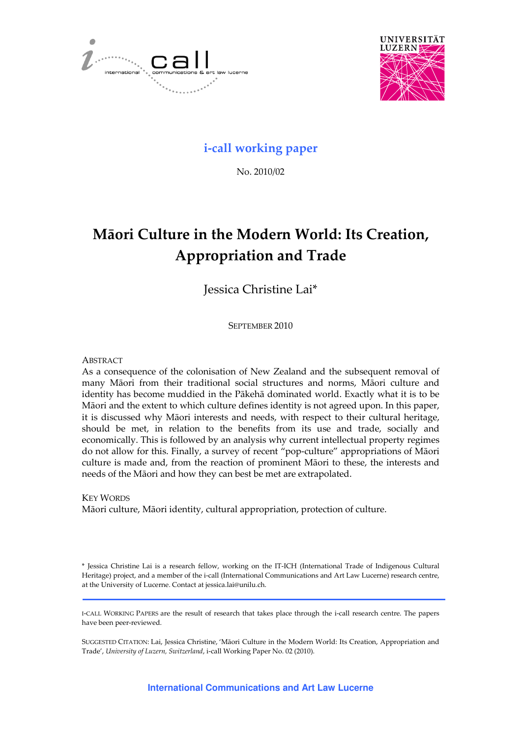



## i-call working paper

No. 2010/02

# Māori Culture in the Modern World: Its Creation, Appropriation and Trade

Jessica Christine Lai\*

SEPTEMBER 2010

#### ABSTRACT

As a consequence of the colonisation of New Zealand and the subsequent removal of many Māori from their traditional social structures and norms, Māori culture and identity has become muddied in the Pākehā dominated world. Exactly what it is to be Māori and the extent to which culture defines identity is not agreed upon. In this paper, it is discussed why Māori interests and needs, with respect to their cultural heritage, should be met, in relation to the benefits from its use and trade, socially and economically. This is followed by an analysis why current intellectual property regimes do not allow for this. Finally, a survey of recent "pop-culture" appropriations of Māori culture is made and, from the reaction of prominent Māori to these, the interests and needs of the Māori and how they can best be met are extrapolated.

## KEY WORDS Māori culture, Māori identity, cultural appropriation, protection of culture.

\* Jessica Christine Lai is a research fellow, working on the IT-ICH (International Trade of Indigenous Cultural Heritage) project, and a member of the i-call (International Communications and Art Law Lucerne) research centre, at the University of Lucerne. Contact at jessica.lai@unilu.ch.

I-CALL WORKING PAPERS are the result of research that takes place through the i-call research centre. The papers have been peer-reviewed.

SUGGESTED CITATION: Lai, Jessica Christine, 'Māori Culture in the Modern World: Its Creation, Appropriation and Trade', University of Luzern, Switzerland, i-call Working Paper No. 02 (2010).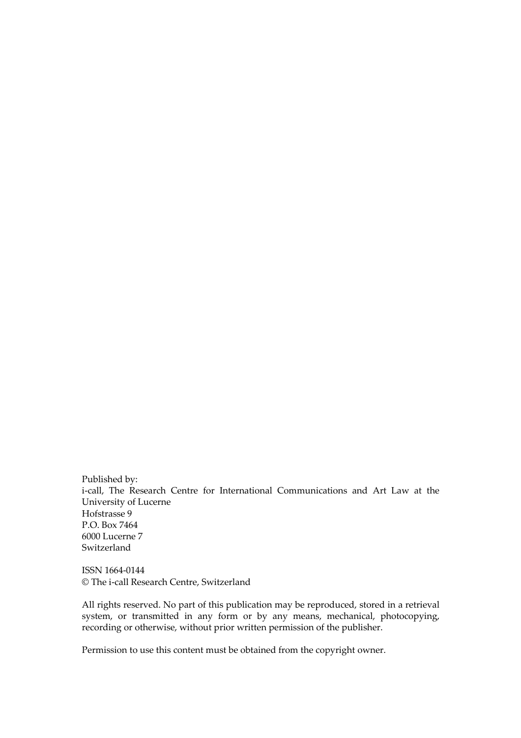Published by: i-call, The Research Centre for International Communications and Art Law at the University of Lucerne Hofstrasse 9 P.O. Box 7464 6000 Lucerne 7 Switzerland

ISSN 1664-0144 © The i-call Research Centre, Switzerland

All rights reserved. No part of this publication may be reproduced, stored in a retrieval system, or transmitted in any form or by any means, mechanical, photocopying, recording or otherwise, without prior written permission of the publisher.

Permission to use this content must be obtained from the copyright owner.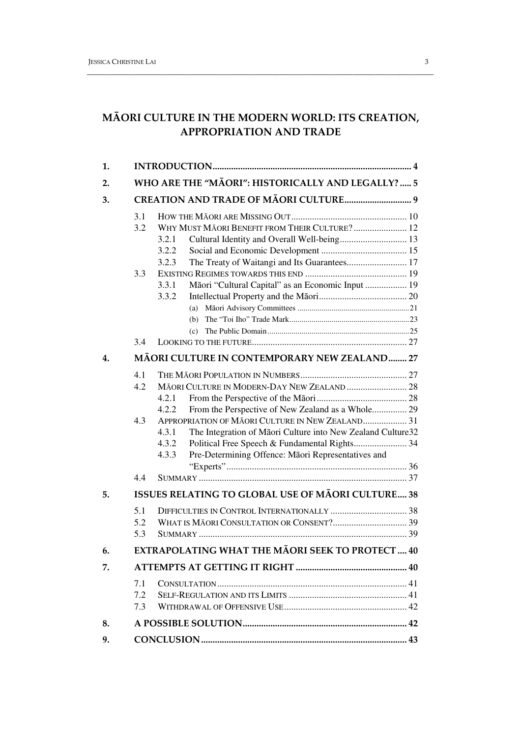## MĀORI CULTURE IN THE MODERN WORLD: ITS CREATION, APPROPRIATION AND TRADE

\_\_\_\_\_\_\_\_\_\_\_\_\_\_\_\_\_\_\_\_\_\_\_\_\_\_\_\_\_\_\_\_\_\_\_\_\_\_\_\_\_\_\_\_\_\_\_\_\_\_\_\_\_\_\_\_\_\_\_\_\_\_\_\_\_\_\_\_\_\_\_\_\_\_\_\_\_\_\_\_\_\_\_\_\_\_\_\_\_\_\_\_\_\_\_\_\_\_\_

| 1. |                                                                                                                                                                                                                                                                                                                                                    |  |
|----|----------------------------------------------------------------------------------------------------------------------------------------------------------------------------------------------------------------------------------------------------------------------------------------------------------------------------------------------------|--|
| 2. | WHO ARE THE "MAORI": HISTORICALLY AND LEGALLY?  5                                                                                                                                                                                                                                                                                                  |  |
| 3. |                                                                                                                                                                                                                                                                                                                                                    |  |
|    | 3.1<br>WHY MUST MĀORI BENEFIT FROM THEIR CULTURE? 12<br>3.2<br>3.2.1<br>3.2.2<br>3.2.3<br>The Treaty of Waitangi and Its Guarantees 17                                                                                                                                                                                                             |  |
|    | 3.3<br>Māori "Cultural Capital" as an Economic Input  19<br>3.3.1<br>3.3.2<br>(a)                                                                                                                                                                                                                                                                  |  |
|    | 3.4                                                                                                                                                                                                                                                                                                                                                |  |
| 4. | <b>MĀORI CULTURE IN CONTEMPORARY NEW ZEALAND 27</b>                                                                                                                                                                                                                                                                                                |  |
|    | 4.1<br>4.2<br>MĀORI CULTURE IN MODERN-DAY NEW ZEALAND  28<br>4.2.1<br>4.2.2<br>From the Perspective of New Zealand as a Whole 29<br>APPROPRIATION OF MAORI CULTURE IN NEW ZEALAND 31<br>4.3<br>The Integration of Māori Culture into New Zealand Culture32<br>4.3.1<br>4.3.2<br>Pre-Determining Offence: Māori Representatives and<br>4.3.3<br>4.4 |  |
| 5. | ISSUES RELATING TO GLOBAL USE OF MAORI CULTURE 38                                                                                                                                                                                                                                                                                                  |  |
|    | 5.1<br>5.2<br>5.3                                                                                                                                                                                                                                                                                                                                  |  |
| 6. | EXTRAPOLATING WHAT THE MAORI SEEK TO PROTECT  40                                                                                                                                                                                                                                                                                                   |  |
| 7. |                                                                                                                                                                                                                                                                                                                                                    |  |
|    | 7.1<br>7.2<br>7.3                                                                                                                                                                                                                                                                                                                                  |  |
| 8. |                                                                                                                                                                                                                                                                                                                                                    |  |
| 9. |                                                                                                                                                                                                                                                                                                                                                    |  |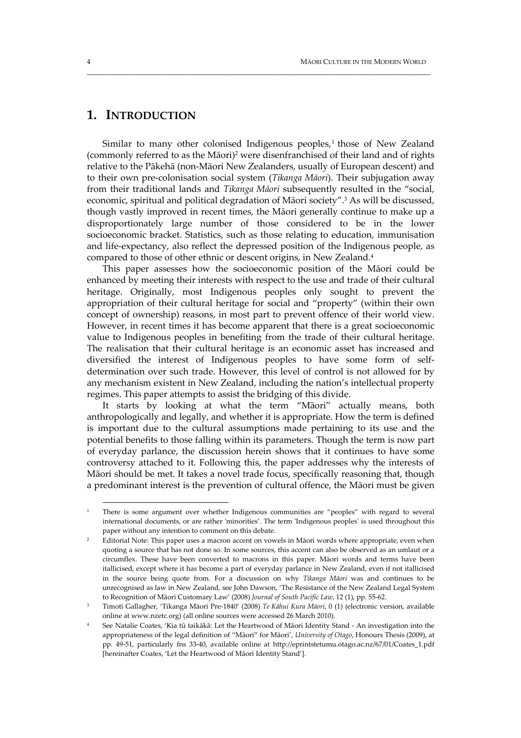## 1. INTRODUCTION

Similar to many other colonised Indigenous peoples,<sup>1</sup> those of New Zealand (commonly referred to as the Māori)<sup>2</sup> were disenfranchised of their land and of rights relative to the Pākehā (non-Māori New Zealanders, usually of European descent) and to their own pre-colonisation social system (Tikanga Māori). Their subjugation away from their traditional lands and Tikanga Māori subsequently resulted in the "social, economic, spiritual and political degradation of Māori society".<sup>3</sup> As will be discussed, though vastly improved in recent times, the Māori generally continue to make up a disproportionately large number of those considered to be in the lower socioeconomic bracket. Statistics, such as those relating to education, immunisation and life-expectancy, also reflect the depressed position of the Indigenous people, as compared to those of other ethnic or descent origins, in New Zealand.<sup>4</sup>

\_\_\_\_\_\_\_\_\_\_\_\_\_\_\_\_\_\_\_\_\_\_\_\_\_\_\_\_\_\_\_\_\_\_\_\_\_\_\_\_\_\_\_\_\_\_\_\_\_\_\_\_\_\_\_\_\_\_\_\_\_\_\_\_\_\_\_\_\_\_\_\_\_\_\_\_\_\_\_\_\_\_\_\_\_\_\_\_\_\_\_\_\_\_\_\_\_\_

This paper assesses how the socioeconomic position of the Māori could be enhanced by meeting their interests with respect to the use and trade of their cultural heritage. Originally, most Indigenous peoples only sought to prevent the appropriation of their cultural heritage for social and "property" (within their own concept of ownership) reasons, in most part to prevent offence of their world view. However, in recent times it has become apparent that there is a great socioeconomic value to Indigenous peoples in benefiting from the trade of their cultural heritage. The realisation that their cultural heritage is an economic asset has increased and diversified the interest of Indigenous peoples to have some form of selfdetermination over such trade. However, this level of control is not allowed for by any mechanism existent in New Zealand, including the nation's intellectual property regimes. This paper attempts to assist the bridging of this divide.

It starts by looking at what the term "Māori" actually means, both anthropologically and legally, and whether it is appropriate. How the term is defined is important due to the cultural assumptions made pertaining to its use and the potential benefits to those falling within its parameters. Though the term is now part of everyday parlance, the discussion herein shows that it continues to have some controversy attached to it. Following this, the paper addresses why the interests of Māori should be met. It takes a novel trade focus, specifically reasoning that, though a predominant interest is the prevention of cultural offence, the Māori must be given

<sup>1</sup> There is some argument over whether Indigenous communities are "peoples" with regard to several international documents, or are rather 'minorities'. The term 'Indigenous peoples' is used throughout this paper without any intention to comment on this debate.

 $\overline{2}$  Editorial Note: This paper uses a macron accent on vowels in Māori words where appropriate, even when quoting a source that has not done so. In some sources, this accent can also be observed as an umlaut or a circumflex. These have been converted to macrons in this paper. Māori words and terms have been itallicised, except where it has become a part of everyday parlance in New Zealand, even if not itallicised in the source being quote from. For a discussion on why Tikanga Māori was and continues to be unrecognised as law in New Zealand, see John Dawson, 'The Resistance of the New Zealand Legal System to Recognition of Māori Customary Law' (2008) Journal of South Pacific Law, 12 (1), pp. 55-62.

<sup>3</sup> Timoti Gallagher, 'Tikanga Māori Pre-1840' (2008) Te Kāhui Kura Māori, 0 (1) (electronic version, available online at www.nzetc.org) (all online sources were accessed 26 March 2010).

<sup>4</sup> See Natalie Coates, 'Kia tū taikākā: Let the Heartwood of Māori Identity Stand - An investigation into the appropriateness of the legal definition of "Māori" for Māori', University of Otago, Honours Thesis (2009), at pp. 49-51, particularly fns 33-40, available online at http://eprintstetumu.otago.ac.nz/67/01/Coates\_1.pdf [hereinafter Coates, 'Let the Heartwood of Māori Identity Stand'].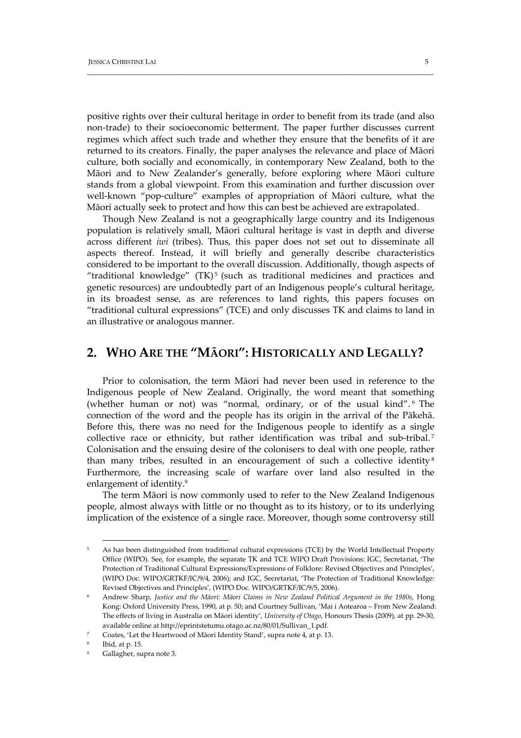positive rights over their cultural heritage in order to benefit from its trade (and also non-trade) to their socioeconomic betterment. The paper further discusses current regimes which affect such trade and whether they ensure that the benefits of it are returned to its creators. Finally, the paper analyses the relevance and place of Māori culture, both socially and economically, in contemporary New Zealand, both to the Māori and to New Zealander's generally, before exploring where Māori culture stands from a global viewpoint. From this examination and further discussion over well-known "pop-culture" examples of appropriation of Māori culture, what the Māori actually seek to protect and how this can best be achieved are extrapolated.

\_\_\_\_\_\_\_\_\_\_\_\_\_\_\_\_\_\_\_\_\_\_\_\_\_\_\_\_\_\_\_\_\_\_\_\_\_\_\_\_\_\_\_\_\_\_\_\_\_\_\_\_\_\_\_\_\_\_\_\_\_\_\_\_\_\_\_\_\_\_\_\_\_\_\_\_\_\_\_\_\_\_\_\_\_\_\_\_\_\_\_\_\_\_\_\_\_\_\_

Though New Zealand is not a geographically large country and its Indigenous population is relatively small, Māori cultural heritage is vast in depth and diverse across different iwi (tribes). Thus, this paper does not set out to disseminate all aspects thereof. Instead, it will briefly and generally describe characteristics considered to be important to the overall discussion. Additionally, though aspects of "traditional knowledge"  $(TK)^5$  (such as traditional medicines and practices and genetic resources) are undoubtedly part of an Indigenous people's cultural heritage, in its broadest sense, as are references to land rights, this papers focuses on "traditional cultural expressions" (TCE) and only discusses TK and claims to land in an illustrative or analogous manner.

## 2. WHO ARE THE "MAORI": HISTORICALLY AND LEGALLY?

Prior to colonisation, the term Māori had never been used in reference to the Indigenous people of New Zealand. Originally, the word meant that something (whether human or not) was "normal, ordinary, or of the usual kind".<sup>6</sup> The connection of the word and the people has its origin in the arrival of the Pākehā. Before this, there was no need for the Indigenous people to identify as a single collective race or ethnicity, but rather identification was tribal and sub-tribal.<sup>7</sup> Colonisation and the ensuing desire of the colonisers to deal with one people, rather than many tribes, resulted in an encouragement of such a collective identity  $8$ Furthermore, the increasing scale of warfare over land also resulted in the enlargement of identity.<sup>9</sup>

The term Māori is now commonly used to refer to the New Zealand Indigenous people, almost always with little or no thought as to its history, or to its underlying implication of the existence of a single race. Moreover, though some controversy still

<sup>5</sup> As has been distinguished from traditional cultural expressions (TCE) by the World Intellectual Property Office (WIPO). See, for example, the separate TK and TCE WIPO Draft Provisions: IGC, Secretariat, 'The Protection of Traditional Cultural Expressions/Expressions of Folklore: Revised Objectives and Principles', (WIPO Doc. WIPO/GRTKF/IC/9/4, 2006); and IGC, Secretariat, 'The Protection of Traditional Knowledge: Revised Objectives and Principles', (WIPO Doc. WIPO/GRTKF/IC/9/5, 2006).

<sup>6</sup> Andrew Sharp, Justice and the Māori: Māori Claims in New Zealand Political Argument in the 1980s, Hong Kong: Oxford University Press, 1990, at p. 50; and Courtney Sullivan, 'Mai i Aotearoa – From New Zealand: The effects of living in Australia on Māori identity', University of Otago, Honours Thesis (2009), at pp. 29-30, available online at http://eprintstetumu.otago.ac.nz/80/01/Sullivan\_1.pdf.

<sup>7</sup> Coates, 'Let the Heartwood of Māori Identity Stand', supra note 4, at p. 13.

<sup>8</sup> Ibid, at p. 15.

<sup>9</sup> Gallagher, supra note 3.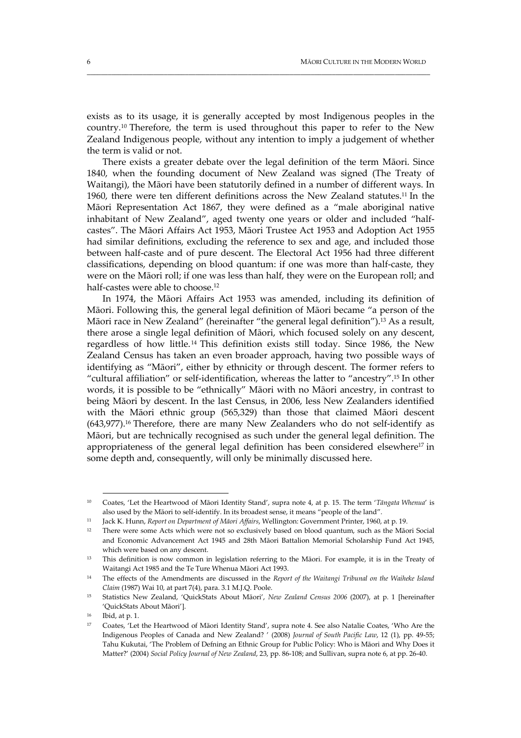exists as to its usage, it is generally accepted by most Indigenous peoples in the country.<sup>10</sup> Therefore, the term is used throughout this paper to refer to the New Zealand Indigenous people, without any intention to imply a judgement of whether the term is valid or not.

\_\_\_\_\_\_\_\_\_\_\_\_\_\_\_\_\_\_\_\_\_\_\_\_\_\_\_\_\_\_\_\_\_\_\_\_\_\_\_\_\_\_\_\_\_\_\_\_\_\_\_\_\_\_\_\_\_\_\_\_\_\_\_\_\_\_\_\_\_\_\_\_\_\_\_\_\_\_\_\_\_\_\_\_\_\_\_\_\_\_\_\_\_\_\_\_\_\_

There exists a greater debate over the legal definition of the term Māori. Since 1840, when the founding document of New Zealand was signed (The Treaty of Waitangi), the Māori have been statutorily defined in a number of different ways. In 1960, there were ten different definitions across the New Zealand statutes.<sup>11</sup> In the Māori Representation Act 1867, they were defined as a "male aboriginal native inhabitant of New Zealand", aged twenty one years or older and included "halfcastes". The Māori Affairs Act 1953, Māori Trustee Act 1953 and Adoption Act 1955 had similar definitions, excluding the reference to sex and age, and included those between half-caste and of pure descent. The Electoral Act 1956 had three different classifications, depending on blood quantum: if one was more than half-caste, they were on the Māori roll; if one was less than half, they were on the European roll; and half-castes were able to choose.<sup>12</sup>

In 1974, the Māori Affairs Act 1953 was amended, including its definition of Māori. Following this, the general legal definition of Māori became "a person of the Māori race in New Zealand" (hereinafter "the general legal definition").<sup>13</sup> As a result, there arose a single legal definition of Māori, which focused solely on any descent, regardless of how little. <sup>14</sup> This definition exists still today. Since 1986, the New Zealand Census has taken an even broader approach, having two possible ways of identifying as "Māori", either by ethnicity or through descent. The former refers to "cultural affiliation" or self-identification, whereas the latter to "ancestry".<sup>15</sup> In other words, it is possible to be "ethnically" Māori with no Māori ancestry, in contrast to being Māori by descent. In the last Census, in 2006, less New Zealanders identified with the Māori ethnic group (565,329) than those that claimed Māori descent  $(643,977).$ <sup>16</sup> Therefore, there are many New Zealanders who do not self-identify as Māori, but are technically recognised as such under the general legal definition. The appropriateness of the general legal definition has been considered elsewhere $17$  in some depth and, consequently, will only be minimally discussed here.

<sup>&</sup>lt;sup>10</sup> Coates, 'Let the Heartwood of Māori Identity Stand', supra note 4, at p. 15. The term 'Tāngata Whenua' is also used by the Māori to self-identify. In its broadest sense, it means "people of the land".

<sup>&</sup>lt;sup>11</sup> Jack K. Hunn, Report on Department of Māori Affairs, Wellington: Government Printer, 1960, at p. 19.

<sup>&</sup>lt;sup>12</sup> There were some Acts which were not so exclusively based on blood quantum, such as the Māori Social and Economic Advancement Act 1945 and 28th Māori Battalion Memorial Scholarship Fund Act 1945, which were based on any descent.

<sup>13</sup> This definition is now common in legislation referring to the Māori. For example, it is in the Treaty of Waitangi Act 1985 and the Te Ture Whenua Māori Act 1993.

<sup>&</sup>lt;sup>14</sup> The effects of the Amendments are discussed in the Report of the Waitangi Tribunal on the Waiheke Island Claim (1987) Wai 10, at part 7(4), para. 3.1 M.J.Q. Poole.

<sup>15</sup> Statistics New Zealand, 'QuickStats About Māori', New Zealand Census 2006 (2007), at p. 1 [hereinafter 'QuickStats About Māori'].

Ibid, at p. 1.

<sup>17</sup> Coates, 'Let the Heartwood of Māori Identity Stand', supra note 4. See also Natalie Coates, 'Who Are the Indigenous Peoples of Canada and New Zealand? ' (2008) Journal of South Pacific Law, 12 (1), pp. 49-55; Tahu Kukutai, 'The Problem of Defning an Ethnic Group for Public Policy: Who is Māori and Why Does it Matter?' (2004) Social Policy Journal of New Zealand, 23, pp. 86-108; and Sullivan, supra note 6, at pp. 26-40.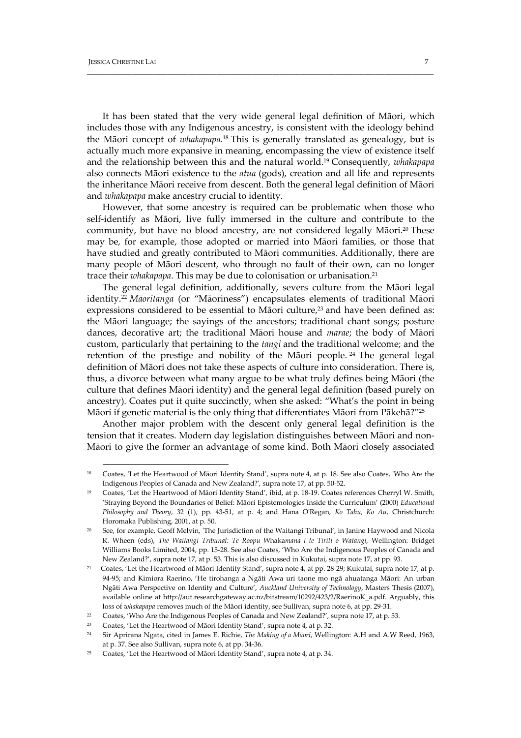1

It has been stated that the very wide general legal definition of Māori, which includes those with any Indigenous ancestry, is consistent with the ideology behind the Māori concept of *whakapapa*.<sup>18</sup> This is generally translated as genealogy, but is actually much more expansive in meaning, encompassing the view of existence itself and the relationship between this and the natural world.<sup>19</sup> Consequently, whakapapa also connects Māori existence to the atua (gods), creation and all life and represents the inheritance Māori receive from descent. Both the general legal definition of Māori and whakapapa make ancestry crucial to identity.

\_\_\_\_\_\_\_\_\_\_\_\_\_\_\_\_\_\_\_\_\_\_\_\_\_\_\_\_\_\_\_\_\_\_\_\_\_\_\_\_\_\_\_\_\_\_\_\_\_\_\_\_\_\_\_\_\_\_\_\_\_\_\_\_\_\_\_\_\_\_\_\_\_\_\_\_\_\_\_\_\_\_\_\_\_\_\_\_\_\_\_\_\_\_\_\_\_\_\_

However, that some ancestry is required can be problematic when those who self-identify as Māori, live fully immersed in the culture and contribute to the community, but have no blood ancestry, are not considered legally Māori.<sup>20</sup> These may be, for example, those adopted or married into Māori families, or those that have studied and greatly contributed to Māori communities. Additionally, there are many people of Māori descent, who through no fault of their own, can no longer trace their whakapapa. This may be due to colonisation or urbanisation.<sup>21</sup>

The general legal definition, additionally, severs culture from the Māori legal identity.<sup>22</sup> Māoritanga (or "Māoriness") encapsulates elements of traditional Māori expressions considered to be essential to Māori culture,<sup>23</sup> and have been defined as: the Māori language; the sayings of the ancestors; traditional chant songs; posture dances, decorative art; the traditional Māori house and marae; the body of Māori custom, particularly that pertaining to the tangi and the traditional welcome; and the retention of the prestige and nobility of the Māori people.<sup>24</sup> The general legal definition of Māori does not take these aspects of culture into consideration. There is, thus, a divorce between what many argue to be what truly defines being Māori (the culture that defines Māori identity) and the general legal definition (based purely on ancestry). Coates put it quite succinctly, when she asked: "What's the point in being Māori if genetic material is the only thing that differentiates Māori from Pākehā?"<sup>25</sup>

Another major problem with the descent only general legal definition is the tension that it creates. Modern day legislation distinguishes between Māori and non-Māori to give the former an advantage of some kind. Both Māori closely associated

<sup>18</sup> Coates, 'Let the Heartwood of Māori Identity Stand', supra note 4, at p. 18. See also Coates, 'Who Are the Indigenous Peoples of Canada and New Zealand?', supra note 17, at pp. 50-52.

<sup>19</sup> Coates, 'Let the Heartwood of Māori Identity Stand', ibid, at p. 18-19. Coates references Cherryl W. Smith, 'Straying Beyond the Boundaries of Belief: Māori Epistemologies Inside the Curriculum' (2000) Educational Philosophy and Theory, 32 (1), pp. 43-51, at p. 4; and Hana O'Regan, Ko Tahu, Ko Au, Christchurch: Horomaka Publishing, 2001, at p. 50.

<sup>&</sup>lt;sup>20</sup> See, for example, Geoff Melvin, 'The Jurisdiction of the Waitangi Tribunal', in Janine Haywood and Nicola R. Wheen (eds), The Waitangi Tribunal: Te Roopu Whakamana i te Tiriti o Watangi, Wellington: Bridget Williams Books Limited, 2004, pp. 15-28. See also Coates, 'Who Are the Indigenous Peoples of Canada and New Zealand?', supra note 17, at p. 53. This is also discussed in Kukutai, supra note 17, at pp. 93.

<sup>21</sup> Coates, 'Let the Heartwood of Māori Identity Stand', supra note 4, at pp. 28-29; Kukutai, supra note 17, at p. 94-95; and Kimiora Raerino, 'He tirohanga a Ngāti Awa uri taone mo ngā ahuatanga Māori: An urban Ngāti Awa Perspective on Identity and Culture', Auckland University of Technology, Masters Thesis (2007), available online at http://aut.researchgateway.ac.nz/bitstream/10292/423/2/RaerinoK\_a.pdf. Arguably, this loss of whakapapa removes much of the Māori identity, see Sullivan, supra note 6, at pp. 29-31.

<sup>&</sup>lt;sup>22</sup> Coates, 'Who Are the Indigenous Peoples of Canada and New Zealand?', supra note 17, at p. 53.

<sup>23</sup> Coates, 'Let the Heartwood of Māori Identity Stand', supra note 4, at p. 32.

<sup>&</sup>lt;sup>24</sup> Sir Aprirana Ngata, cited in James E. Richie, *The Making of a Māori*, Wellington: A.H and A.W Reed, 1963, at p. 37. See also Sullivan, supra note 6, at pp. 34-36.

<sup>&</sup>lt;sup>25</sup> Coates, 'Let the Heartwood of Māori Identity Stand', supra note 4, at p. 34.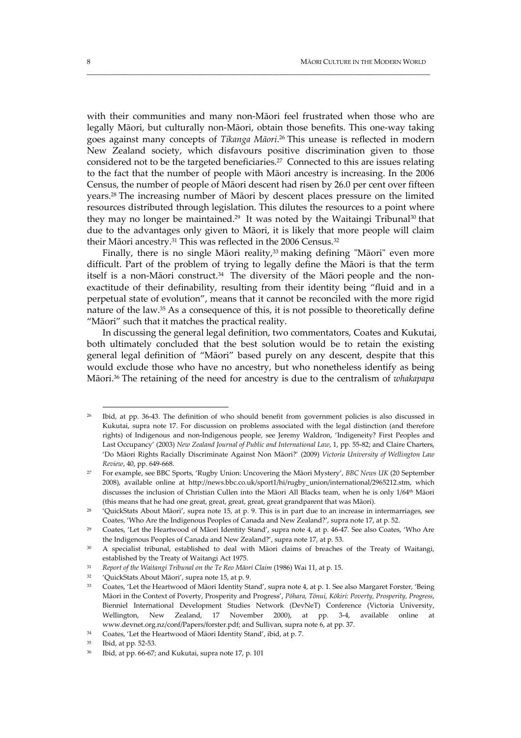with their communities and many non-Māori feel frustrated when those who are legally Māori, but culturally non-Māori, obtain those benefits. This one-way taking goes against many concepts of *Tikanga Māori*.<sup>26</sup> This unease is reflected in modern New Zealand society, which disfavours positive discrimination given to those considered not to be the targeted beneficiaries.<sup>27</sup> Connected to this are issues relating to the fact that the number of people with Māori ancestry is increasing. In the 2006 Census, the number of people of Māori descent had risen by 26.0 per cent over fifteen years.<sup>28</sup> The increasing number of Māori by descent places pressure on the limited resources distributed through legislation. This dilutes the resources to a point where they may no longer be maintained.<sup>29</sup> It was noted by the Waitaingi Tribunal<sup>30</sup> that due to the advantages only given to Māori, it is likely that more people will claim their Māori ancestry.<sup>31</sup> This was reflected in the 2006 Census.<sup>32</sup>

\_\_\_\_\_\_\_\_\_\_\_\_\_\_\_\_\_\_\_\_\_\_\_\_\_\_\_\_\_\_\_\_\_\_\_\_\_\_\_\_\_\_\_\_\_\_\_\_\_\_\_\_\_\_\_\_\_\_\_\_\_\_\_\_\_\_\_\_\_\_\_\_\_\_\_\_\_\_\_\_\_\_\_\_\_\_\_\_\_\_\_\_\_\_\_\_\_\_

Finally, there is no single Māori reality,<sup>33</sup> making defining "Māori" even more difficult. Part of the problem of trying to legally define the Māori is that the term itself is a non-Māori construct.<sup>34</sup> The diversity of the Māori people and the nonexactitude of their definability, resulting from their identity being "fluid and in a perpetual state of evolution", means that it cannot be reconciled with the more rigid nature of the law.<sup>35</sup> As a consequence of this, it is not possible to theoretically define "Māori" such that it matches the practical reality.

In discussing the general legal definition, two commentators, Coates and Kukutai, both ultimately concluded that the best solution would be to retain the existing general legal definition of "Māori" based purely on any descent, despite that this would exclude those who have no ancestry, but who nonetheless identify as being Māori.<sup>36</sup> The retaining of the need for ancestry is due to the centralism of whakapapa

<sup>26</sup> Ibid, at pp. 36-43. The definition of who should benefit from government policies is also discussed in Kukutai, supra note 17. For discussion on problems associated with the legal distinction (and therefore rights) of Indigenous and non-Indigenous people, see Jeremy Waldron, 'Indigeneity? First Peoples and Last Occupancy' (2003) New Zealand Journal of Public and International Law, 1, pp. 55-82; and Claire Charters, 'Do Māori Rights Racially Discriminate Against Non Māori?' (2009) Victoria University of Wellington Law Review, 40, pp. 649-668.

<sup>&</sup>lt;sup>27</sup> For example, see BBC Sports, 'Rugby Union: Uncovering the Māori Mystery', BBC News UK (20 September 2008), available online at http://news.bbc.co.uk/sport1/hi/rugby\_union/international/2965212.stm, which discusses the inclusion of Christian Cullen into the Māori All Blacks team, when he is only 1/64th Māori (this means that he had one great, great, great, great, great grandparent that was Māori).

 $28$  'QuickStats About Māori', supra note 15, at p. 9. This is in part due to an increase in intermarriages, see Coates, 'Who Are the Indigenous Peoples of Canada and New Zealand?', supra note 17, at p. 52.

Coates, 'Let the Heartwood of Māori Identity Stand', supra note 4, at p. 46-47. See also Coates, 'Who Are the Indigenous Peoples of Canada and New Zealand?', supra note 17, at p. 53.

<sup>&</sup>lt;sup>30</sup> A specialist tribunal, established to deal with Māori claims of breaches of the Treaty of Waitangi, established by the Treaty of Waitangi Act 1975.

<sup>31</sup> Report of the Waitangi Tribunal on the Te Reo Māori Claim (1986) Wai 11, at p. 15.

<sup>32</sup> 'QuickStats About Māori', supra note 15, at p. 9.

<sup>33</sup> Coates, 'Let the Heartwood of Māori Identity Stand', supra note 4, at p. 1. See also Margaret Forster, 'Being Māori in the Context of Poverty, Prosperity and Progress', Pōhara, Tōnui, Kōkiri: Poverty, Prosperity, Progress, Bienniel International Development Studies Network (DevNeT) Conference (Victoria University, Wellington, New Zealand, 17 November 2000), at pp. 3-4, available online at www.devnet.org.nz/conf/Papers/forster.pdf; and Sullivan, supra note 6, at pp. 37.

<sup>34</sup> Coates, 'Let the Heartwood of Māori Identity Stand', ibid, at p. 7.

<sup>35</sup> Ibid, at pp. 52-53.

 $36$  Ibid, at pp. 66-67; and Kukutai, supra note 17, p. 101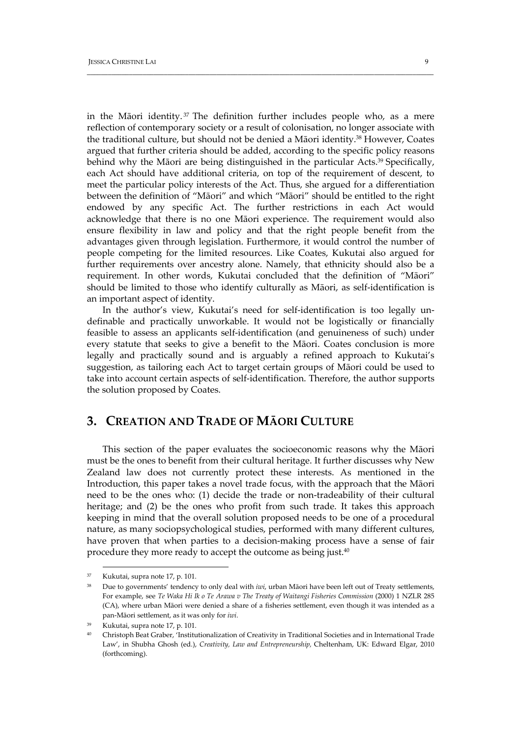in the Māori identity.<sup>37</sup> The definition further includes people who, as a mere reflection of contemporary society or a result of colonisation, no longer associate with the traditional culture, but should not be denied a Māori identity.<sup>38</sup> However, Coates argued that further criteria should be added, according to the specific policy reasons behind why the Māori are being distinguished in the particular Acts.<sup>39</sup> Specifically, each Act should have additional criteria, on top of the requirement of descent, to meet the particular policy interests of the Act. Thus, she argued for a differentiation between the definition of "Māori" and which "Māori" should be entitled to the right endowed by any specific Act. The further restrictions in each Act would acknowledge that there is no one Māori experience. The requirement would also ensure flexibility in law and policy and that the right people benefit from the advantages given through legislation. Furthermore, it would control the number of people competing for the limited resources. Like Coates, Kukutai also argued for further requirements over ancestry alone. Namely, that ethnicity should also be a requirement. In other words, Kukutai concluded that the definition of "Māori" should be limited to those who identify culturally as Māori, as self-identification is an important aspect of identity.

\_\_\_\_\_\_\_\_\_\_\_\_\_\_\_\_\_\_\_\_\_\_\_\_\_\_\_\_\_\_\_\_\_\_\_\_\_\_\_\_\_\_\_\_\_\_\_\_\_\_\_\_\_\_\_\_\_\_\_\_\_\_\_\_\_\_\_\_\_\_\_\_\_\_\_\_\_\_\_\_\_\_\_\_\_\_\_\_\_\_\_\_\_\_\_\_\_\_\_

In the author's view, Kukutai's need for self-identification is too legally undefinable and practically unworkable. It would not be logistically or financially feasible to assess an applicants self-identification (and genuineness of such) under every statute that seeks to give a benefit to the Māori. Coates conclusion is more legally and practically sound and is arguably a refined approach to Kukutai's suggestion, as tailoring each Act to target certain groups of Māori could be used to take into account certain aspects of self-identification. Therefore, the author supports the solution proposed by Coates.

## 3. CREATION AND TRADE OF MĀORI CULTURE

This section of the paper evaluates the socioeconomic reasons why the Māori must be the ones to benefit from their cultural heritage. It further discusses why New Zealand law does not currently protect these interests. As mentioned in the Introduction, this paper takes a novel trade focus, with the approach that the Māori need to be the ones who: (1) decide the trade or non-tradeability of their cultural heritage; and (2) be the ones who profit from such trade. It takes this approach keeping in mind that the overall solution proposed needs to be one of a procedural nature, as many sociopsychological studies, performed with many different cultures, have proven that when parties to a decision-making process have a sense of fair procedure they more ready to accept the outcome as being just.<sup>40</sup>

<sup>37</sup> Kukutai, supra note 17, p. 101.

Due to governments' tendency to only deal with *iwi*, urban Māori have been left out of Treaty settlements, For example, see Te Waka Hi Ik o Te Arawa v The Treaty of Waitangi Fisheries Commission (2000) 1 NZLR 285 (CA), where urban Māori were denied a share of a fisheries settlement, even though it was intended as a pan-Māori settlement, as it was only for iwi.

<sup>39</sup> Kukutai, supra note 17, p. 101.

<sup>40</sup> Christoph Beat Graber, 'Institutionalization of Creativity in Traditional Societies and in International Trade Law', in Shubha Ghosh (ed.), Creativity, Law and Entrepreneurship, Cheltenham, UK: Edward Elgar, 2010 (forthcoming).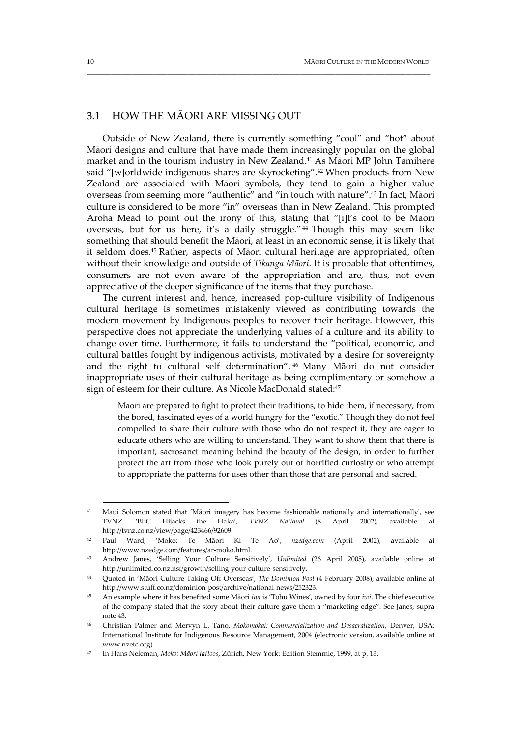## 3.1 HOW THE MĀORI ARE MISSING OUT

Outside of New Zealand, there is currently something "cool" and "hot" about Māori designs and culture that have made them increasingly popular on the global market and in the tourism industry in New Zealand.<sup>41</sup> As Māori MP John Tamihere said "[w]orldwide indigenous shares are skyrocketing".<sup>42</sup> When products from New Zealand are associated with Māori symbols, they tend to gain a higher value overseas from seeming more "authentic" and "in touch with nature".<sup>43</sup> In fact, Māori culture is considered to be more "in" overseas than in New Zealand. This prompted Aroha Mead to point out the irony of this, stating that "[i]t's cool to be Māori overseas, but for us here, it's a daily struggle." <sup>44</sup> Though this may seem like something that should benefit the Māori, at least in an economic sense, it is likely that it seldom does.<sup>45</sup> Rather, aspects of Māori cultural heritage are appropriated, often without their knowledge and outside of Tikanga Māori. It is probable that oftentimes, consumers are not even aware of the appropriation and are, thus, not even appreciative of the deeper significance of the items that they purchase.

\_\_\_\_\_\_\_\_\_\_\_\_\_\_\_\_\_\_\_\_\_\_\_\_\_\_\_\_\_\_\_\_\_\_\_\_\_\_\_\_\_\_\_\_\_\_\_\_\_\_\_\_\_\_\_\_\_\_\_\_\_\_\_\_\_\_\_\_\_\_\_\_\_\_\_\_\_\_\_\_\_\_\_\_\_\_\_\_\_\_\_\_\_\_\_\_\_\_

The current interest and, hence, increased pop-culture visibility of Indigenous cultural heritage is sometimes mistakenly viewed as contributing towards the modern movement by Indigenous peoples to recover their heritage. However, this perspective does not appreciate the underlying values of a culture and its ability to change over time. Furthermore, it fails to understand the "political, economic, and cultural battles fought by indigenous activists, motivated by a desire for sovereignty and the right to cultural self determination". <sup>46</sup> Many Māori do not consider inappropriate uses of their cultural heritage as being complimentary or somehow a sign of esteem for their culture. As Nicole MacDonald stated:<sup>47</sup>

Māori are prepared to fight to protect their traditions, to hide them, if necessary, from the bored, fascinated eyes of a world hungry for the "exotic." Though they do not feel compelled to share their culture with those who do not respect it, they are eager to educate others who are willing to understand. They want to show them that there is important, sacrosanct meaning behind the beauty of the design, in order to further protect the art from those who look purely out of horrified curiosity or who attempt to appropriate the patterns for uses other than those that are personal and sacred.

<sup>41</sup> Maui Solomon stated that 'Māori imagery has become fashionable nationally and internationally', see TVNZ, 'BBC Hijacks the Haka', TVNZ National (8 April 2002), available at http://tvnz.co.nz/view/page/423466/92609.

<sup>42</sup> Paul Ward, 'Moko: Te Māori Ki Te Ao', nzedge.com (April 2002), available at http://www.nzedge.com/features/ar-moko.html.

<sup>43</sup> Andrew Janes, 'Selling Your Culture Sensitively', Unlimited (26 April 2005), available online at http://unlimited.co.nz.nsf/growth/selling-your-culture-sensitively.

<sup>44</sup> Quoted in 'Māori Culture Taking Off Overseas', The Dominion Post (4 February 2008), available online at http://www.stuff.co.nz/dominion-post/archive/national-news/252323.

<sup>&</sup>lt;sup>45</sup> An example where it has benefited some Māori *iwi* is 'Tohu Wines', owned by four *iwi*. The chief executive of the company stated that the story about their culture gave them a "marketing edge". See Janes, supra note 43.

<sup>46</sup> Christian Palmer and Mervyn L. Tano, Mokomokai: Commercialization and Desacralization, Denver, USA: International Institute for Indigenous Resource Management, 2004 (electronic version, available online at www.nzetc.org).

<sup>&</sup>lt;sup>47</sup> In Hans Neleman, *Moko: Māori tattoos*, Zürich, New York: Edition Stemmle, 1999, at p. 13.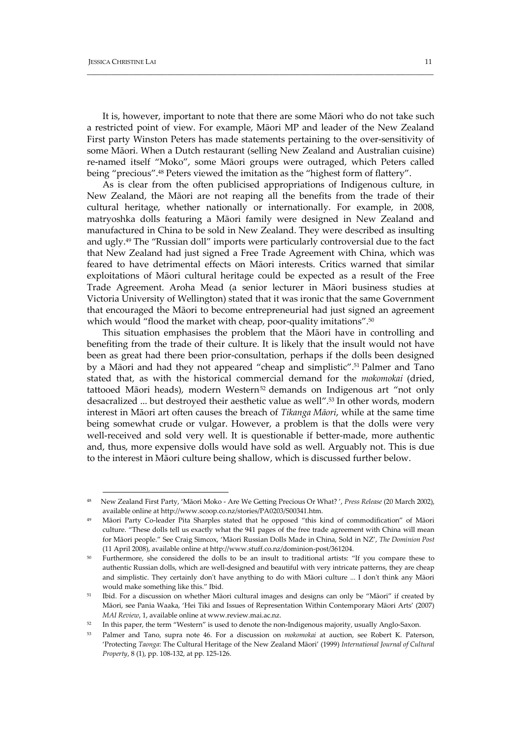j

It is, however, important to note that there are some Māori who do not take such a restricted point of view. For example, Māori MP and leader of the New Zealand First party Winston Peters has made statements pertaining to the over-sensitivity of some Māori. When a Dutch restaurant (selling New Zealand and Australian cuisine) re-named itself "Moko", some Māori groups were outraged, which Peters called being "precious".<sup>48</sup> Peters viewed the imitation as the "highest form of flattery".

\_\_\_\_\_\_\_\_\_\_\_\_\_\_\_\_\_\_\_\_\_\_\_\_\_\_\_\_\_\_\_\_\_\_\_\_\_\_\_\_\_\_\_\_\_\_\_\_\_\_\_\_\_\_\_\_\_\_\_\_\_\_\_\_\_\_\_\_\_\_\_\_\_\_\_\_\_\_\_\_\_\_\_\_\_\_\_\_\_\_\_\_\_\_\_\_\_\_\_

As is clear from the often publicised appropriations of Indigenous culture, in New Zealand, the Māori are not reaping all the benefits from the trade of their cultural heritage, whether nationally or internationally. For example, in 2008, matryoshka dolls featuring a Māori family were designed in New Zealand and manufactured in China to be sold in New Zealand. They were described as insulting and ugly.<sup>49</sup> The "Russian doll" imports were particularly controversial due to the fact that New Zealand had just signed a Free Trade Agreement with China, which was feared to have detrimental effects on Māori interests. Critics warned that similar exploitations of Māori cultural heritage could be expected as a result of the Free Trade Agreement. Aroha Mead (a senior lecturer in Māori business studies at Victoria University of Wellington) stated that it was ironic that the same Government that encouraged the Māori to become entrepreneurial had just signed an agreement which would "flood the market with cheap, poor-quality imitations". $^{50}$ 

This situation emphasises the problem that the Māori have in controlling and benefiting from the trade of their culture. It is likely that the insult would not have been as great had there been prior-consultation, perhaps if the dolls been designed by a Māori and had they not appeared "cheap and simplistic".<sup>51</sup> Palmer and Tano stated that, as with the historical commercial demand for the mokomokai (dried, tattooed Māori heads), modern Western<sup>52</sup> demands on Indigenous art "not only desacralized ... but destroyed their aesthetic value as well".<sup>53</sup> In other words, modern interest in Māori art often causes the breach of Tikanga Māori, while at the same time being somewhat crude or vulgar. However, a problem is that the dolls were very well-received and sold very well. It is questionable if better-made, more authentic and, thus, more expensive dolls would have sold as well. Arguably not. This is due to the interest in Māori culture being shallow, which is discussed further below.

<sup>&</sup>lt;sup>48</sup> New Zealand First Party, 'Māori Moko - Are We Getting Precious Or What?', Press Release (20 March 2002), available online at http://www.scoop.co.nz/stories/PA0203/S00341.htm.

<sup>49</sup> Māori Party Co-leader Pita Sharples stated that he opposed "this kind of commodification" of Māori culture. "These dolls tell us exactly what the 941 pages of the free trade agreement with China will mean for Māori people." See Craig Simcox, 'Māori Russian Dolls Made in China, Sold in NZ', The Dominion Post (11 April 2008), available online at http://www.stuff.co.nz/dominion-post/361204.

<sup>50</sup> Furthermore, she considered the dolls to be an insult to traditional artists: "If you compare these to authentic Russian dolls, which are well-designed and beautiful with very intricate patterns, they are cheap and simplistic. They certainly don't have anything to do with Māori culture ... I don't think any Māori would make something like this." Ibid.

<sup>51</sup> Ibid. For a discussion on whether Māori cultural images and designs can only be "Māori" if created by Māori, see Pania Waaka, 'Hei Tiki and Issues of Representation Within Contemporary Māori Arts' (2007) MAI Review, 1, available online at www.review.mai.ac.nz.

<sup>&</sup>lt;sup>52</sup> In this paper, the term "Western" is used to denote the non-Indigenous majority, usually Anglo-Saxon.

<sup>53</sup> Palmer and Tano, supra note 46. For a discussion on mokomokai at auction, see Robert K. Paterson, 'Protecting Taonga: The Cultural Heritage of the New Zealand Māori' (1999) International Journal of Cultural Property, 8 (1), pp. 108-132, at pp. 125-126.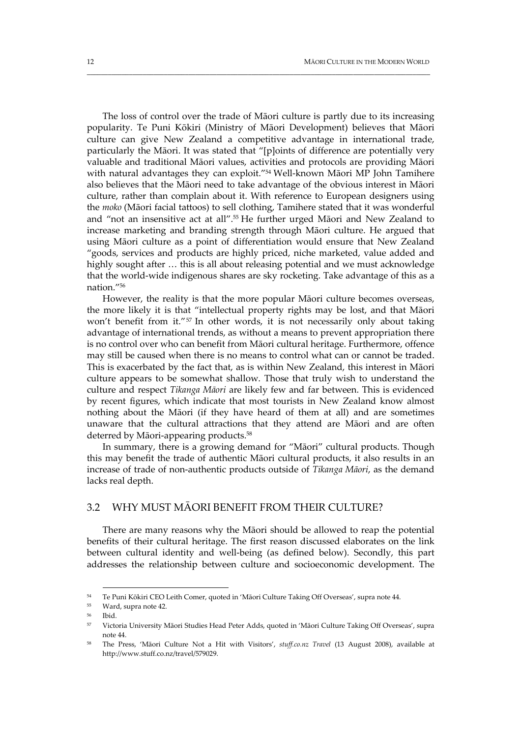The loss of control over the trade of Māori culture is partly due to its increasing popularity. Te Puni Kōkiri (Ministry of Māori Development) believes that Māori culture can give New Zealand a competitive advantage in international trade, particularly the Māori. It was stated that "[p]oints of difference are potentially very valuable and traditional Māori values, activities and protocols are providing Māori with natural advantages they can exploit."<sup>54</sup> Well-known Māori MP John Tamihere also believes that the Māori need to take advantage of the obvious interest in Māori culture, rather than complain about it. With reference to European designers using the moko (Māori facial tattoos) to sell clothing, Tamihere stated that it was wonderful and "not an insensitive act at all".<sup>55</sup> He further urged Māori and New Zealand to increase marketing and branding strength through Māori culture. He argued that using Māori culture as a point of differentiation would ensure that New Zealand "goods, services and products are highly priced, niche marketed, value added and highly sought after … this is all about releasing potential and we must acknowledge that the world-wide indigenous shares are sky rocketing. Take advantage of this as a nation."<sup>56</sup>

\_\_\_\_\_\_\_\_\_\_\_\_\_\_\_\_\_\_\_\_\_\_\_\_\_\_\_\_\_\_\_\_\_\_\_\_\_\_\_\_\_\_\_\_\_\_\_\_\_\_\_\_\_\_\_\_\_\_\_\_\_\_\_\_\_\_\_\_\_\_\_\_\_\_\_\_\_\_\_\_\_\_\_\_\_\_\_\_\_\_\_\_\_\_\_\_\_\_

However, the reality is that the more popular Māori culture becomes overseas, the more likely it is that "intellectual property rights may be lost, and that Māori won't benefit from it."<sup>57</sup> In other words, it is not necessarily only about taking advantage of international trends, as without a means to prevent appropriation there is no control over who can benefit from Māori cultural heritage. Furthermore, offence may still be caused when there is no means to control what can or cannot be traded. This is exacerbated by the fact that, as is within New Zealand, this interest in Māori culture appears to be somewhat shallow. Those that truly wish to understand the culture and respect Tikanga Māori are likely few and far between. This is evidenced by recent figures, which indicate that most tourists in New Zealand know almost nothing about the Māori (if they have heard of them at all) and are sometimes unaware that the cultural attractions that they attend are Māori and are often deterred by Māori-appearing products.<sup>58</sup>

In summary, there is a growing demand for "Māori" cultural products. Though this may benefit the trade of authentic Māori cultural products, it also results in an increase of trade of non-authentic products outside of Tikanga Māori, as the demand lacks real depth.

### 3.2 WHY MUST MĀORI BENEFIT FROM THEIR CULTURE?

There are many reasons why the Māori should be allowed to reap the potential benefits of their cultural heritage. The first reason discussed elaborates on the link between cultural identity and well-being (as defined below). Secondly, this part addresses the relationship between culture and socioeconomic development. The

<sup>54</sup> Te Puni Kōkiri CEO Leith Comer, quoted in 'Māori Culture Taking Off Overseas', supra note 44.

<sup>55</sup> Ward, supra note 42.

Ibid.

<sup>57</sup> Victoria University Māori Studies Head Peter Adds, quoted in 'Māori Culture Taking Off Overseas', supra note 44.

<sup>58</sup> The Press, 'Māori Culture Not a Hit with Visitors', stuff.co.nz Travel (13 August 2008), available at http://www.stuff.co.nz/travel/579029.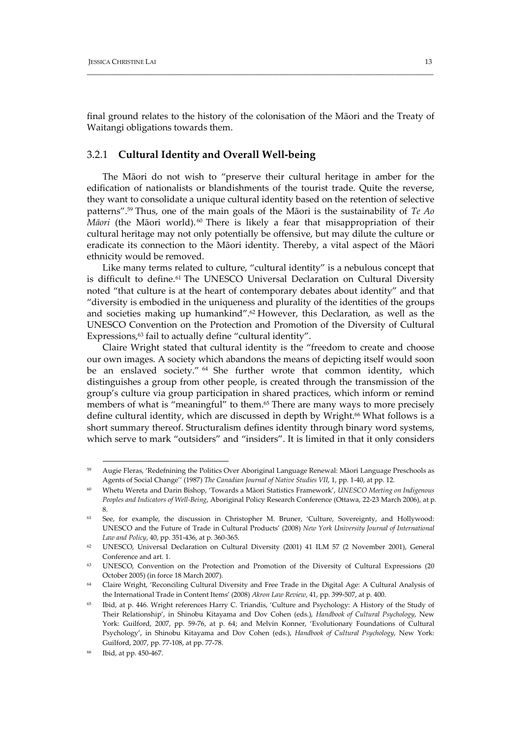final ground relates to the history of the colonisation of the Māori and the Treaty of Waitangi obligations towards them.

\_\_\_\_\_\_\_\_\_\_\_\_\_\_\_\_\_\_\_\_\_\_\_\_\_\_\_\_\_\_\_\_\_\_\_\_\_\_\_\_\_\_\_\_\_\_\_\_\_\_\_\_\_\_\_\_\_\_\_\_\_\_\_\_\_\_\_\_\_\_\_\_\_\_\_\_\_\_\_\_\_\_\_\_\_\_\_\_\_\_\_\_\_\_\_\_\_\_\_

#### 3.2.1 Cultural Identity and Overall Well-being

The Māori do not wish to "preserve their cultural heritage in amber for the edification of nationalists or blandishments of the tourist trade. Quite the reverse, they want to consolidate a unique cultural identity based on the retention of selective patterns".<sup>59</sup> Thus, one of the main goals of the Māori is the sustainability of Te Ao *Māori* (the Māori world).<sup>60</sup> There is likely a fear that misappropriation of their cultural heritage may not only potentially be offensive, but may dilute the culture or eradicate its connection to the Māori identity. Thereby, a vital aspect of the Māori ethnicity would be removed.

Like many terms related to culture, "cultural identity" is a nebulous concept that is difficult to define.<sup>61</sup> The UNESCO Universal Declaration on Cultural Diversity noted "that culture is at the heart of contemporary debates about identity" and that "diversity is embodied in the uniqueness and plurality of the identities of the groups and societies making up humankind".<sup>62</sup> However, this Declaration, as well as the UNESCO Convention on the Protection and Promotion of the Diversity of Cultural Expressions,<sup>63</sup> fail to actually define "cultural identity".

Claire Wright stated that cultural identity is the "freedom to create and choose our own images. A society which abandons the means of depicting itself would soon be an enslaved society." <sup>64</sup> She further wrote that common identity, which distinguishes a group from other people, is created through the transmission of the group's culture via group participation in shared practices, which inform or remind members of what is "meaningful" to them.<sup>65</sup> There are many ways to more precisely define cultural identity, which are discussed in depth by Wright.<sup>66</sup> What follows is a short summary thereof. Structuralism defines identity through binary word systems, which serve to mark "outsiders" and "insiders". It is limited in that it only considers

<sup>59</sup> Augie Fleras, 'Redefnining the Politics Over Aboriginal Language Renewal: Māori Language Preschools as Agents of Social Change'' (1987) The Canadian Journal of Native Studies VII, 1, pp. 1-40, at pp. 12.

Whetu Wereta and Darin Bishop, 'Towards a Māori Statistics Framework', UNESCO Meeting on Indigenous Peoples and Indicators of Well-Being, Aboriginal Policy Research Conference (Ottawa, 22-23 March 2006), at p. 8.

<sup>&</sup>lt;sup>61</sup> See, for example, the discussion in Christopher M. Bruner, 'Culture, Sovereignty, and Hollywood: UNESCO and the Future of Trade in Cultural Products' (2008) New York University Journal of International Law and Policy, 40, pp. 351-436, at p. 360-365.

<sup>62</sup> UNESCO, Universal Declaration on Cultural Diversity (2001) 41 ILM 57 (2 November 2001), General Conference and art. 1.

<sup>&</sup>lt;sup>63</sup> UNESCO, Convention on the Protection and Promotion of the Diversity of Cultural Expressions (20 October 2005) (in force 18 March 2007).

<sup>64</sup> Claire Wright, 'Reconciling Cultural Diversity and Free Trade in the Digital Age: A Cultural Analysis of the International Trade in Content Items' (2008) Akron Law Review, 41, pp. 399-507, at p. 400.

<sup>65</sup> Ibid, at p. 446. Wright references Harry C. Triandis, 'Culture and Psychology: A History of the Study of Their Relationship', in Shinobu Kitayama and Dov Cohen (eds.), Handbook of Cultural Psychology, New York: Guilford, 2007, pp. 59-76, at p. 64; and Melvin Konner, 'Evolutionary Foundations of Cultural Psychology', in Shinobu Kitayama and Dov Cohen (eds.), Handbook of Cultural Psychology, New York: Guilford, 2007, pp. 77-108, at pp. 77-78.

<sup>66</sup> Ibid, at pp. 450-467.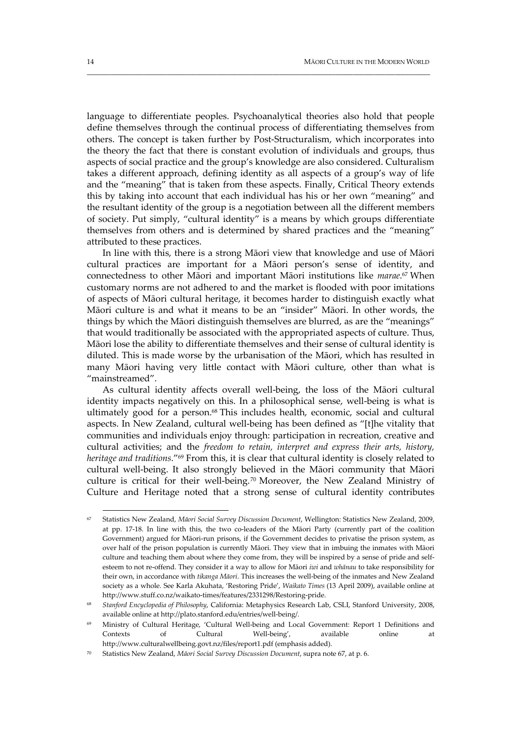language to differentiate peoples. Psychoanalytical theories also hold that people define themselves through the continual process of differentiating themselves from others. The concept is taken further by Post-Structuralism, which incorporates into the theory the fact that there is constant evolution of individuals and groups, thus aspects of social practice and the group's knowledge are also considered. Culturalism takes a different approach, defining identity as all aspects of a group's way of life and the "meaning" that is taken from these aspects. Finally, Critical Theory extends this by taking into account that each individual has his or her own "meaning" and the resultant identity of the group is a negotiation between all the different members of society. Put simply, "cultural identity" is a means by which groups differentiate themselves from others and is determined by shared practices and the "meaning" attributed to these practices.

\_\_\_\_\_\_\_\_\_\_\_\_\_\_\_\_\_\_\_\_\_\_\_\_\_\_\_\_\_\_\_\_\_\_\_\_\_\_\_\_\_\_\_\_\_\_\_\_\_\_\_\_\_\_\_\_\_\_\_\_\_\_\_\_\_\_\_\_\_\_\_\_\_\_\_\_\_\_\_\_\_\_\_\_\_\_\_\_\_\_\_\_\_\_\_\_\_\_

In line with this, there is a strong Māori view that knowledge and use of Māori cultural practices are important for a Māori person's sense of identity, and connectedness to other Māori and important Māori institutions like *marae*.<sup>67</sup> When customary norms are not adhered to and the market is flooded with poor imitations of aspects of Māori cultural heritage, it becomes harder to distinguish exactly what Māori culture is and what it means to be an "insider" Māori. In other words, the things by which the Māori distinguish themselves are blurred, as are the "meanings" that would traditionally be associated with the appropriated aspects of culture. Thus, Māori lose the ability to differentiate themselves and their sense of cultural identity is diluted. This is made worse by the urbanisation of the Māori, which has resulted in many Māori having very little contact with Māori culture, other than what is "mainstreamed".

As cultural identity affects overall well-being, the loss of the Māori cultural identity impacts negatively on this. In a philosophical sense, well-being is what is ultimately good for a person.<sup>68</sup> This includes health, economic, social and cultural aspects. In New Zealand, cultural well-being has been defined as "[t]he vitality that communities and individuals enjoy through: participation in recreation, creative and cultural activities; and the freedom to retain, interpret and express their arts, history, heritage and traditions."<sup>69</sup> From this, it is clear that cultural identity is closely related to cultural well-being. It also strongly believed in the Māori community that Māori culture is critical for their well-being.<sup>70</sup> Moreover, the New Zealand Ministry of Culture and Heritage noted that a strong sense of cultural identity contributes

<sup>67</sup> Statistics New Zealand, Māori Social Survey Discussion Document, Wellington: Statistics New Zealand, 2009, at pp. 17-18. In line with this, the two co-leaders of the Māori Party (currently part of the coalition Government) argued for Māori-run prisons, if the Government decides to privatise the prison system, as over half of the prison population is currently Māori. They view that in imbuing the inmates with Māori culture and teaching them about where they come from, they will be inspired by a sense of pride and selfesteem to not re-offend. They consider it a way to allow for Māori *iwi* and whanau to take responsibility for their own, in accordance with tikanga Māori. This increases the well-being of the inmates and New Zealand society as a whole. See Karla Akuhata, 'Restoring Pride', Waikato Times (13 April 2009), available online at http://www.stuff.co.nz/waikato-times/features/2331298/Restoring-pride.

<sup>68</sup> Stanford Encyclopedia of Philosophy, California: Metaphysics Research Lab, CSLI, Stanford University, 2008, available online at http://plato.stanford.edu/entries/well-being/.

<sup>69</sup> Ministry of Cultural Heritage, 'Cultural Well-being and Local Government: Report 1 Definitions and Contexts of Cultural Well-being', available online at http://www.culturalwellbeing.govt.nz/files/report1.pdf (emphasis added).

<sup>70</sup> Statistics New Zealand, Māori Social Survey Discussion Document, supra note 67, at p. 6.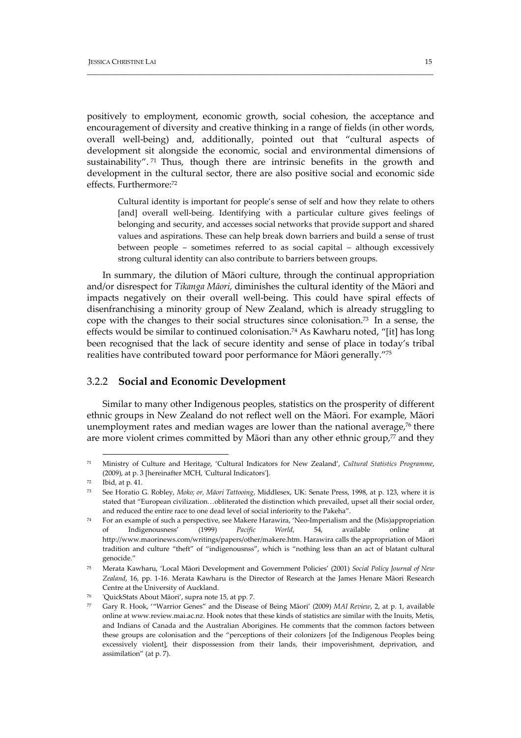positively to employment, economic growth, social cohesion, the acceptance and encouragement of diversity and creative thinking in a range of fields (in other words, overall well-being) and, additionally, pointed out that "cultural aspects of development sit alongside the economic, social and environmental dimensions of sustainability".<sup>71</sup> Thus, though there are intrinsic benefits in the growth and development in the cultural sector, there are also positive social and economic side effects. Furthermore:<sup>72</sup>

\_\_\_\_\_\_\_\_\_\_\_\_\_\_\_\_\_\_\_\_\_\_\_\_\_\_\_\_\_\_\_\_\_\_\_\_\_\_\_\_\_\_\_\_\_\_\_\_\_\_\_\_\_\_\_\_\_\_\_\_\_\_\_\_\_\_\_\_\_\_\_\_\_\_\_\_\_\_\_\_\_\_\_\_\_\_\_\_\_\_\_\_\_\_\_\_\_\_\_

Cultural identity is important for people's sense of self and how they relate to others [and] overall well-being. Identifying with a particular culture gives feelings of belonging and security, and accesses social networks that provide support and shared values and aspirations. These can help break down barriers and build a sense of trust between people – sometimes referred to as social capital – although excessively strong cultural identity can also contribute to barriers between groups.

In summary, the dilution of Māori culture, through the continual appropriation and/or disrespect for Tikanga Māori, diminishes the cultural identity of the Māori and impacts negatively on their overall well-being. This could have spiral effects of disenfranchising a minority group of New Zealand, which is already struggling to cope with the changes to their social structures since colonisation.<sup>73</sup> In a sense, the effects would be similar to continued colonisation.<sup>74</sup> As Kawharu noted, "[it] has long been recognised that the lack of secure identity and sense of place in today's tribal realities have contributed toward poor performance for Māori generally."<sup>75</sup>

#### 3.2.2 Social and Economic Development

Similar to many other Indigenous peoples, statistics on the prosperity of different ethnic groups in New Zealand do not reflect well on the Māori. For example, Māori unemployment rates and median wages are lower than the national average, $76$  there are more violent crimes committed by Māori than any other ethnic group,<sup>77</sup> and they

<sup>&</sup>lt;sup>71</sup> Ministry of Culture and Heritage, 'Cultural Indicators for New Zealand', Cultural Statistics Programme, (2009), at p. 3 [hereinafter MCH, 'Cultural Indicators'].

<sup>72</sup> Ibid, at p. 41.

See Horatio G. Robley, Moko; or, Māori Tattooing, Middlesex, UK: Senate Press, 1998, at p. 123, where it is stated that "European civilization…obliterated the distinction which prevailed, upset all their social order, and reduced the entire race to one dead level of social inferiority to the Pakeha".

<sup>74</sup> For an example of such a perspective, see Makere Harawira, 'Neo-Imperialism and the (Mis)appropriation of Indigenousness' (1999) Pacific World, 54, available online at http://www.maorinews.com/writings/papers/other/makere.htm. Harawira calls the appropriation of Māori tradition and culture "theft" of "indigenousnss", which is "nothing less than an act of blatant cultural genocide."

<sup>75</sup> Merata Kawharu, 'Local Māori Development and Government Policies' (2001) Social Policy Journal of New Zealand, 16, pp. 1-16. Merata Kawharu is the Director of Research at the James Henare Māori Research Centre at the University of Auckland.

<sup>76</sup> 'QuickStats About Māori', supra note 15, at pp. 7.

Gary R. Hook, "Warrior Genes" and the Disease of Being Māori' (2009) MAI Review, 2, at p. 1, available online at www.review.mai.ac.nz. Hook notes that these kinds of statistics are similar with the Inuits, Metis, and Indians of Canada and the Australian Aborigines. He comments that the common factors between these groups are colonisation and the "perceptions of their colonizers [of the Indigenous Peoples being excessively violent], their dispossession from their lands, their impoverishment, deprivation, and assimilation" (at p. 7).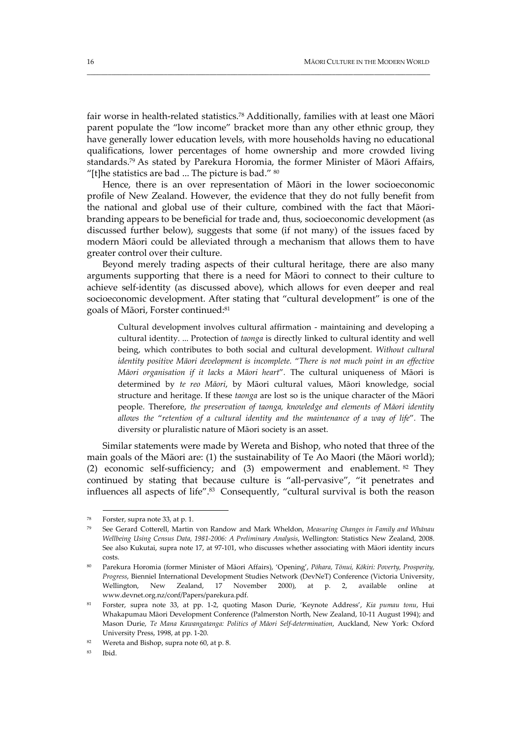fair worse in health-related statistics.<sup>78</sup> Additionally, families with at least one Māori parent populate the "low income" bracket more than any other ethnic group, they have generally lower education levels, with more households having no educational qualifications, lower percentages of home ownership and more crowded living standards.<sup>79</sup> As stated by Parekura Horomia, the former Minister of Māori Affairs, "[t]he statistics are bad ... The picture is bad."  $80$ 

\_\_\_\_\_\_\_\_\_\_\_\_\_\_\_\_\_\_\_\_\_\_\_\_\_\_\_\_\_\_\_\_\_\_\_\_\_\_\_\_\_\_\_\_\_\_\_\_\_\_\_\_\_\_\_\_\_\_\_\_\_\_\_\_\_\_\_\_\_\_\_\_\_\_\_\_\_\_\_\_\_\_\_\_\_\_\_\_\_\_\_\_\_\_\_\_\_\_

Hence, there is an over representation of Māori in the lower socioeconomic profile of New Zealand. However, the evidence that they do not fully benefit from the national and global use of their culture, combined with the fact that Māoribranding appears to be beneficial for trade and, thus, socioeconomic development (as discussed further below), suggests that some (if not many) of the issues faced by modern Māori could be alleviated through a mechanism that allows them to have greater control over their culture.

Beyond merely trading aspects of their cultural heritage, there are also many arguments supporting that there is a need for Māori to connect to their culture to achieve self-identity (as discussed above), which allows for even deeper and real socioeconomic development. After stating that "cultural development" is one of the goals of Māori, Forster continued:<sup>81</sup>

Cultural development involves cultural affirmation - maintaining and developing a cultural identity. ... Protection of taonga is directly linked to cultural identity and well being, which contributes to both social and cultural development. Without cultural identity positive Māori development is incomplete. "There is not much point in an effective Māori organisation if it lacks a Māori heart". The cultural uniqueness of Māori is determined by te reo Māori, by Māori cultural values, Māori knowledge, social structure and heritage. If these taonga are lost so is the unique character of the Māori people. Therefore, the preservation of taonga, knowledge and elements of Māori identity allows the "retention of a cultural identity and the maintenance of a way of life". The diversity or pluralistic nature of Māori society is an asset.

Similar statements were made by Wereta and Bishop, who noted that three of the main goals of the Māori are: (1) the sustainability of Te Ao Maori (the Māori world); (2) economic self-sufficiency; and (3) empowerment and enablement. <sup>82</sup> They continued by stating that because culture is "all-pervasive", "it penetrates and influences all aspects of life".<sup>83</sup> Consequently, "cultural survival is both the reason

<sup>78</sup> Forster, supra note 33, at p. 1.

See Gerard Cotterell, Martin von Randow and Mark Wheldon, Measuring Changes in Family and Whānau Wellbeing Using Census Data, 1981-2006: A Preliminary Analysis, Wellington: Statistics New Zealand, 2008. See also Kukutai, supra note 17, at 97-101, who discusses whether associating with Māori identity incurs costs.

<sup>80</sup> Parekura Horomia (former Minister of Māori Affairs), 'Opening', Pōhara, Tōnui, Kōkiri: Poverty, Prosperity, Progress, Bienniel International Development Studies Network (DevNeT) Conference (Victoria University, Wellington, New Zealand, 17 November 2000), at p. 2, available online at www.devnet.org.nz/conf/Papers/parekura.pdf.

<sup>81</sup> Forster, supra note 33, at pp. 1-2, quoting Mason Durie, 'Keynote Address', Kia pumau tonu, Hui Whakapumau Māori Development Conference (Palmerston North, New Zealand, 10-11 August 1994); and Mason Durie, Te Mana Kawangatanga: Politics of Māori Self-determination, Auckland, New York: Oxford University Press, 1998, at pp. 1-20.

<sup>82</sup> Wereta and Bishop, supra note 60, at p. 8.

<sup>83</sup> Ibid.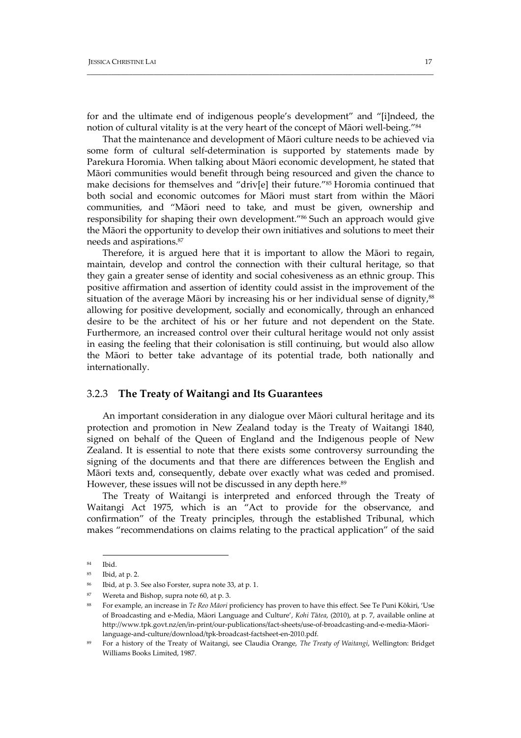for and the ultimate end of indigenous people's development" and "[i]ndeed, the notion of cultural vitality is at the very heart of the concept of Māori well-being."<sup>84</sup>

\_\_\_\_\_\_\_\_\_\_\_\_\_\_\_\_\_\_\_\_\_\_\_\_\_\_\_\_\_\_\_\_\_\_\_\_\_\_\_\_\_\_\_\_\_\_\_\_\_\_\_\_\_\_\_\_\_\_\_\_\_\_\_\_\_\_\_\_\_\_\_\_\_\_\_\_\_\_\_\_\_\_\_\_\_\_\_\_\_\_\_\_\_\_\_\_\_\_\_

That the maintenance and development of Māori culture needs to be achieved via some form of cultural self-determination is supported by statements made by Parekura Horomia. When talking about Māori economic development, he stated that Māori communities would benefit through being resourced and given the chance to make decisions for themselves and "driv[e] their future."<sup>85</sup> Horomia continued that both social and economic outcomes for Māori must start from within the Māori communities, and "Māori need to take, and must be given, ownership and responsibility for shaping their own development."<sup>86</sup> Such an approach would give the Māori the opportunity to develop their own initiatives and solutions to meet their needs and aspirations.<sup>87</sup>

Therefore, it is argued here that it is important to allow the Māori to regain, maintain, develop and control the connection with their cultural heritage, so that they gain a greater sense of identity and social cohesiveness as an ethnic group. This positive affirmation and assertion of identity could assist in the improvement of the situation of the average Māori by increasing his or her individual sense of dignity,<sup>88</sup> allowing for positive development, socially and economically, through an enhanced desire to be the architect of his or her future and not dependent on the State. Furthermore, an increased control over their cultural heritage would not only assist in easing the feeling that their colonisation is still continuing, but would also allow the Māori to better take advantage of its potential trade, both nationally and internationally.

#### 3.2.3 The Treaty of Waitangi and Its Guarantees

An important consideration in any dialogue over Māori cultural heritage and its protection and promotion in New Zealand today is the Treaty of Waitangi 1840, signed on behalf of the Queen of England and the Indigenous people of New Zealand. It is essential to note that there exists some controversy surrounding the signing of the documents and that there are differences between the English and Māori texts and, consequently, debate over exactly what was ceded and promised. However, these issues will not be discussed in any depth here.<sup>89</sup>

The Treaty of Waitangi is interpreted and enforced through the Treaty of Waitangi Act 1975, which is an "Act to provide for the observance, and confirmation" of the Treaty principles, through the established Tribunal, which makes "recommendations on claims relating to the practical application" of the said

j <sup>84</sup> Ibid.

<sup>85</sup> Ibid, at p. 2.

Ibid, at p. 3. See also Forster, supra note 33, at p. 1.

Wereta and Bishop, supra note 60, at p. 3.

<sup>88</sup> For example, an increase in Te Reo Māori proficiency has proven to have this effect. See Te Puni Kōkiri, 'Use of Broadcasting and e-Media, Māori Language and Culture', Kohi Tātea, (2010), at p. 7, available online at http://www.tpk.govt.nz/en/in-print/our-publications/fact-sheets/use-of-broadcasting-and-e-media-Māorilanguage-and-culture/download/tpk-broadcast-factsheet-en-2010.pdf.

<sup>89</sup> For a history of the Treaty of Waitangi, see Claudia Orange, The Treaty of Waitangi, Wellington: Bridget Williams Books Limited, 1987.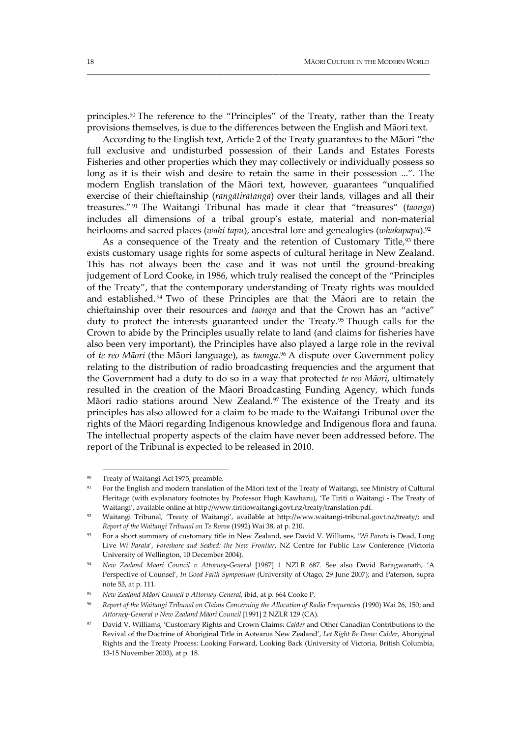principles.<sup>90</sup> The reference to the "Principles" of the Treaty, rather than the Treaty provisions themselves, is due to the differences between the English and Māori text.

\_\_\_\_\_\_\_\_\_\_\_\_\_\_\_\_\_\_\_\_\_\_\_\_\_\_\_\_\_\_\_\_\_\_\_\_\_\_\_\_\_\_\_\_\_\_\_\_\_\_\_\_\_\_\_\_\_\_\_\_\_\_\_\_\_\_\_\_\_\_\_\_\_\_\_\_\_\_\_\_\_\_\_\_\_\_\_\_\_\_\_\_\_\_\_\_\_\_

According to the English text, Article 2 of the Treaty guarantees to the Māori "the full exclusive and undisturbed possession of their Lands and Estates Forests Fisheries and other properties which they may collectively or individually possess so long as it is their wish and desire to retain the same in their possession ...". The modern English translation of the Māori text, however, guarantees "unqualified exercise of their chieftainship (rangātiratanga) over their lands, villages and all their treasures." <sup>91</sup> The Waitangi Tribunal has made it clear that "treasures" (taonga) includes all dimensions of a tribal group's estate, material and non-material heirlooms and sacred places (wahi tapu), ancestral lore and genealogies (whakapapa).<sup>92</sup>

As a consequence of the Treaty and the retention of Customary Title,<sup>93</sup> there exists customary usage rights for some aspects of cultural heritage in New Zealand. This has not always been the case and it was not until the ground-breaking judgement of Lord Cooke, in 1986, which truly realised the concept of the "Principles of the Treaty", that the contemporary understanding of Treaty rights was moulded and established. <sup>94</sup> Two of these Principles are that the Māori are to retain the chieftainship over their resources and taonga and that the Crown has an "active" duty to protect the interests guaranteed under the Treaty.<sup>95</sup> Though calls for the Crown to abide by the Principles usually relate to land (and claims for fisheries have also been very important), the Principles have also played a large role in the revival of te reo Māori (the Māori language), as taonga.<sup>96</sup> A dispute over Government policy relating to the distribution of radio broadcasting frequencies and the argument that the Government had a duty to do so in a way that protected te reo Māori, ultimately resulted in the creation of the Māori Broadcasting Funding Agency, which funds Māori radio stations around New Zealand.<sup>97</sup> The existence of the Treaty and its principles has also allowed for a claim to be made to the Waitangi Tribunal over the rights of the Māori regarding Indigenous knowledge and Indigenous flora and fauna. The intellectual property aspects of the claim have never been addressed before. The report of the Tribunal is expected to be released in 2010.

<sup>90</sup> Treaty of Waitangi Act 1975, preamble.

<sup>91</sup> For the English and modern translation of the Māori text of the Treaty of Waitangi, see Ministry of Cultural Heritage (with explanatory footnotes by Professor Hugh Kawharu), 'Te Tiriti o Waitangi - The Treaty of Waitangi', available online at http://www.tiritiowaitangi.govt.nz/treaty/translation.pdf.

<sup>92</sup> Waitangi Tribunal, 'Treaty of Waitangi', available at http://www.waitangi-tribunal.govt.nz/treaty/; and Report of the Waitangi Tribunal on Te Roroa (1992) Wai 38, at p. 210.

<sup>93</sup> For a short summary of customary title in New Zealand, see David V. Williams, 'Wi Parata is Dead, Long Live Wi Parata', Foreshore and Seabed: the New Frontier, NZ Centre for Public Law Conference (Victoria University of Wellington, 10 December 2004).

<sup>94</sup> New Zealand Māori Council v Attorney-General [1987] 1 NZLR 687. See also David Baragwanath, 'A Perspective of Counsel', In Good Faith Symposium (University of Otago, 29 June 2007); and Paterson, supra note 53, at p. 111.

<sup>95</sup> New Zealand Māori Council v Attorney-General, ibid, at p. 664 Cooke P.

<sup>96</sup> Report of the Waitangi Tribunal on Claims Concerning the Allocation of Radio Frequencies (1990) Wai 26, 150; and Attorney-General v New Zealand Māori Council [1991] 2 NZLR 129 (CA).

David V. Williams, 'Customary Rights and Crown Claims: Calder and Other Canadian Contributions to the Revival of the Doctrine of Aboriginal Title in Aotearoa New Zealand', Let Right Be Done: Calder, Aboriginal Rights and the Treaty Process: Looking Forward, Looking Back (University of Victoria, British Columbia, 13-15 November 2003), at p. 18.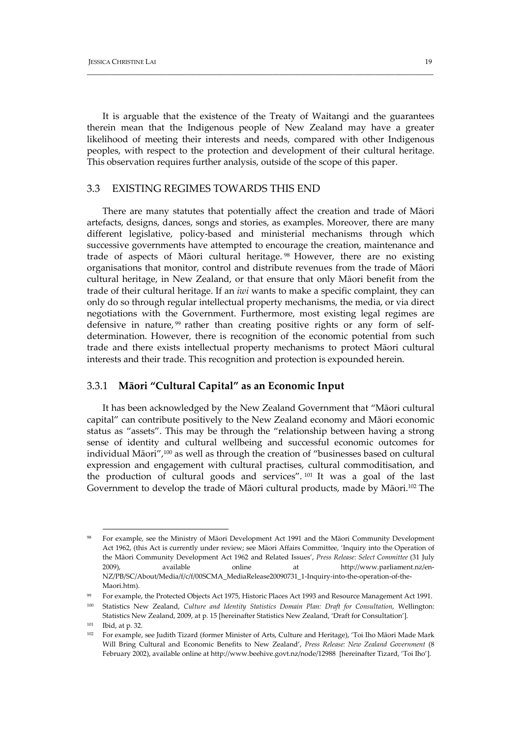It is arguable that the existence of the Treaty of Waitangi and the guarantees therein mean that the Indigenous people of New Zealand may have a greater likelihood of meeting their interests and needs, compared with other Indigenous peoples, with respect to the protection and development of their cultural heritage. This observation requires further analysis, outside of the scope of this paper.

\_\_\_\_\_\_\_\_\_\_\_\_\_\_\_\_\_\_\_\_\_\_\_\_\_\_\_\_\_\_\_\_\_\_\_\_\_\_\_\_\_\_\_\_\_\_\_\_\_\_\_\_\_\_\_\_\_\_\_\_\_\_\_\_\_\_\_\_\_\_\_\_\_\_\_\_\_\_\_\_\_\_\_\_\_\_\_\_\_\_\_\_\_\_\_\_\_\_\_

## 3.3 EXISTING REGIMES TOWARDS THIS END

There are many statutes that potentially affect the creation and trade of Māori artefacts, designs, dances, songs and stories, as examples. Moreover, there are many different legislative, policy-based and ministerial mechanisms through which successive governments have attempted to encourage the creation, maintenance and trade of aspects of Māori cultural heritage. <sup>98</sup> However, there are no existing organisations that monitor, control and distribute revenues from the trade of Māori cultural heritage, in New Zealand, or that ensure that only Māori benefit from the trade of their cultural heritage. If an *iwi* wants to make a specific complaint, they can only do so through regular intellectual property mechanisms, the media, or via direct negotiations with the Government. Furthermore, most existing legal regimes are defensive in nature,<sup>99</sup> rather than creating positive rights or any form of selfdetermination. However, there is recognition of the economic potential from such trade and there exists intellectual property mechanisms to protect Māori cultural interests and their trade. This recognition and protection is expounded herein.

#### 3.3.1 Māori "Cultural Capital" as an Economic Input

It has been acknowledged by the New Zealand Government that "Māori cultural capital" can contribute positively to the New Zealand economy and Māori economic status as "assets". This may be through the "relationship between having a strong sense of identity and cultural wellbeing and successful economic outcomes for individual Māori",<sup>100</sup> as well as through the creation of "businesses based on cultural expression and engagement with cultural practises, cultural commoditisation, and the production of cultural goods and services". <sup>101</sup> It was a goal of the last Government to develop the trade of Māori cultural products, made by Māori.<sup>102</sup> The

<sup>98</sup> For example, see the Ministry of Māori Development Act 1991 and the Māori Community Development Act 1962, (this Act is currently under review; see Māori Affairs Committee, 'Inquiry into the Operation of the Māori Community Development Act 1962 and Related Issues', Press Release: Select Committee (31 July 2009), available online at http://www.parliament.nz/en-NZ/PB/SC/About/Media/f/c/f/00SCMA\_MediaRelease20090731\_1-Inquiry-into-the-operation-of-the-Maori htm).

<sup>99</sup> For example, the Protected Objects Act 1975, Historic Places Act 1993 and Resource Management Act 1991.

<sup>100</sup> Statistics New Zealand, Culture and Identity Statistics Domain Plan: Draft for Consultation, Wellington: Statistics New Zealand, 2009, at p. 15 [hereinafter Statistics New Zealand, 'Draft for Consultation'].

<sup>101</sup> Ibid, at p. 32.

<sup>102</sup> For example, see Judith Tizard (former Minister of Arts, Culture and Heritage), 'Toi Iho Māori Made Mark Will Bring Cultural and Economic Benefits to New Zealand', Press Release: New Zealand Government (8 February 2002), available online at http://www.beehive.govt.nz/node/12988 [hereinafter Tizard, 'Toi Iho'].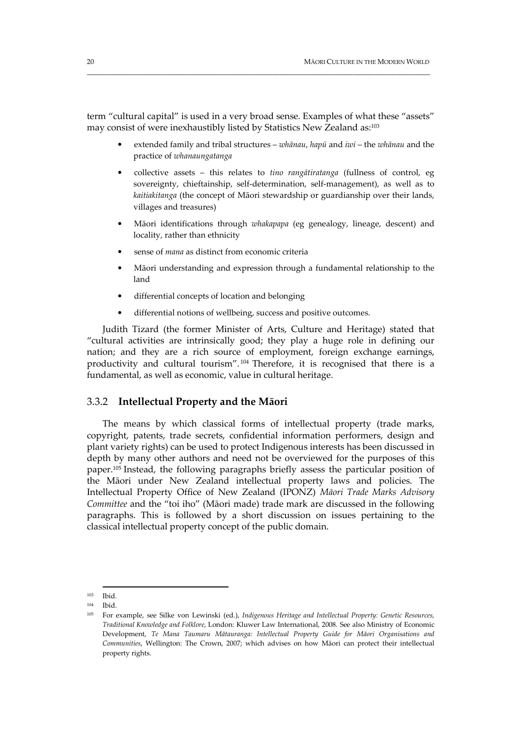term "cultural capital" is used in a very broad sense. Examples of what these "assets" may consist of were inexhaustibly listed by Statistics New Zealand as:<sup>103</sup>

\_\_\_\_\_\_\_\_\_\_\_\_\_\_\_\_\_\_\_\_\_\_\_\_\_\_\_\_\_\_\_\_\_\_\_\_\_\_\_\_\_\_\_\_\_\_\_\_\_\_\_\_\_\_\_\_\_\_\_\_\_\_\_\_\_\_\_\_\_\_\_\_\_\_\_\_\_\_\_\_\_\_\_\_\_\_\_\_\_\_\_\_\_\_\_\_\_\_

- extended family and tribal structures whānau, hapū and iwi the whānau and the practice of whanaungatanga
- collective assets this relates to tino rangātiratanga (fullness of control, eg sovereignty, chieftainship, self-determination, self-management), as well as to kaitiakitanga (the concept of Māori stewardship or guardianship over their lands, villages and treasures)
- Māori identifications through *whakapapa* (eg genealogy, lineage, descent) and locality, rather than ethnicity
- sense of mana as distinct from economic criteria
- Māori understanding and expression through a fundamental relationship to the land
- differential concepts of location and belonging
- differential notions of wellbeing, success and positive outcomes.

Judith Tizard (the former Minister of Arts, Culture and Heritage) stated that "cultural activities are intrinsically good; they play a huge role in defining our nation; and they are a rich source of employment, foreign exchange earnings, productivity and cultural tourism". <sup>104</sup> Therefore, it is recognised that there is a fundamental, as well as economic, value in cultural heritage.

#### 3.3.2 Intellectual Property and the Māori

The means by which classical forms of intellectual property (trade marks, copyright, patents, trade secrets, confidential information performers, design and plant variety rights) can be used to protect Indigenous interests has been discussed in depth by many other authors and need not be overviewed for the purposes of this paper.<sup>105</sup> Instead, the following paragraphs briefly assess the particular position of the Māori under New Zealand intellectual property laws and policies. The Intellectual Property Office of New Zealand (IPONZ) Māori Trade Marks Advisory Committee and the "toi iho" (Māori made) trade mark are discussed in the following paragraphs. This is followed by a short discussion on issues pertaining to the classical intellectual property concept of the public domain.

j <sup>103</sup> Ibid.

<sup>104</sup> Ibid.

<sup>105</sup> For example, see Silke von Lewinski (ed.), Indigenous Heritage and Intellectual Property: Genetic Resources, Traditional Knowledge and Folklore, London: Kluwer Law International, 2008. See also Ministry of Economic Development, Te Mana Taumaru Mātauranga: Intellectual Property Guide for Māori Organisations and Communities, Wellington: The Crown, 2007; which advises on how Māori can protect their intellectual property rights.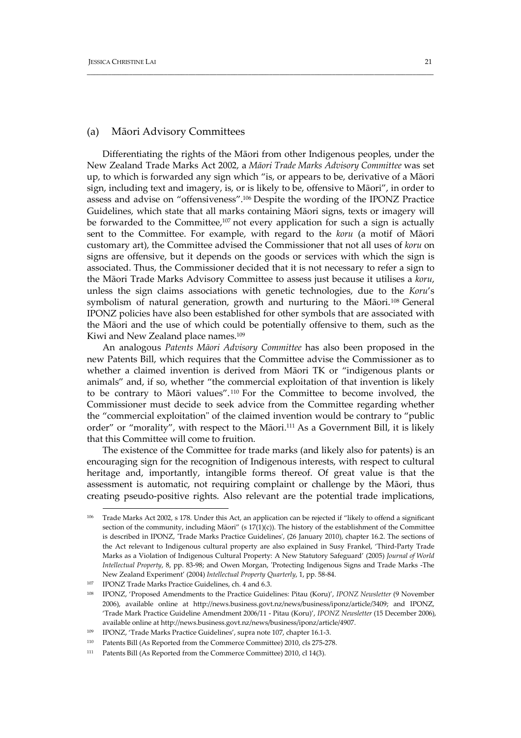Differentiating the rights of the Māori from other Indigenous peoples, under the New Zealand Trade Marks Act 2002, a Māori Trade Marks Advisory Committee was set up, to which is forwarded any sign which "is, or appears to be, derivative of a Māori sign, including text and imagery, is, or is likely to be, offensive to Māori", in order to assess and advise on "offensiveness".<sup>106</sup> Despite the wording of the IPONZ Practice Guidelines, which state that all marks containing Māori signs, texts or imagery will be forwarded to the Committee,<sup>107</sup> not every application for such a sign is actually sent to the Committee. For example, with regard to the koru (a motif of Māori customary art), the Committee advised the Commissioner that not all uses of koru on signs are offensive, but it depends on the goods or services with which the sign is associated. Thus, the Commissioner decided that it is not necessary to refer a sign to the Māori Trade Marks Advisory Committee to assess just because it utilises a koru, unless the sign claims associations with genetic technologies, due to the Koru's symbolism of natural generation, growth and nurturing to the Māori.<sup>108</sup> General IPONZ policies have also been established for other symbols that are associated with the Māori and the use of which could be potentially offensive to them, such as the Kiwi and New Zealand place names.<sup>109</sup>

\_\_\_\_\_\_\_\_\_\_\_\_\_\_\_\_\_\_\_\_\_\_\_\_\_\_\_\_\_\_\_\_\_\_\_\_\_\_\_\_\_\_\_\_\_\_\_\_\_\_\_\_\_\_\_\_\_\_\_\_\_\_\_\_\_\_\_\_\_\_\_\_\_\_\_\_\_\_\_\_\_\_\_\_\_\_\_\_\_\_\_\_\_\_\_\_\_\_\_

An analogous Patents Māori Advisory Committee has also been proposed in the new Patents Bill, which requires that the Committee advise the Commissioner as to whether a claimed invention is derived from Māori TK or "indigenous plants or animals" and, if so, whether "the commercial exploitation of that invention is likely to be contrary to Māori values". <sup>110</sup> For the Committee to become involved, the Commissioner must decide to seek advice from the Committee regarding whether the "commercial exploitation" of the claimed invention would be contrary to "public order" or "morality", with respect to the Māori.<sup>111</sup> As a Government Bill, it is likely that this Committee will come to fruition.

The existence of the Committee for trade marks (and likely also for patents) is an encouraging sign for the recognition of Indigenous interests, with respect to cultural heritage and, importantly, intangible forms thereof. Of great value is that the assessment is automatic, not requiring complaint or challenge by the Māori, thus creating pseudo-positive rights. Also relevant are the potential trade implications,

<sup>106</sup> Trade Marks Act 2002, s 178. Under this Act, an application can be rejected if "likely to offend a significant section of the community, including Māori" (s  $17(1)(c)$ ). The history of the establishment of the Committee is described in IPONZ, 'Trade Marks Practice Guidelines', (26 January 2010), chapter 16.2. The sections of the Act relevant to Indigenous cultural property are also explained in Susy Frankel, 'Third-Party Trade Marks as a Violation of Indigenous Cultural Property: A New Statutory Safeguard' (2005) Journal of World Intellectual Property, 8, pp. 83-98; and Owen Morgan, 'Protecting Indigenous Signs and Trade Marks -The New Zealand Experiment' (2004) Intellectual Property Quarterly, 1, pp. 58-84.

<sup>107</sup> IPONZ Trade Marks Practice Guidelines, ch. 4 and 6.3.

<sup>108</sup> IPONZ, 'Proposed Amendments to the Practice Guidelines: Pitau (Koru)', IPONZ Newsletter (9 November 2006), available online at http://news.business.govt.nz/news/business/iponz/article/3409; and IPONZ, 'Trade Mark Practice Guideline Amendment 2006/11 - Pitau (Koru)', IPONZ Newsletter (15 December 2006), available online at http://news.business.govt.nz/news/business/iponz/article/4907.

<sup>109</sup> IPONZ, 'Trade Marks Practice Guidelines', supra note 107, chapter 16.1-3.

<sup>110</sup> Patents Bill (As Reported from the Commerce Committee) 2010, cls 275-278.

<sup>111</sup> Patents Bill (As Reported from the Commerce Committee) 2010, cl 14(3).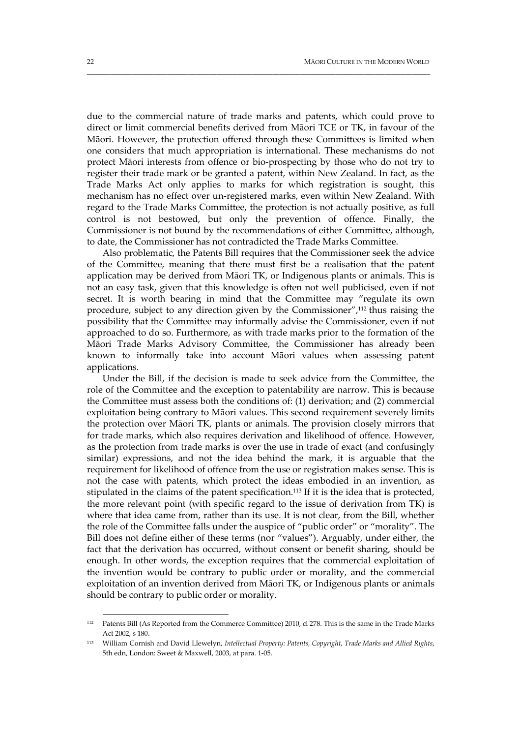due to the commercial nature of trade marks and patents, which could prove to direct or limit commercial benefits derived from Māori TCE or TK, in favour of the Māori. However, the protection offered through these Committees is limited when one considers that much appropriation is international. These mechanisms do not protect Māori interests from offence or bio-prospecting by those who do not try to register their trade mark or be granted a patent, within New Zealand. In fact, as the Trade Marks Act only applies to marks for which registration is sought, this mechanism has no effect over un-registered marks, even within New Zealand. With regard to the Trade Marks Committee, the protection is not actually positive, as full control is not bestowed, but only the prevention of offence. Finally, the Commissioner is not bound by the recommendations of either Committee, although, to date, the Commissioner has not contradicted the Trade Marks Committee.

\_\_\_\_\_\_\_\_\_\_\_\_\_\_\_\_\_\_\_\_\_\_\_\_\_\_\_\_\_\_\_\_\_\_\_\_\_\_\_\_\_\_\_\_\_\_\_\_\_\_\_\_\_\_\_\_\_\_\_\_\_\_\_\_\_\_\_\_\_\_\_\_\_\_\_\_\_\_\_\_\_\_\_\_\_\_\_\_\_\_\_\_\_\_\_\_\_\_

Also problematic, the Patents Bill requires that the Commissioner seek the advice of the Committee, meaning that there must first be a realisation that the patent application may be derived from Māori TK, or Indigenous plants or animals. This is not an easy task, given that this knowledge is often not well publicised, even if not secret. It is worth bearing in mind that the Committee may "regulate its own procedure, subject to any direction given by the Commissioner",<sup>112</sup> thus raising the possibility that the Committee may informally advise the Commissioner, even if not approached to do so. Furthermore, as with trade marks prior to the formation of the Māori Trade Marks Advisory Committee, the Commissioner has already been known to informally take into account Māori values when assessing patent applications.

Under the Bill, if the decision is made to seek advice from the Committee, the role of the Committee and the exception to patentability are narrow. This is because the Committee must assess both the conditions of: (1) derivation; and (2) commercial exploitation being contrary to Māori values. This second requirement severely limits the protection over Māori TK, plants or animals. The provision closely mirrors that for trade marks, which also requires derivation and likelihood of offence. However, as the protection from trade marks is over the use in trade of exact (and confusingly similar) expressions, and not the idea behind the mark, it is arguable that the requirement for likelihood of offence from the use or registration makes sense. This is not the case with patents, which protect the ideas embodied in an invention, as stipulated in the claims of the patent specification.<sup>113</sup> If it is the idea that is protected, the more relevant point (with specific regard to the issue of derivation from TK) is where that idea came from, rather than its use. It is not clear, from the Bill, whether the role of the Committee falls under the auspice of "public order" or "morality". The Bill does not define either of these terms (nor "values"). Arguably, under either, the fact that the derivation has occurred, without consent or benefit sharing, should be enough. In other words, the exception requires that the commercial exploitation of the invention would be contrary to public order or morality, and the commercial exploitation of an invention derived from Māori TK, or Indigenous plants or animals should be contrary to public order or morality.

<sup>112</sup> Patents Bill (As Reported from the Commerce Committee) 2010, cl 278. This is the same in the Trade Marks Act 2002, s 180.

<sup>113</sup> William Cornish and David Llewelyn, Intellectual Property: Patents, Copyright, Trade Marks and Allied Rights, 5th edn, London: Sweet & Maxwell, 2003, at para. 1-05.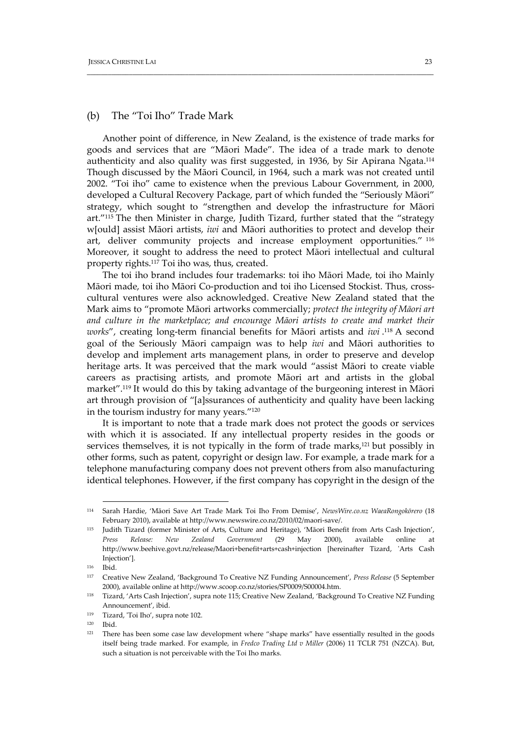#### (b) The "Toi Iho" Trade Mark

Another point of difference, in New Zealand, is the existence of trade marks for goods and services that are "Māori Made". The idea of a trade mark to denote authenticity and also quality was first suggested, in 1936, by Sir Apirana Ngata.<sup>114</sup> Though discussed by the Māori Council, in 1964, such a mark was not created until 2002. "Toi iho" came to existence when the previous Labour Government, in 2000, developed a Cultural Recovery Package, part of which funded the "Seriously Māori" strategy, which sought to "strengthen and develop the infrastructure for Māori art."<sup>115</sup> The then Minister in charge, Judith Tizard, further stated that the "strategy w[ould] assist Māori artists, iwi and Māori authorities to protect and develop their art, deliver community projects and increase employment opportunities." <sup>116</sup> Moreover, it sought to address the need to protect Māori intellectual and cultural property rights.<sup>117</sup> Toi iho was, thus, created.

\_\_\_\_\_\_\_\_\_\_\_\_\_\_\_\_\_\_\_\_\_\_\_\_\_\_\_\_\_\_\_\_\_\_\_\_\_\_\_\_\_\_\_\_\_\_\_\_\_\_\_\_\_\_\_\_\_\_\_\_\_\_\_\_\_\_\_\_\_\_\_\_\_\_\_\_\_\_\_\_\_\_\_\_\_\_\_\_\_\_\_\_\_\_\_\_\_\_\_

The toi iho brand includes four trademarks: toi iho Māori Made, toi iho Mainly Māori made, toi iho Māori Co-production and toi iho Licensed Stockist. Thus, crosscultural ventures were also acknowledged. Creative New Zealand stated that the Mark aims to "promote Māori artworks commercially; protect the integrity of Māori art and culture in the marketplace; and encourage Māori artists to create and market their works", creating long-term financial benefits for Māori artists and *iwi* .<sup>118</sup> A second goal of the Seriously Māori campaign was to help iwi and Māori authorities to develop and implement arts management plans, in order to preserve and develop heritage arts. It was perceived that the mark would "assist Māori to create viable careers as practising artists, and promote Māori art and artists in the global market".<sup>119</sup> It would do this by taking advantage of the burgeoning interest in Māori art through provision of "[a]ssurances of authenticity and quality have been lacking in the tourism industry for many years."<sup>120</sup>

It is important to note that a trade mark does not protect the goods or services with which it is associated. If any intellectual property resides in the goods or services themselves, it is not typically in the form of trade marks, $121$  but possibly in other forms, such as patent, copyright or design law. For example, a trade mark for a telephone manufacturing company does not prevent others from also manufacturing identical telephones. However, if the first company has copyright in the design of the

<sup>114</sup> Sarah Hardie, 'Māori Save Art Trade Mark Toi Iho From Demise', NewsWire.co.nz WaeaRongokōrero (18 February 2010), available at http://www.newswire.co.nz/2010/02/maori-save/.

<sup>115</sup> Judith Tizard (former Minister of Arts, Culture and Heritage), 'Māori Benefit from Arts Cash Injection', Press Release: New Zealand Government (29 May 2000), available online at http://www.beehive.govt.nz/release/Maori+benefit+arts+cash+injection [hereinafter Tizard, 'Arts Cash Injection'].

<sup>116</sup> Ibid.

<sup>117</sup> Creative New Zealand, 'Background To Creative NZ Funding Announcement', Press Release (5 September 2000), available online at http://www.scoop.co.nz/stories/SP0009/S00004.htm.

<sup>118</sup> Tizard, 'Arts Cash Injection', supra note 115; Creative New Zealand, 'Background To Creative NZ Funding Announcement', ibid.

<sup>119</sup> Tizard, 'Toi Iho', supra note 102.

<sup>120</sup> Ibid.

<sup>&</sup>lt;sup>121</sup> There has been some case law development where "shape marks" have essentially resulted in the goods itself being trade marked. For example, in Fredco Trading Ltd v Miller (2006) 11 TCLR 751 (NZCA). But, such a situation is not perceivable with the Toi Iho marks.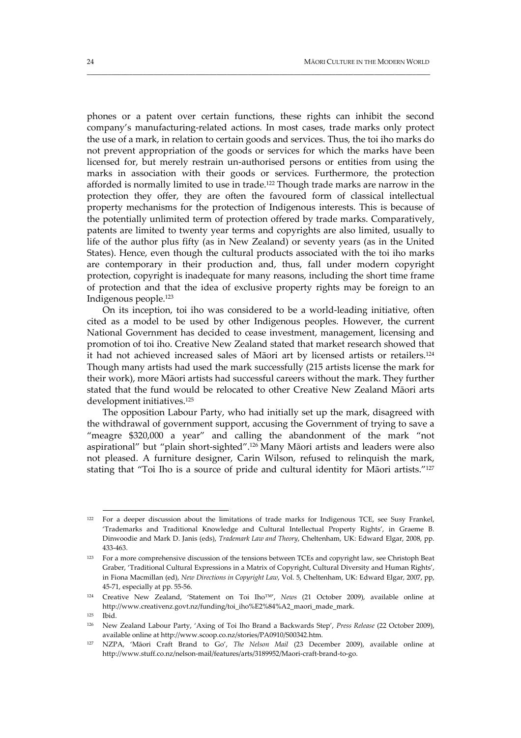phones or a patent over certain functions, these rights can inhibit the second company's manufacturing-related actions. In most cases, trade marks only protect the use of a mark, in relation to certain goods and services. Thus, the toi iho marks do not prevent appropriation of the goods or services for which the marks have been licensed for, but merely restrain un-authorised persons or entities from using the marks in association with their goods or services. Furthermore, the protection afforded is normally limited to use in trade.<sup>122</sup> Though trade marks are narrow in the protection they offer, they are often the favoured form of classical intellectual property mechanisms for the protection of Indigenous interests. This is because of the potentially unlimited term of protection offered by trade marks. Comparatively, patents are limited to twenty year terms and copyrights are also limited, usually to life of the author plus fifty (as in New Zealand) or seventy years (as in the United States). Hence, even though the cultural products associated with the toi iho marks are contemporary in their production and, thus, fall under modern copyright protection, copyright is inadequate for many reasons, including the short time frame of protection and that the idea of exclusive property rights may be foreign to an Indigenous people.<sup>123</sup>

\_\_\_\_\_\_\_\_\_\_\_\_\_\_\_\_\_\_\_\_\_\_\_\_\_\_\_\_\_\_\_\_\_\_\_\_\_\_\_\_\_\_\_\_\_\_\_\_\_\_\_\_\_\_\_\_\_\_\_\_\_\_\_\_\_\_\_\_\_\_\_\_\_\_\_\_\_\_\_\_\_\_\_\_\_\_\_\_\_\_\_\_\_\_\_\_\_\_

On its inception, toi iho was considered to be a world-leading initiative, often cited as a model to be used by other Indigenous peoples. However, the current National Government has decided to cease investment, management, licensing and promotion of toi iho. Creative New Zealand stated that market research showed that it had not achieved increased sales of Māori art by licensed artists or retailers.<sup>124</sup> Though many artists had used the mark successfully (215 artists license the mark for their work), more Māori artists had successful careers without the mark. They further stated that the fund would be relocated to other Creative New Zealand Māori arts development initiatives.<sup>125</sup>

The opposition Labour Party, who had initially set up the mark, disagreed with the withdrawal of government support, accusing the Government of trying to save a "meagre \$320,000 a year" and calling the abandonment of the mark "not aspirational" but "plain short-sighted".<sup>126</sup> Many Māori artists and leaders were also not pleased. A furniture designer, Carin Wilson, refused to relinquish the mark, stating that "Toi Iho is a source of pride and cultural identity for Māori artists."<sup>127</sup>

<sup>122</sup> For a deeper discussion about the limitations of trade marks for Indigenous TCE, see Susy Frankel, 'Trademarks and Traditional Knowledge and Cultural Intellectual Property Rights', in Graeme B. Dinwoodie and Mark D. Janis (eds), Trademark Law and Theory, Cheltenham, UK: Edward Elgar, 2008, pp. 433-463.

<sup>123</sup> For a more comprehensive discussion of the tensions between TCEs and copyright law, see Christoph Beat Graber, 'Traditional Cultural Expressions in a Matrix of Copyright, Cultural Diversity and Human Rights', in Fiona Macmillan (ed), New Directions in Copyright Law, Vol. 5, Cheltenham, UK: Edward Elgar, 2007, pp, 45-71, especially at pp. 55-56.

<sup>124</sup> Creative New Zealand, 'Statement on Toi Iho<sup>™</sup>, News (21 October 2009), available online at http://www.creativenz.govt.nz/funding/toi\_iho%E2%84%A2\_maori\_made\_mark.

<sup>125</sup> Ibid.

<sup>126</sup> New Zealand Labour Party, 'Axing of Toi Iho Brand a Backwards Step', Press Release (22 October 2009), available online at http://www.scoop.co.nz/stories/PA0910/S00342.htm.

<sup>127</sup> NZPA, 'Māori Craft Brand to Go', The Nelson Mail (23 December 2009), available online at http://www.stuff.co.nz/nelson-mail/features/arts/3189952/Maori-craft-brand-to-go.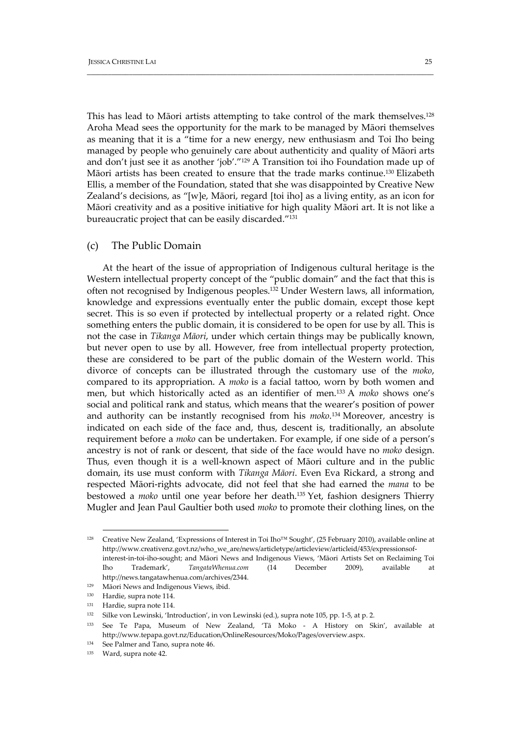This has lead to Māori artists attempting to take control of the mark themselves.<sup>128</sup> Aroha Mead sees the opportunity for the mark to be managed by Māori themselves as meaning that it is a "time for a new energy, new enthusiasm and Toi Iho being managed by people who genuinely care about authenticity and quality of Māori arts and don't just see it as another 'job'."<sup>129</sup> A Transition toi iho Foundation made up of Māori artists has been created to ensure that the trade marks continue.<sup>130</sup> Elizabeth Ellis, a member of the Foundation, stated that she was disappointed by Creative New Zealand's decisions, as "[w]e, Māori, regard [toi iho] as a living entity, as an icon for Māori creativity and as a positive initiative for high quality Māori art. It is not like a bureaucratic project that can be easily discarded."<sup>131</sup>

\_\_\_\_\_\_\_\_\_\_\_\_\_\_\_\_\_\_\_\_\_\_\_\_\_\_\_\_\_\_\_\_\_\_\_\_\_\_\_\_\_\_\_\_\_\_\_\_\_\_\_\_\_\_\_\_\_\_\_\_\_\_\_\_\_\_\_\_\_\_\_\_\_\_\_\_\_\_\_\_\_\_\_\_\_\_\_\_\_\_\_\_\_\_\_\_\_\_\_

#### (c) The Public Domain

At the heart of the issue of appropriation of Indigenous cultural heritage is the Western intellectual property concept of the "public domain" and the fact that this is often not recognised by Indigenous peoples.<sup>132</sup> Under Western laws, all information, knowledge and expressions eventually enter the public domain, except those kept secret. This is so even if protected by intellectual property or a related right. Once something enters the public domain, it is considered to be open for use by all. This is not the case in Tikanga Māori, under which certain things may be publically known, but never open to use by all. However, free from intellectual property protection, these are considered to be part of the public domain of the Western world. This divorce of concepts can be illustrated through the customary use of the moko, compared to its appropriation. A moko is a facial tattoo, worn by both women and men, but which historically acted as an identifier of men.<sup>133</sup> A *moko* shows one's social and political rank and status, which means that the wearer's position of power and authority can be instantly recognised from his *moko*.<sup>134</sup> Moreover, ancestry is indicated on each side of the face and, thus, descent is, traditionally, an absolute requirement before a moko can be undertaken. For example, if one side of a person's ancestry is not of rank or descent, that side of the face would have no *moko* design. Thus, even though it is a well-known aspect of Māori culture and in the public domain, its use must conform with Tikanga Māori. Even Eva Rickard, a strong and respected Māori-rights advocate, did not feel that she had earned the mana to be bestowed a moko until one year before her death.<sup>135</sup> Yet, fashion designers Thierry Mugler and Jean Paul Gaultier both used *moko* to promote their clothing lines, on the

<sup>128</sup> Creative New Zealand, 'Expressions of Interest in Toi Iho™ Sought', (25 February 2010), available online at http://www.creativenz.govt.nz/who\_we\_are/news/articletype/articleview/articleid/453/expressionsofinterest-in-toi-iho-sought; and Māori News and Indigenous Views, 'Māori Artists Set on Reclaiming Toi Iho Trademark', TangataWhenua.com (14 December 2009), available at http://news.tangatawhenua.com/archives/2344.

<sup>129</sup> Māori News and Indigenous Views, ibid.

<sup>130</sup> Hardie, supra note 114.

<sup>131</sup> Hardie, supra note 114.

<sup>132</sup> Silke von Lewinski, 'Introduction', in von Lewinski (ed.), supra note 105, pp. 1-5, at p. 2.

<sup>133</sup> See Te Papa, Museum of New Zealand, 'Tā Moko - A History on Skin', available at http://www.tepapa.govt.nz/Education/OnlineResources/Moko/Pages/overview.aspx.

<sup>134</sup> See Palmer and Tano, supra note 46.

<sup>135</sup> Ward, supra note 42.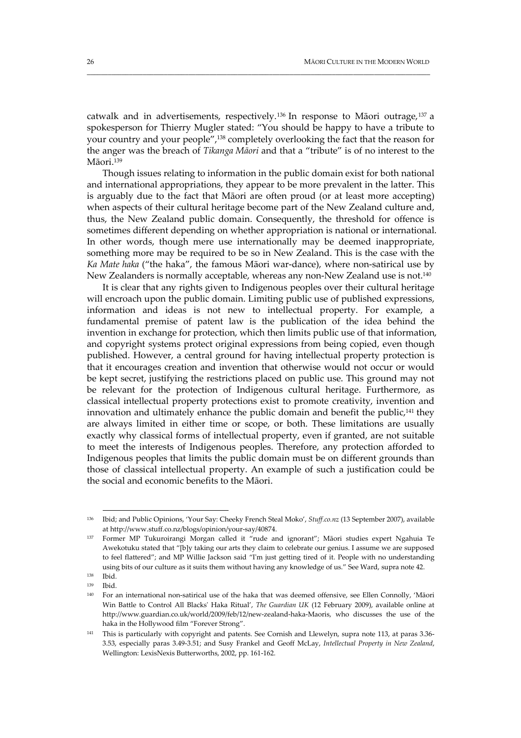catwalk and in advertisements, respectively.<sup>136</sup> In response to Māori outrage,<sup>137</sup> a spokesperson for Thierry Mugler stated: "You should be happy to have a tribute to your country and your people",<sup>138</sup> completely overlooking the fact that the reason for the anger was the breach of Tikanga Māori and that a "tribute" is of no interest to the Māori.<sup>139</sup>

\_\_\_\_\_\_\_\_\_\_\_\_\_\_\_\_\_\_\_\_\_\_\_\_\_\_\_\_\_\_\_\_\_\_\_\_\_\_\_\_\_\_\_\_\_\_\_\_\_\_\_\_\_\_\_\_\_\_\_\_\_\_\_\_\_\_\_\_\_\_\_\_\_\_\_\_\_\_\_\_\_\_\_\_\_\_\_\_\_\_\_\_\_\_\_\_\_\_

Though issues relating to information in the public domain exist for both national and international appropriations, they appear to be more prevalent in the latter. This is arguably due to the fact that Māori are often proud (or at least more accepting) when aspects of their cultural heritage become part of the New Zealand culture and, thus, the New Zealand public domain. Consequently, the threshold for offence is sometimes different depending on whether appropriation is national or international. In other words, though mere use internationally may be deemed inappropriate, something more may be required to be so in New Zealand. This is the case with the Ka Mate haka ("the haka", the famous Māori war-dance), where non-satirical use by New Zealanders is normally acceptable, whereas any non-New Zealand use is not. $^{140}$ 

It is clear that any rights given to Indigenous peoples over their cultural heritage will encroach upon the public domain. Limiting public use of published expressions, information and ideas is not new to intellectual property. For example, a fundamental premise of patent law is the publication of the idea behind the invention in exchange for protection, which then limits public use of that information, and copyright systems protect original expressions from being copied, even though published. However, a central ground for having intellectual property protection is that it encourages creation and invention that otherwise would not occur or would be kept secret, justifying the restrictions placed on public use. This ground may not be relevant for the protection of Indigenous cultural heritage. Furthermore, as classical intellectual property protections exist to promote creativity, invention and innovation and ultimately enhance the public domain and benefit the public, $141$  they are always limited in either time or scope, or both. These limitations are usually exactly why classical forms of intellectual property, even if granted, are not suitable to meet the interests of Indigenous peoples. Therefore, any protection afforded to Indigenous peoples that limits the public domain must be on different grounds than those of classical intellectual property. An example of such a justification could be the social and economic benefits to the Māori.

<sup>136</sup> Ibid; and Public Opinions, 'Your Say: Cheeky French Steal Moko', Stuff.co.nz (13 September 2007), available at http://www.stuff.co.nz/blogs/opinion/your-say/40874.

<sup>137</sup> Former MP Tukuroirangi Morgan called it "rude and ignorant"; Māori studies expert Ngahuia Te Awekotuku stated that "[b]y taking our arts they claim to celebrate our genius. I assume we are supposed to feel flattered"; and MP Willie Jackson said "I'm just getting tired of it. People with no understanding using bits of our culture as it suits them without having any knowledge of us." See Ward, supra note 42.

<sup>138</sup> Ibid.

<sup>139</sup> Ibid.

<sup>140</sup> For an international non-satirical use of the haka that was deemed offensive, see Ellen Connolly, 'Māori Win Battle to Control All Blacks' Haka Ritual', The Guardian UK (12 February 2009), available online at http://www.guardian.co.uk/world/2009/feb/12/new-zealand-haka-Maoris, who discusses the use of the haka in the Hollywood film "Forever Strong".

<sup>141</sup> This is particularly with copyright and patents. See Cornish and Llewelyn, supra note 113, at paras 3.36- 3.53, especially paras 3.49-3.51; and Susy Frankel and Geoff McLay, Intellectual Property in New Zealand, Wellington: LexisNexis Butterworths, 2002, pp. 161-162.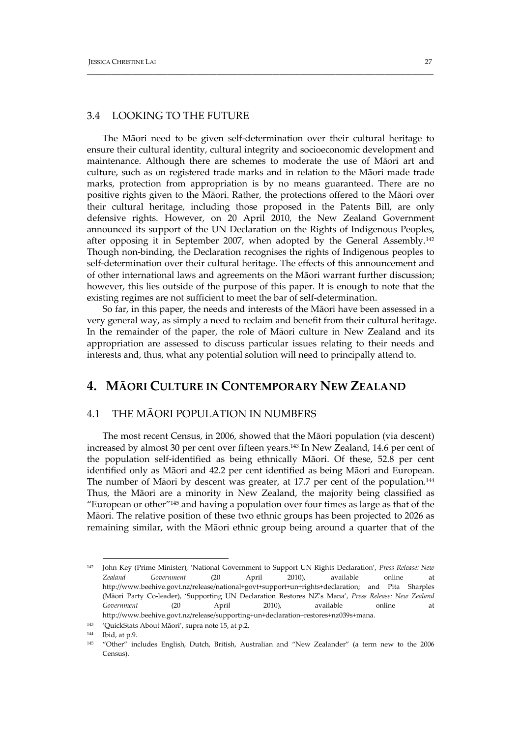#### 3.4 LOOKING TO THE FUTURE

The Māori need to be given self-determination over their cultural heritage to ensure their cultural identity, cultural integrity and socioeconomic development and maintenance. Although there are schemes to moderate the use of Māori art and culture, such as on registered trade marks and in relation to the Māori made trade marks, protection from appropriation is by no means guaranteed. There are no positive rights given to the Māori. Rather, the protections offered to the Māori over their cultural heritage, including those proposed in the Patents Bill, are only defensive rights. However, on 20 April 2010, the New Zealand Government announced its support of the UN Declaration on the Rights of Indigenous Peoples, after opposing it in September 2007, when adopted by the General Assembly.<sup>142</sup> Though non-binding, the Declaration recognises the rights of Indigenous peoples to self-determination over their cultural heritage. The effects of this announcement and of other international laws and agreements on the Māori warrant further discussion; however, this lies outside of the purpose of this paper. It is enough to note that the existing regimes are not sufficient to meet the bar of self-determination.

\_\_\_\_\_\_\_\_\_\_\_\_\_\_\_\_\_\_\_\_\_\_\_\_\_\_\_\_\_\_\_\_\_\_\_\_\_\_\_\_\_\_\_\_\_\_\_\_\_\_\_\_\_\_\_\_\_\_\_\_\_\_\_\_\_\_\_\_\_\_\_\_\_\_\_\_\_\_\_\_\_\_\_\_\_\_\_\_\_\_\_\_\_\_\_\_\_\_\_

So far, in this paper, the needs and interests of the Māori have been assessed in a very general way, as simply a need to reclaim and benefit from their cultural heritage. In the remainder of the paper, the role of Māori culture in New Zealand and its appropriation are assessed to discuss particular issues relating to their needs and interests and, thus, what any potential solution will need to principally attend to.

## 4. MĀORI CULTURE IN CONTEMPORARY NEW ZEALAND

#### 4.1 THE MĀORI POPULATION IN NUMBERS

The most recent Census, in 2006, showed that the Māori population (via descent) increased by almost 30 per cent over fifteen years.<sup>143</sup> In New Zealand, 14.6 per cent of the population self-identified as being ethnically Māori. Of these, 52.8 per cent identified only as Māori and 42.2 per cent identified as being Māori and European. The number of Māori by descent was greater, at 17.7 per cent of the population.<sup>144</sup> Thus, the Māori are a minority in New Zealand, the majority being classified as "European or other"<sup>145</sup> and having a population over four times as large as that of the Māori. The relative position of these two ethnic groups has been projected to 2026 as remaining similar, with the Māori ethnic group being around a quarter that of the

<sup>142</sup> John Key (Prime Minister), 'National Government to Support UN Rights Declaration', Press Release: New Zealand Government (20 April 2010), available online at http://www.beehive.govt.nz/release/national+govt+support+un+rights+declaration; and Pita Sharples (Māori Party Co-leader), 'Supporting UN Declaration Restores NZ's Mana', Press Release: New Zealand Government (20 April 2010), available online at http://www.beehive.govt.nz/release/supporting+un+declaration+restores+nz039s+mana.

<sup>143</sup> 'QuickStats About Māori', supra note 15, at p.2.

<sup>144</sup> Ibid, at p.9.

<sup>145</sup> "Other" includes English, Dutch, British, Australian and "New Zealander" (a term new to the 2006 Census).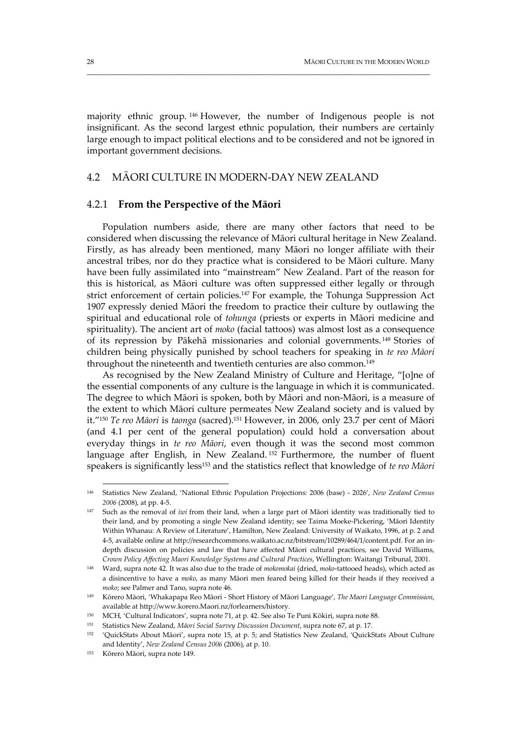majority ethnic group. <sup>146</sup> However, the number of Indigenous people is not insignificant. As the second largest ethnic population, their numbers are certainly large enough to impact political elections and to be considered and not be ignored in important government decisions.

\_\_\_\_\_\_\_\_\_\_\_\_\_\_\_\_\_\_\_\_\_\_\_\_\_\_\_\_\_\_\_\_\_\_\_\_\_\_\_\_\_\_\_\_\_\_\_\_\_\_\_\_\_\_\_\_\_\_\_\_\_\_\_\_\_\_\_\_\_\_\_\_\_\_\_\_\_\_\_\_\_\_\_\_\_\_\_\_\_\_\_\_\_\_\_\_\_\_

## 4.2 MĀORI CULTURE IN MODERN-DAY NEW ZEALAND

#### 4.2.1 From the Perspective of the Māori

Population numbers aside, there are many other factors that need to be considered when discussing the relevance of Māori cultural heritage in New Zealand. Firstly, as has already been mentioned, many Māori no longer affiliate with their ancestral tribes, nor do they practice what is considered to be Māori culture. Many have been fully assimilated into "mainstream" New Zealand. Part of the reason for this is historical, as Māori culture was often suppressed either legally or through strict enforcement of certain policies.<sup>147</sup> For example, the Tohunga Suppression Act 1907 expressly denied Māori the freedom to practice their culture by outlawing the spiritual and educational role of tohunga (priests or experts in Māori medicine and spirituality). The ancient art of *moko* (facial tattoos) was almost lost as a consequence of its repression by Pākehā missionaries and colonial governments. <sup>148</sup> Stories of children being physically punished by school teachers for speaking in te reo Māori throughout the nineteenth and twentieth centuries are also common.<sup>149</sup>

As recognised by the New Zealand Ministry of Culture and Heritage, "[o]ne of the essential components of any culture is the language in which it is communicated. The degree to which Māori is spoken, both by Māori and non-Māori, is a measure of the extent to which Māori culture permeates New Zealand society and is valued by it."<sup>150</sup> Te reo Māori is taonga (sacred).<sup>151</sup> However, in 2006, only 23.7 per cent of Māori (and 4.1 per cent of the general population) could hold a conversation about everyday things in te reo Māori, even though it was the second most common language after English, in New Zealand. <sup>152</sup> Furthermore, the number of fluent speakers is significantly less<sup>153</sup> and the statistics reflect that knowledge of te reo Māori

<sup>146</sup> Statistics New Zealand, 'National Ethnic Population Projections: 2006 (base) - 2026', New Zealand Census 2006 (2008), at pp. 4-5.

<sup>&</sup>lt;sup>147</sup> Such as the removal of *iwi* from their land, when a large part of Māori identity was traditionally tied to their land, and by promoting a single New Zealand identity; see Taima Moeke-Pickering, 'Māori Identity Within Whanau: A Review of Literature', Hamilton, New Zealand: University of Waikato, 1996, at p. 2 and 4-5, available online at http://researchcommons.waikato.ac.nz/bitstream/10289/464/1/content.pdf. For an indepth discussion on policies and law that have affected Māori cultural practices, see David Williams, Crown Policy Affecting Maori Knowledge Systems and Cultural Practices, Wellington: Waitangi Tribunal, 2001.

<sup>&</sup>lt;sup>148</sup> Ward, supra note 42. It was also due to the trade of *mokomokai* (dried, *moko*-tattooed heads), which acted as a disincentive to have a moko, as many Māori men feared being killed for their heads if they received a moko; see Palmer and Tano, supra note 46.

<sup>&</sup>lt;sup>149</sup> Kōrero Māori, 'Whakapapa Reo Māori - Short History of Māori Language', The Maori Language Commission, available at http://www.korero.Maori.nz/forlearners/history.

<sup>150</sup> MCH, 'Cultural Indicators', supra note 71, at p. 42. See also Te Puni Kōkiri, supra note 88.

<sup>151</sup> Statistics New Zealand, Māori Social Survey Discussion Document, supra note 67, at p. 17.

<sup>152</sup> 'QuickStats About Māori', supra note 15, at p. 5; and Statistics New Zealand, 'QuickStats About Culture and Identity', New Zealand Census 2006 (2006), at p. 10.

<sup>153</sup> Kōrero Māori, supra note 149.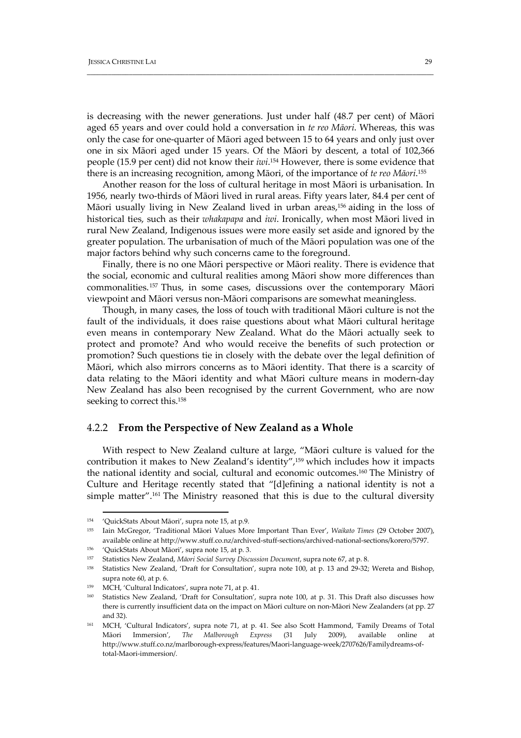is decreasing with the newer generations. Just under half (48.7 per cent) of Māori aged 65 years and over could hold a conversation in te reo Māori. Whereas, this was only the case for one-quarter of Māori aged between 15 to 64 years and only just over one in six Māori aged under 15 years. Of the Māori by descent, a total of 102,366 people (15.9 per cent) did not know their *iwi*.<sup>154</sup> However, there is some evidence that there is an increasing recognition, among Māori, of the importance of te reo Māori.<sup>155</sup>

\_\_\_\_\_\_\_\_\_\_\_\_\_\_\_\_\_\_\_\_\_\_\_\_\_\_\_\_\_\_\_\_\_\_\_\_\_\_\_\_\_\_\_\_\_\_\_\_\_\_\_\_\_\_\_\_\_\_\_\_\_\_\_\_\_\_\_\_\_\_\_\_\_\_\_\_\_\_\_\_\_\_\_\_\_\_\_\_\_\_\_\_\_\_\_\_\_\_\_

Another reason for the loss of cultural heritage in most Māori is urbanisation. In 1956, nearly two-thirds of Māori lived in rural areas. Fifty years later, 84.4 per cent of Māori usually living in New Zealand lived in urban areas,<sup>156</sup> aiding in the loss of historical ties, such as their *whakapapa* and *iwi*. Ironically, when most Māori lived in rural New Zealand, Indigenous issues were more easily set aside and ignored by the greater population. The urbanisation of much of the Māori population was one of the major factors behind why such concerns came to the foreground.

Finally, there is no one Māori perspective or Māori reality. There is evidence that the social, economic and cultural realities among Māori show more differences than commonalities.<sup>157</sup> Thus, in some cases, discussions over the contemporary Māori viewpoint and Māori versus non-Māori comparisons are somewhat meaningless.

Though, in many cases, the loss of touch with traditional Māori culture is not the fault of the individuals, it does raise questions about what Māori cultural heritage even means in contemporary New Zealand. What do the Māori actually seek to protect and promote? And who would receive the benefits of such protection or promotion? Such questions tie in closely with the debate over the legal definition of Māori, which also mirrors concerns as to Māori identity. That there is a scarcity of data relating to the Māori identity and what Māori culture means in modern-day New Zealand has also been recognised by the current Government, who are now seeking to correct this.<sup>158</sup>

#### 4.2.2 From the Perspective of New Zealand as a Whole

With respect to New Zealand culture at large, "Māori culture is valued for the contribution it makes to New Zealand's identity",<sup>159</sup> which includes how it impacts the national identity and social, cultural and economic outcomes.<sup>160</sup> The Ministry of Culture and Heritage recently stated that "[d]efining a national identity is not a simple matter".<sup>161</sup> The Ministry reasoned that this is due to the cultural diversity

1

<sup>154</sup> 'QuickStats About Māori', supra note 15, at p.9.

<sup>155</sup> Iain McGregor, 'Traditional Māori Values More Important Than Ever', Waikato Times (29 October 2007), available online at http://www.stuff.co.nz/archived-stuff-sections/archived-national-sections/korero/5797.

<sup>156</sup> 'QuickStats About Māori', supra note 15, at p. 3.

<sup>157</sup> Statistics New Zealand, Māori Social Survey Discussion Document, supra note 67, at p. 8.

<sup>158</sup> Statistics New Zealand, 'Draft for Consultation', supra note 100, at p. 13 and 29-32; Wereta and Bishop, supra note 60, at p. 6.

<sup>159</sup> MCH, 'Cultural Indicators', supra note 71, at p. 41.

<sup>160</sup> Statistics New Zealand, 'Draft for Consultation', supra note 100, at p. 31. This Draft also discusses how there is currently insufficient data on the impact on Māori culture on non-Māori New Zealanders (at pp. 27 and 32).

<sup>161</sup> MCH, 'Cultural Indicators', supra note 71, at p. 41. See also Scott Hammond, 'Family Dreams of Total Māori Immersion', The Malborough Express (31 July 2009), available online at http://www.stuff.co.nz/marlborough-express/features/Maori-language-week/2707626/Familydreams-oftotal-Maori-immersion/.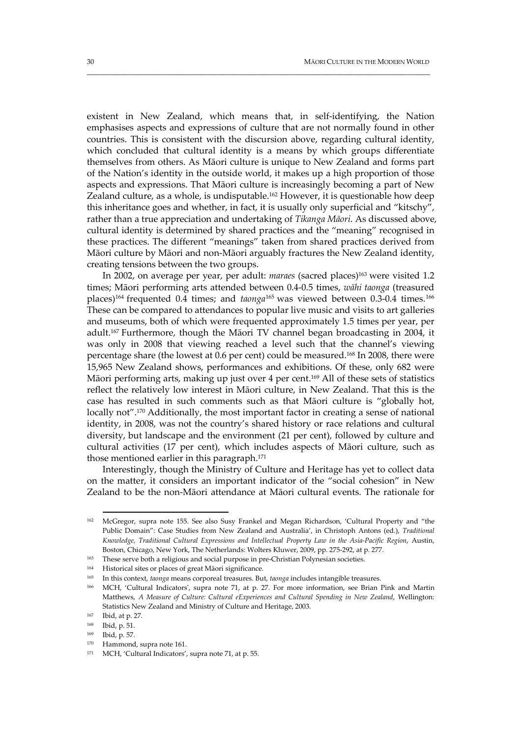existent in New Zealand, which means that, in self-identifying, the Nation emphasises aspects and expressions of culture that are not normally found in other countries. This is consistent with the discursion above, regarding cultural identity, which concluded that cultural identity is a means by which groups differentiate themselves from others. As Māori culture is unique to New Zealand and forms part of the Nation's identity in the outside world, it makes up a high proportion of those aspects and expressions. That Māori culture is increasingly becoming a part of New Zealand culture, as a whole, is undisputable.<sup>162</sup> However, it is questionable how deep this inheritance goes and whether, in fact, it is usually only superficial and "kitschy", rather than a true appreciation and undertaking of Tikanga Māori. As discussed above, cultural identity is determined by shared practices and the "meaning" recognised in these practices. The different "meanings" taken from shared practices derived from Māori culture by Māori and non-Māori arguably fractures the New Zealand identity, creating tensions between the two groups.

\_\_\_\_\_\_\_\_\_\_\_\_\_\_\_\_\_\_\_\_\_\_\_\_\_\_\_\_\_\_\_\_\_\_\_\_\_\_\_\_\_\_\_\_\_\_\_\_\_\_\_\_\_\_\_\_\_\_\_\_\_\_\_\_\_\_\_\_\_\_\_\_\_\_\_\_\_\_\_\_\_\_\_\_\_\_\_\_\_\_\_\_\_\_\_\_\_\_

In 2002, on average per year, per adult: *maraes* (sacred places)<sup>163</sup> were visited 1.2 times; Māori performing arts attended between 0.4-0.5 times, wāhi taonga (treasured places)<sup>164</sup> frequented 0.4 times; and taonga<sup>165</sup> was viewed between 0.3-0.4 times.<sup>166</sup> These can be compared to attendances to popular live music and visits to art galleries and museums, both of which were frequented approximately 1.5 times per year, per adult.<sup>167</sup> Furthermore, though the Māori TV channel began broadcasting in 2004, it was only in 2008 that viewing reached a level such that the channel's viewing percentage share (the lowest at 0.6 per cent) could be measured.<sup>168</sup> In 2008, there were 15,965 New Zealand shows, performances and exhibitions. Of these, only 682 were Māori performing arts, making up just over 4 per cent.<sup>169</sup> All of these sets of statistics reflect the relatively low interest in Māori culture, in New Zealand. That this is the case has resulted in such comments such as that Māori culture is "globally hot, locally not".<sup>170</sup> Additionally, the most important factor in creating a sense of national identity, in 2008, was not the country's shared history or race relations and cultural diversity, but landscape and the environment (21 per cent), followed by culture and cultural activities (17 per cent), which includes aspects of Māori culture, such as those mentioned earlier in this paragraph.<sup>171</sup>

Interestingly, though the Ministry of Culture and Heritage has yet to collect data on the matter, it considers an important indicator of the "social cohesion" in New Zealand to be the non-Māori attendance at Māori cultural events. The rationale for

1

<sup>162</sup> McGregor, supra note 155. See also Susy Frankel and Megan Richardson, 'Cultural Property and "the Public Domain": Case Studies from New Zealand and Australia', in Christoph Antons (ed.), Traditional Knowledge, Traditional Cultural Expressions and Intellectual Property Law in the Asia-Pacific Region, Austin, Boston, Chicago, New York, The Netherlands: Wolters Kluwer, 2009, pp. 275-292, at p. 277.

<sup>163</sup> These serve both a religious and social purpose in pre-Christian Polynesian societies.

<sup>164</sup> Historical sites or places of great Māori significance.

<sup>165</sup> In this context, taonga means corporeal treasures. But, taonga includes intangible treasures.

<sup>166</sup> MCH, 'Cultural Indicators', supra note 71, at p. 27. For more information, see Brian Pink and Martin Matthews, A Measure of Culture: Cultural eExperiences and Cultural Spending in New Zealand, Wellington: Statistics New Zealand and Ministry of Culture and Heritage, 2003.

<sup>167</sup> Ibid, at p. 27.

<sup>168</sup> Ibid, p. 51.

<sup>169</sup> Ibid, p. 57.

<sup>170</sup> Hammond, supra note 161.

<sup>171</sup> MCH, 'Cultural Indicators', supra note 71, at p. 55.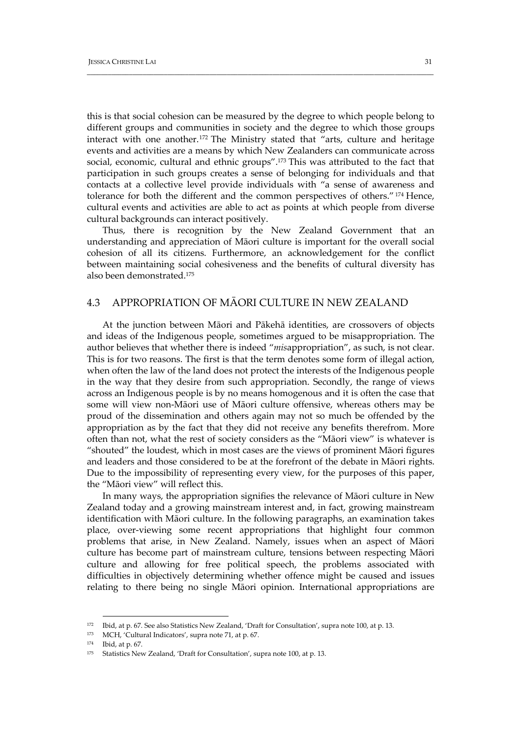this is that social cohesion can be measured by the degree to which people belong to different groups and communities in society and the degree to which those groups interact with one another.<sup>172</sup> The Ministry stated that "arts, culture and heritage events and activities are a means by which New Zealanders can communicate across social, economic, cultural and ethnic groups".<sup>173</sup> This was attributed to the fact that participation in such groups creates a sense of belonging for individuals and that contacts at a collective level provide individuals with "a sense of awareness and tolerance for both the different and the common perspectives of others."<sup>174</sup> Hence, cultural events and activities are able to act as points at which people from diverse cultural backgrounds can interact positively.

\_\_\_\_\_\_\_\_\_\_\_\_\_\_\_\_\_\_\_\_\_\_\_\_\_\_\_\_\_\_\_\_\_\_\_\_\_\_\_\_\_\_\_\_\_\_\_\_\_\_\_\_\_\_\_\_\_\_\_\_\_\_\_\_\_\_\_\_\_\_\_\_\_\_\_\_\_\_\_\_\_\_\_\_\_\_\_\_\_\_\_\_\_\_\_\_\_\_\_

Thus, there is recognition by the New Zealand Government that an understanding and appreciation of Māori culture is important for the overall social cohesion of all its citizens. Furthermore, an acknowledgement for the conflict between maintaining social cohesiveness and the benefits of cultural diversity has also been demonstrated.<sup>175</sup>

### 4.3 APPROPRIATION OF MĀORI CULTURE IN NEW ZEALAND

At the junction between Māori and Pākehā identities, are crossovers of objects and ideas of the Indigenous people, sometimes argued to be misappropriation. The author believes that whether there is indeed "misappropriation", as such, is not clear. This is for two reasons. The first is that the term denotes some form of illegal action, when often the law of the land does not protect the interests of the Indigenous people in the way that they desire from such appropriation. Secondly, the range of views across an Indigenous people is by no means homogenous and it is often the case that some will view non-Māori use of Māori culture offensive, whereas others may be proud of the dissemination and others again may not so much be offended by the appropriation as by the fact that they did not receive any benefits therefrom. More often than not, what the rest of society considers as the "Māori view" is whatever is "shouted" the loudest, which in most cases are the views of prominent Māori figures and leaders and those considered to be at the forefront of the debate in Māori rights. Due to the impossibility of representing every view, for the purposes of this paper, the "Māori view" will reflect this.

In many ways, the appropriation signifies the relevance of Māori culture in New Zealand today and a growing mainstream interest and, in fact, growing mainstream identification with Māori culture. In the following paragraphs, an examination takes place, over-viewing some recent appropriations that highlight four common problems that arise, in New Zealand. Namely, issues when an aspect of Māori culture has become part of mainstream culture, tensions between respecting Māori culture and allowing for free political speech, the problems associated with difficulties in objectively determining whether offence might be caused and issues relating to there being no single Māori opinion. International appropriations are

<sup>172</sup> Ibid, at p. 67. See also Statistics New Zealand, 'Draft for Consultation', supra note 100, at p. 13.

<sup>173</sup> MCH, 'Cultural Indicators', supra note 71, at p. 67.

<sup>174</sup> Ibid, at p. 67.

<sup>175</sup> Statistics New Zealand, 'Draft for Consultation', supra note 100, at p. 13.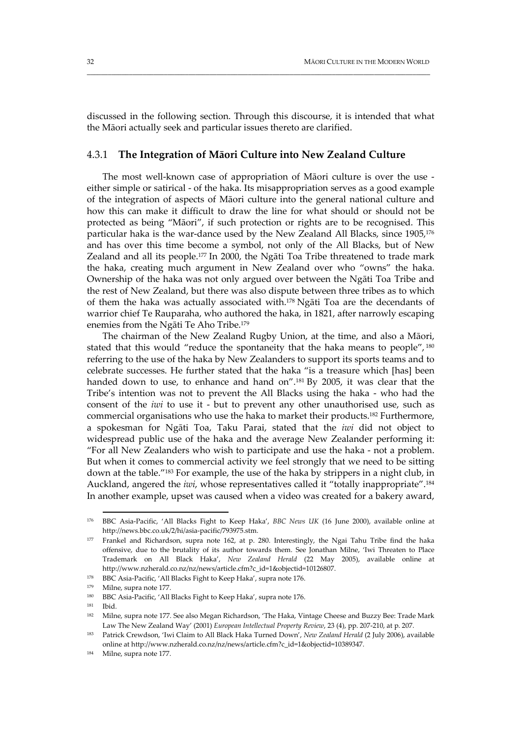discussed in the following section. Through this discourse, it is intended that what the Māori actually seek and particular issues thereto are clarified.

\_\_\_\_\_\_\_\_\_\_\_\_\_\_\_\_\_\_\_\_\_\_\_\_\_\_\_\_\_\_\_\_\_\_\_\_\_\_\_\_\_\_\_\_\_\_\_\_\_\_\_\_\_\_\_\_\_\_\_\_\_\_\_\_\_\_\_\_\_\_\_\_\_\_\_\_\_\_\_\_\_\_\_\_\_\_\_\_\_\_\_\_\_\_\_\_\_\_

#### 4.3.1 The Integration of Māori Culture into New Zealand Culture

The most well-known case of appropriation of Māori culture is over the use either simple or satirical - of the haka. Its misappropriation serves as a good example of the integration of aspects of Māori culture into the general national culture and how this can make it difficult to draw the line for what should or should not be protected as being "Māori", if such protection or rights are to be recognised. This particular haka is the war-dance used by the New Zealand All Blacks, since 1905,<sup>176</sup> and has over this time become a symbol, not only of the All Blacks, but of New Zealand and all its people.<sup>177</sup> In 2000, the Ngāti Toa Tribe threatened to trade mark the haka, creating much argument in New Zealand over who "owns" the haka. Ownership of the haka was not only argued over between the Ngāti Toa Tribe and the rest of New Zealand, but there was also dispute between three tribes as to which of them the haka was actually associated with.<sup>178</sup> Ngāti Toa are the decendants of warrior chief Te Rauparaha, who authored the haka, in 1821, after narrowly escaping enemies from the Ngāti Te Aho Tribe.<sup>179</sup>

The chairman of the New Zealand Rugby Union, at the time, and also a Māori, stated that this would "reduce the spontaneity that the haka means to people",<sup>180</sup> referring to the use of the haka by New Zealanders to support its sports teams and to celebrate successes. He further stated that the haka "is a treasure which [has] been handed down to use, to enhance and hand on".<sup>181</sup> By 2005, it was clear that the Tribe's intention was not to prevent the All Blacks using the haka - who had the consent of the *iwi* to use it - but to prevent any other unauthorised use, such as commercial organisations who use the haka to market their products.<sup>182</sup> Furthermore, a spokesman for Ngāti Toa, Taku Parai, stated that the iwi did not object to widespread public use of the haka and the average New Zealander performing it: "For all New Zealanders who wish to participate and use the haka - not a problem. But when it comes to commercial activity we feel strongly that we need to be sitting down at the table."<sup>183</sup> For example, the use of the haka by strippers in a night club, in Auckland, angered the iwi, whose representatives called it "totally inappropriate".<sup>184</sup> In another example, upset was caused when a video was created for a bakery award,

1

<sup>181</sup> Ibid.

<sup>176</sup> BBC Asia-Pacific, 'All Blacks Fight to Keep Haka', BBC News UK (16 June 2000), available online at http://news.bbc.co.uk/2/hi/asia-pacific/793975.stm.

<sup>177</sup> Frankel and Richardson, supra note 162, at p. 280. Interestingly, the Ngai Tahu Tribe find the haka offensive, due to the brutality of its author towards them. See Jonathan Milne, 'Iwi Threaten to Place Trademark on All Black Haka', New Zealand Herald (22 May 2005), available online at http://www.nzherald.co.nz/nz/news/article.cfm?c\_id=1&objectid=10126807.

<sup>178</sup> BBC Asia-Pacific, 'All Blacks Fight to Keep Haka', supra note 176.

<sup>179</sup> Milne, supra note 177.

<sup>180</sup> BBC Asia-Pacific, 'All Blacks Fight to Keep Haka', supra note 176.

<sup>182</sup> Milne, supra note 177. See also Megan Richardson, 'The Haka, Vintage Cheese and Buzzy Bee: Trade Mark Law The New Zealand Way' (2001) European Intellectual Property Review, 23 (4), pp. 207-210, at p. 207.

<sup>183</sup> Patrick Crewdson, 'Iwi Claim to All Black Haka Turned Down', New Zealand Herald (2 July 2006), available online at http://www.nzherald.co.nz/nz/news/article.cfm?c\_id=1&objectid=10389347.

<sup>184</sup> Milne, supra note 177.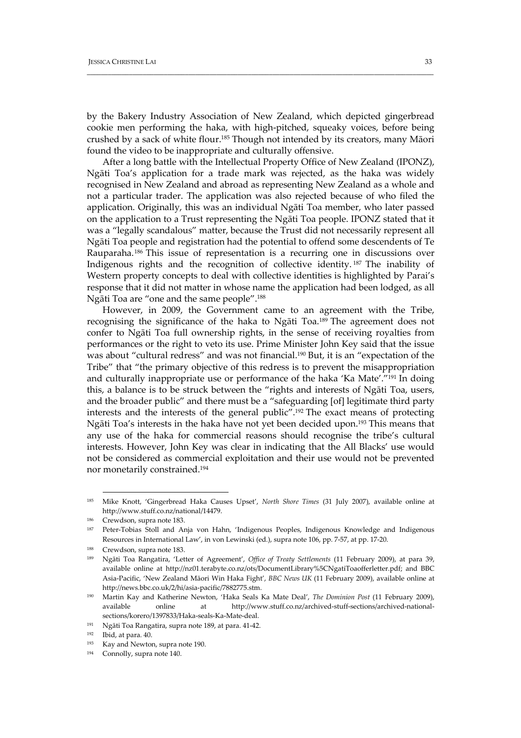by the Bakery Industry Association of New Zealand, which depicted gingerbread cookie men performing the haka, with high-pitched, squeaky voices, before being crushed by a sack of white flour.<sup>185</sup> Though not intended by its creators, many Māori found the video to be inappropriate and culturally offensive.

\_\_\_\_\_\_\_\_\_\_\_\_\_\_\_\_\_\_\_\_\_\_\_\_\_\_\_\_\_\_\_\_\_\_\_\_\_\_\_\_\_\_\_\_\_\_\_\_\_\_\_\_\_\_\_\_\_\_\_\_\_\_\_\_\_\_\_\_\_\_\_\_\_\_\_\_\_\_\_\_\_\_\_\_\_\_\_\_\_\_\_\_\_\_\_\_\_\_\_

After a long battle with the Intellectual Property Office of New Zealand (IPONZ), Ngāti Toa's application for a trade mark was rejected, as the haka was widely recognised in New Zealand and abroad as representing New Zealand as a whole and not a particular trader. The application was also rejected because of who filed the application. Originally, this was an individual Ngāti Toa member, who later passed on the application to a Trust representing the Ngāti Toa people. IPONZ stated that it was a "legally scandalous" matter, because the Trust did not necessarily represent all Ngāti Toa people and registration had the potential to offend some descendents of Te Rauparaha.<sup>186</sup> This issue of representation is a recurring one in discussions over Indigenous rights and the recognition of collective identity. <sup>187</sup> The inability of Western property concepts to deal with collective identities is highlighted by Parai's response that it did not matter in whose name the application had been lodged, as all Ngāti Toa are "one and the same people".<sup>188</sup>

However, in 2009, the Government came to an agreement with the Tribe, recognising the significance of the haka to Ngāti Toa.<sup>189</sup> The agreement does not confer to Ngāti Toa full ownership rights, in the sense of receiving royalties from performances or the right to veto its use. Prime Minister John Key said that the issue was about "cultural redress" and was not financial.<sup>190</sup> But, it is an "expectation of the Tribe" that "the primary objective of this redress is to prevent the misappropriation and culturally inappropriate use or performance of the haka 'Ka Mate'."<sup>191</sup> In doing this, a balance is to be struck between the "rights and interests of Ngāti Toa, users, and the broader public" and there must be a "safeguarding [of] legitimate third party interests and the interests of the general public".<sup>192</sup> The exact means of protecting Ngāti Toa's interests in the haka have not yet been decided upon.<sup>193</sup> This means that any use of the haka for commercial reasons should recognise the tribe's cultural interests. However, John Key was clear in indicating that the All Blacks' use would not be considered as commercial exploitation and their use would not be prevented nor monetarily constrained.<sup>194</sup>

<sup>185</sup> Mike Knott, 'Gingerbread Haka Causes Upset', North Shore Times (31 July 2007), available online at http://www.stuff.co.nz/national/14479.

<sup>186</sup> Crewdson, supra note 183.

<sup>187</sup> Peter-Tobias Stoll and Anja von Hahn, 'Indigenous Peoples, Indigenous Knowledge and Indigenous Resources in International Law', in von Lewinski (ed.), supra note 106, pp. 7-57, at pp. 17-20.

<sup>188</sup> Crewdson, supra note 183.

<sup>&</sup>lt;sup>189</sup> Ngāti Toa Rangatira, 'Letter of Agreement', Office of Treaty Settlements (11 February 2009), at para 39, available online at http://nz01.terabyte.co.nz/ots/DocumentLibrary%5CNgatiToaofferletter.pdf; and BBC Asia-Pacific, 'New Zealand Māori Win Haka Fight', BBC News UK (11 February 2009), available online at http://news.bbc.co.uk/2/hi/asia-pacific/7882775.stm.

<sup>190</sup> Martin Kay and Katherine Newton, 'Haka Seals Ka Mate Deal', The Dominion Post (11 February 2009), available online at http://www.stuff.co.nz/archived-stuff-sections/archived-nationalsections/korero/1397833/Haka-seals-Ka-Mate-deal.

<sup>191</sup> Ngāti Toa Rangatira, supra note 189, at para. 41-42.

<sup>192</sup> Ibid, at para. 40.

<sup>193</sup> Kay and Newton, supra note 190.

<sup>194</sup> Connolly, supra note 140.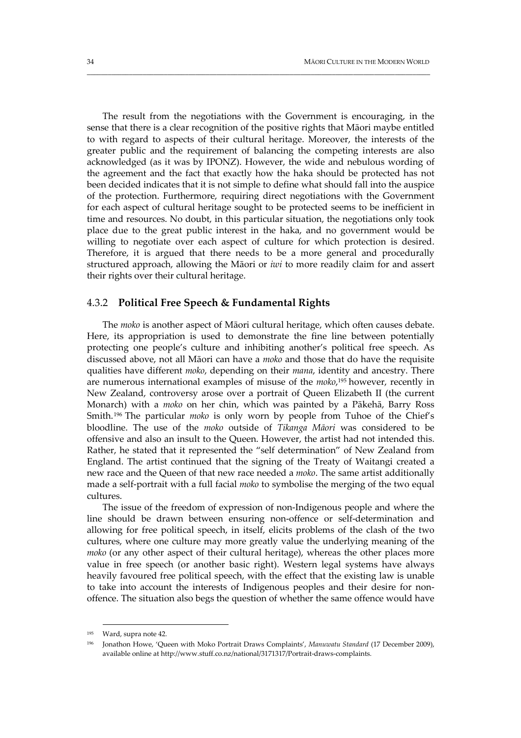The result from the negotiations with the Government is encouraging, in the sense that there is a clear recognition of the positive rights that Māori maybe entitled to with regard to aspects of their cultural heritage. Moreover, the interests of the greater public and the requirement of balancing the competing interests are also acknowledged (as it was by IPONZ). However, the wide and nebulous wording of the agreement and the fact that exactly how the haka should be protected has not been decided indicates that it is not simple to define what should fall into the auspice of the protection. Furthermore, requiring direct negotiations with the Government for each aspect of cultural heritage sought to be protected seems to be inefficient in time and resources. No doubt, in this particular situation, the negotiations only took place due to the great public interest in the haka, and no government would be willing to negotiate over each aspect of culture for which protection is desired. Therefore, it is argued that there needs to be a more general and procedurally structured approach, allowing the Māori or *iwi* to more readily claim for and assert their rights over their cultural heritage.

\_\_\_\_\_\_\_\_\_\_\_\_\_\_\_\_\_\_\_\_\_\_\_\_\_\_\_\_\_\_\_\_\_\_\_\_\_\_\_\_\_\_\_\_\_\_\_\_\_\_\_\_\_\_\_\_\_\_\_\_\_\_\_\_\_\_\_\_\_\_\_\_\_\_\_\_\_\_\_\_\_\_\_\_\_\_\_\_\_\_\_\_\_\_\_\_\_\_

#### 4.3.2 Political Free Speech & Fundamental Rights

The moko is another aspect of Māori cultural heritage, which often causes debate. Here, its appropriation is used to demonstrate the fine line between potentially protecting one people's culture and inhibiting another's political free speech. As discussed above, not all Māori can have a moko and those that do have the requisite qualities have different moko, depending on their mana, identity and ancestry. There are numerous international examples of misuse of the *moko*,<sup>195</sup> however, recently in New Zealand, controversy arose over a portrait of Queen Elizabeth II (the current Monarch) with a moko on her chin, which was painted by a Pākehā, Barry Ross Smith.<sup>196</sup> The particular *moko* is only worn by people from Tuhoe of the Chief's bloodline. The use of the moko outside of Tikanga Māori was considered to be offensive and also an insult to the Queen. However, the artist had not intended this. Rather, he stated that it represented the "self determination" of New Zealand from England. The artist continued that the signing of the Treaty of Waitangi created a new race and the Queen of that new race needed a *moko*. The same artist additionally made a self-portrait with a full facial *moko* to symbolise the merging of the two equal cultures.

The issue of the freedom of expression of non-Indigenous people and where the line should be drawn between ensuring non-offence or self-determination and allowing for free political speech, in itself, elicits problems of the clash of the two cultures, where one culture may more greatly value the underlying meaning of the moko (or any other aspect of their cultural heritage), whereas the other places more value in free speech (or another basic right). Western legal systems have always heavily favoured free political speech, with the effect that the existing law is unable to take into account the interests of Indigenous peoples and their desire for nonoffence. The situation also begs the question of whether the same offence would have

 $\ddot{ }$ 

<sup>195</sup> Ward, supra note 42.

<sup>196</sup> Jonathon Howe, 'Queen with Moko Portrait Draws Complaints', Manuwatu Standard (17 December 2009), available online at http://www.stuff.co.nz/national/3171317/Portrait-draws-complaints.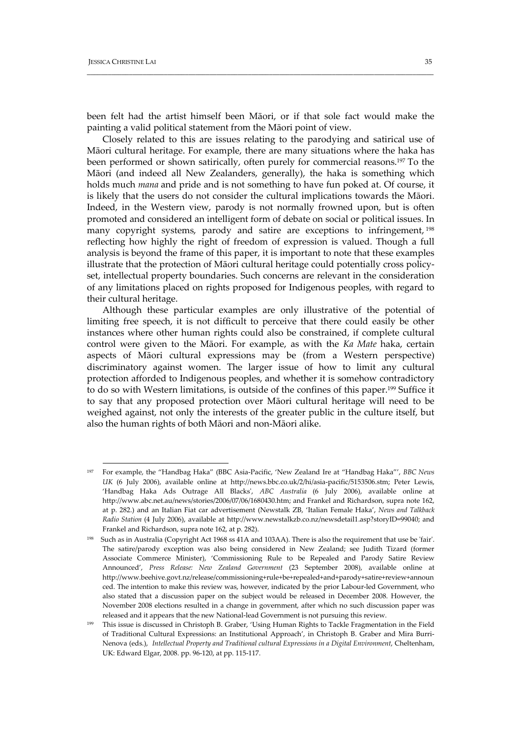j

been felt had the artist himself been Māori, or if that sole fact would make the painting a valid political statement from the Māori point of view.

\_\_\_\_\_\_\_\_\_\_\_\_\_\_\_\_\_\_\_\_\_\_\_\_\_\_\_\_\_\_\_\_\_\_\_\_\_\_\_\_\_\_\_\_\_\_\_\_\_\_\_\_\_\_\_\_\_\_\_\_\_\_\_\_\_\_\_\_\_\_\_\_\_\_\_\_\_\_\_\_\_\_\_\_\_\_\_\_\_\_\_\_\_\_\_\_\_\_\_

Closely related to this are issues relating to the parodying and satirical use of Māori cultural heritage. For example, there are many situations where the haka has been performed or shown satirically, often purely for commercial reasons.<sup>197</sup> To the Māori (and indeed all New Zealanders, generally), the haka is something which holds much mana and pride and is not something to have fun poked at. Of course, it is likely that the users do not consider the cultural implications towards the Māori. Indeed, in the Western view, parody is not normally frowned upon, but is often promoted and considered an intelligent form of debate on social or political issues. In many copyright systems, parody and satire are exceptions to infringement, <sup>198</sup> reflecting how highly the right of freedom of expression is valued. Though a full analysis is beyond the frame of this paper, it is important to note that these examples illustrate that the protection of Māori cultural heritage could potentially cross policyset, intellectual property boundaries. Such concerns are relevant in the consideration of any limitations placed on rights proposed for Indigenous peoples, with regard to their cultural heritage.

Although these particular examples are only illustrative of the potential of limiting free speech, it is not difficult to perceive that there could easily be other instances where other human rights could also be constrained, if complete cultural control were given to the Māori. For example, as with the Ka Mate haka, certain aspects of Māori cultural expressions may be (from a Western perspective) discriminatory against women. The larger issue of how to limit any cultural protection afforded to Indigenous peoples, and whether it is somehow contradictory to do so with Western limitations, is outside of the confines of this paper.<sup>199</sup> Suffice it to say that any proposed protection over Māori cultural heritage will need to be weighed against, not only the interests of the greater public in the culture itself, but also the human rights of both Māori and non-Māori alike.

<sup>197</sup> For example, the "Handbag Haka" (BBC Asia-Pacific, 'New Zealand Ire at "Handbag Haka"', BBC News UK (6 July 2006), available online at http://news.bbc.co.uk/2/hi/asia-pacific/5153506.stm; Peter Lewis, 'Handbag Haka Ads Outrage All Blacks', ABC Australia (6 July 2006), available online at http://www.abc.net.au/news/stories/2006/07/06/1680430.htm; and Frankel and Richardson, supra note 162, at p. 282.) and an Italian Fiat car advertisement (Newstalk ZB, 'Italian Female Haka', News and Talkback Radio Station (4 July 2006), available at http://www.newstalkzb.co.nz/newsdetail1.asp?storyID=99040; and Frankel and Richardson, supra note 162, at p. 282).

<sup>198</sup> Such as in Australia (Copyright Act 1968 ss 41A and 103AA). There is also the requirement that use be 'fair'. The satire/parody exception was also being considered in New Zealand; see Judith Tizard (former Associate Commerce Minister), 'Commissioning Rule to be Repealed and Parody Satire Review Announced', Press Release: New Zealand Government (23 September 2008), available online at http://www.beehive.govt.nz/release/commissioning+rule+be+repealed+and+parody+satire+review+announ ced. The intention to make this review was, however, indicated by the prior Labour-led Government, who also stated that a discussion paper on the subject would be released in December 2008. However, the November 2008 elections resulted in a change in government, after which no such discussion paper was released and it appears that the new National-lead Government is not pursuing this review.

<sup>199</sup> This issue is discussed in Christoph B. Graber, 'Using Human Rights to Tackle Fragmentation in the Field of Traditional Cultural Expressions: an Institutional Approach', in Christoph B. Graber and Mira Burri-Nenova (eds.), Intellectual Property and Traditional cultural Expressions in a Digital Environment, Cheltenham, UK: Edward Elgar, 2008. pp. 96-120, at pp. 115-117.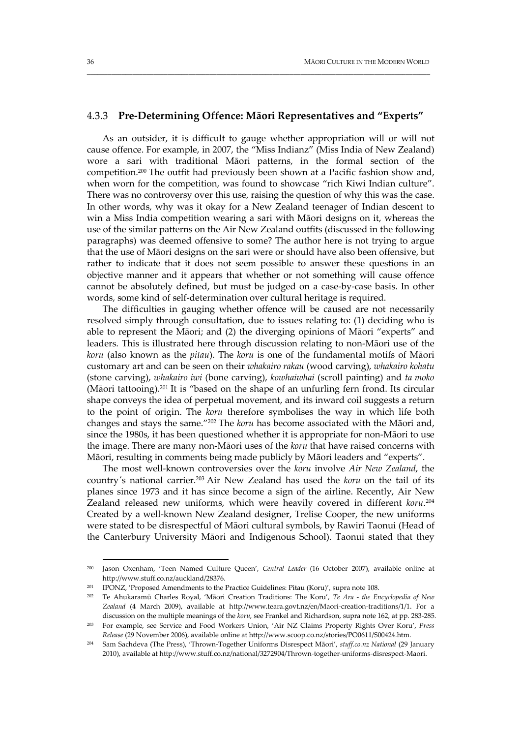#### 4.3.3 Pre-Determining Offence: Māori Representatives and "Experts"

\_\_\_\_\_\_\_\_\_\_\_\_\_\_\_\_\_\_\_\_\_\_\_\_\_\_\_\_\_\_\_\_\_\_\_\_\_\_\_\_\_\_\_\_\_\_\_\_\_\_\_\_\_\_\_\_\_\_\_\_\_\_\_\_\_\_\_\_\_\_\_\_\_\_\_\_\_\_\_\_\_\_\_\_\_\_\_\_\_\_\_\_\_\_\_\_\_\_

As an outsider, it is difficult to gauge whether appropriation will or will not cause offence. For example, in 2007, the "Miss Indianz" (Miss India of New Zealand) wore a sari with traditional Māori patterns, in the formal section of the competition.<sup>200</sup> The outfit had previously been shown at a Pacific fashion show and, when worn for the competition, was found to showcase "rich Kiwi Indian culture". There was no controversy over this use, raising the question of why this was the case. In other words, why was it okay for a New Zealand teenager of Indian descent to win a Miss India competition wearing a sari with Māori designs on it, whereas the use of the similar patterns on the Air New Zealand outfits (discussed in the following paragraphs) was deemed offensive to some? The author here is not trying to argue that the use of Māori designs on the sari were or should have also been offensive, but rather to indicate that it does not seem possible to answer these questions in an objective manner and it appears that whether or not something will cause offence cannot be absolutely defined, but must be judged on a case-by-case basis. In other words, some kind of self-determination over cultural heritage is required.

The difficulties in gauging whether offence will be caused are not necessarily resolved simply through consultation, due to issues relating to: (1) deciding who is able to represent the Māori; and (2) the diverging opinions of Māori "experts" and leaders. This is illustrated here through discussion relating to non-Māori use of the koru (also known as the pitau). The koru is one of the fundamental motifs of Māori customary art and can be seen on their whakairo rakau (wood carving), whakairo kohatu (stone carving), whakairo iwi (bone carving), kowhaiwhai (scroll painting) and ta moko (Māori tattooing).<sup>201</sup> It is "based on the shape of an unfurling fern frond. Its circular shape conveys the idea of perpetual movement, and its inward coil suggests a return to the point of origin. The koru therefore symbolises the way in which life both changes and stays the same."<sup>202</sup> The koru has become associated with the Māori and, since the 1980s, it has been questioned whether it is appropriate for non-Māori to use the image. There are many non-Māori uses of the *koru* that have raised concerns with Māori, resulting in comments being made publicly by Māori leaders and "experts".

The most well-known controversies over the koru involve Air New Zealand, the country's national carrier.<sup>203</sup> Air New Zealand has used the *koru* on the tail of its planes since 1973 and it has since become a sign of the airline. Recently, Air New Zealand released new uniforms, which were heavily covered in different koru.<sup>204</sup> Created by a well-known New Zealand designer, Trelise Cooper, the new uniforms were stated to be disrespectful of Māori cultural symbols, by Rawiri Taonui (Head of the Canterbury University Māori and Indigenous School). Taonui stated that they

<sup>200</sup> Jason Oxenham, 'Teen Named Culture Queen', Central Leader (16 October 2007), available online at http://www.stuff.co.nz/auckland/28376.

<sup>201</sup> IPONZ, 'Proposed Amendments to the Practice Guidelines: Pitau (Koru)', supra note 108.

<sup>202</sup> Te Ahukaramū Charles Royal, 'Māori Creation Traditions: The Koru', Te Ara - the Encyclopedia of New Zealand (4 March 2009), available at http://www.teara.govt.nz/en/Maori-creation-traditions/1/1. For a discussion on the multiple meanings of the koru, see Frankel and Richardson, supra note 162, at pp. 283-285.

<sup>203</sup> For example, see Service and Food Workers Union, 'Air NZ Claims Property Rights Over Koru', Press Release (29 November 2006), available online at http://www.scoop.co.nz/stories/PO0611/S00424.htm.

<sup>&</sup>lt;sup>204</sup> Sam Sachdeva (The Press), 'Thrown-Together Uniforms Disrespect Māori', stuff.co.nz National (29 January 2010), available at http://www.stuff.co.nz/national/3272904/Thrown-together-uniforms-disrespect-Maori.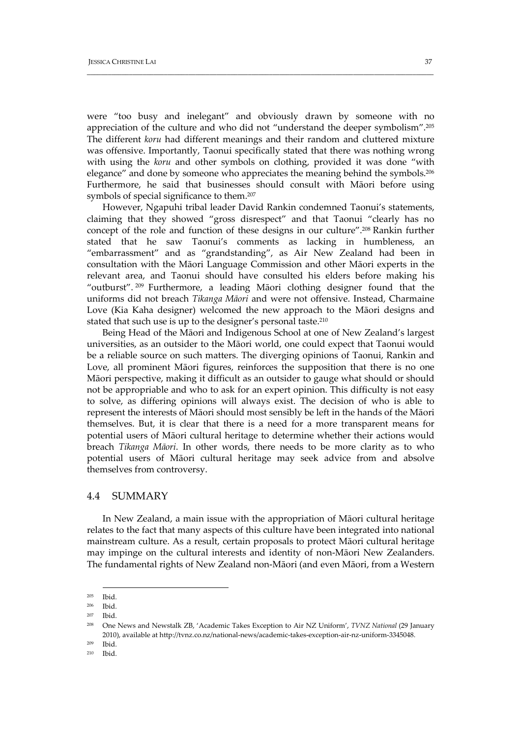were "too busy and inelegant" and obviously drawn by someone with no appreciation of the culture and who did not "understand the deeper symbolism".<sup>205</sup> The different koru had different meanings and their random and cluttered mixture was offensive. Importantly, Taonui specifically stated that there was nothing wrong with using the *koru* and other symbols on clothing, provided it was done "with elegance" and done by someone who appreciates the meaning behind the symbols.<sup>206</sup> Furthermore, he said that businesses should consult with Māori before using symbols of special significance to them.<sup>207</sup>

\_\_\_\_\_\_\_\_\_\_\_\_\_\_\_\_\_\_\_\_\_\_\_\_\_\_\_\_\_\_\_\_\_\_\_\_\_\_\_\_\_\_\_\_\_\_\_\_\_\_\_\_\_\_\_\_\_\_\_\_\_\_\_\_\_\_\_\_\_\_\_\_\_\_\_\_\_\_\_\_\_\_\_\_\_\_\_\_\_\_\_\_\_\_\_\_\_\_\_

However, Ngapuhi tribal leader David Rankin condemned Taonui's statements, claiming that they showed "gross disrespect" and that Taonui "clearly has no concept of the role and function of these designs in our culture".<sup>208</sup> Rankin further stated that he saw Taonui's comments as lacking in humbleness, an "embarrassment" and as "grandstanding", as Air New Zealand had been in consultation with the Māori Language Commission and other Māori experts in the relevant area, and Taonui should have consulted his elders before making his "outburst". <sup>209</sup> Furthermore, a leading Māori clothing designer found that the uniforms did not breach Tikanga Māori and were not offensive. Instead, Charmaine Love (Kia Kaha designer) welcomed the new approach to the Māori designs and stated that such use is up to the designer's personal taste. $^{210}$ 

Being Head of the Māori and Indigenous School at one of New Zealand's largest universities, as an outsider to the Māori world, one could expect that Taonui would be a reliable source on such matters. The diverging opinions of Taonui, Rankin and Love, all prominent Māori figures, reinforces the supposition that there is no one Māori perspective, making it difficult as an outsider to gauge what should or should not be appropriable and who to ask for an expert opinion. This difficulty is not easy to solve, as differing opinions will always exist. The decision of who is able to represent the interests of Māori should most sensibly be left in the hands of the Māori themselves. But, it is clear that there is a need for a more transparent means for potential users of Māori cultural heritage to determine whether their actions would breach Tikanga Māori. In other words, there needs to be more clarity as to who potential users of Māori cultural heritage may seek advice from and absolve themselves from controversy.

#### 4.4 SUMMARY

In New Zealand, a main issue with the appropriation of Māori cultural heritage relates to the fact that many aspects of this culture have been integrated into national mainstream culture. As a result, certain proposals to protect Māori cultural heritage may impinge on the cultural interests and identity of non-Māori New Zealanders. The fundamental rights of New Zealand non-Māori (and even Māori, from a Western

<sup>207</sup> Ibid.

j <sup>205</sup> Ibid.

<sup>206</sup> Ibid.

<sup>208</sup> One News and Newstalk ZB, 'Academic Takes Exception to Air NZ Uniform', TVNZ National (29 January 2010), available at http://tvnz.co.nz/national-news/academic-takes-exception-air-nz-uniform-3345048.

<sup>209</sup> Ibid.

<sup>210</sup> Ibid.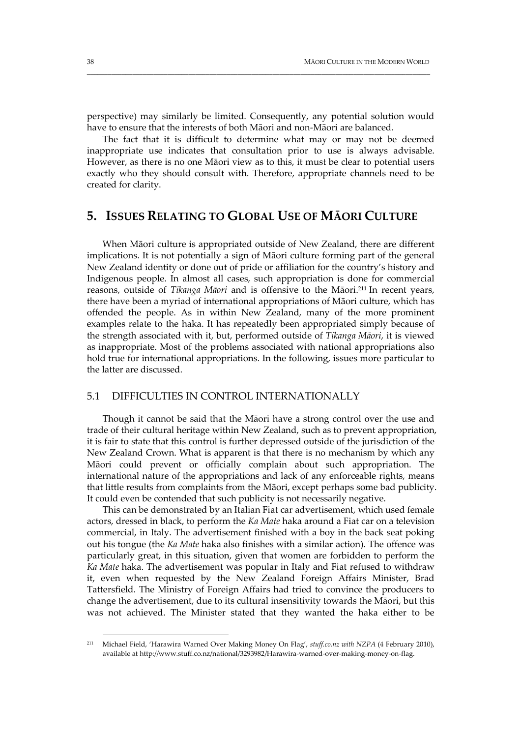perspective) may similarly be limited. Consequently, any potential solution would have to ensure that the interests of both Māori and non-Māori are balanced.

\_\_\_\_\_\_\_\_\_\_\_\_\_\_\_\_\_\_\_\_\_\_\_\_\_\_\_\_\_\_\_\_\_\_\_\_\_\_\_\_\_\_\_\_\_\_\_\_\_\_\_\_\_\_\_\_\_\_\_\_\_\_\_\_\_\_\_\_\_\_\_\_\_\_\_\_\_\_\_\_\_\_\_\_\_\_\_\_\_\_\_\_\_\_\_\_\_\_

The fact that it is difficult to determine what may or may not be deemed inappropriate use indicates that consultation prior to use is always advisable. However, as there is no one Māori view as to this, it must be clear to potential users exactly who they should consult with. Therefore, appropriate channels need to be created for clarity.

## 5. ISSUES RELATING TO GLOBAL USE OF MĀORI CULTURE

When Māori culture is appropriated outside of New Zealand, there are different implications. It is not potentially a sign of Māori culture forming part of the general New Zealand identity or done out of pride or affiliation for the country's history and Indigenous people. In almost all cases, such appropriation is done for commercial reasons, outside of Tikanga Māori and is offensive to the Māori.<sup>211</sup> In recent years, there have been a myriad of international appropriations of Māori culture, which has offended the people. As in within New Zealand, many of the more prominent examples relate to the haka. It has repeatedly been appropriated simply because of the strength associated with it, but, performed outside of Tikanga Māori, it is viewed as inappropriate. Most of the problems associated with national appropriations also hold true for international appropriations. In the following, issues more particular to the latter are discussed.

## 5.1 DIFFICULTIES IN CONTROL INTERNATIONALLY

Though it cannot be said that the Māori have a strong control over the use and trade of their cultural heritage within New Zealand, such as to prevent appropriation, it is fair to state that this control is further depressed outside of the jurisdiction of the New Zealand Crown. What is apparent is that there is no mechanism by which any Māori could prevent or officially complain about such appropriation. The international nature of the appropriations and lack of any enforceable rights, means that little results from complaints from the Māori, except perhaps some bad publicity. It could even be contended that such publicity is not necessarily negative.

This can be demonstrated by an Italian Fiat car advertisement, which used female actors, dressed in black, to perform the Ka Mate haka around a Fiat car on a television commercial, in Italy. The advertisement finished with a boy in the back seat poking out his tongue (the Ka Mate haka also finishes with a similar action). The offence was particularly great, in this situation, given that women are forbidden to perform the Ka Mate haka. The advertisement was popular in Italy and Fiat refused to withdraw it, even when requested by the New Zealand Foreign Affairs Minister, Brad Tattersfield. The Ministry of Foreign Affairs had tried to convince the producers to change the advertisement, due to its cultural insensitivity towards the Māori, but this was not achieved. The Minister stated that they wanted the haka either to be

<sup>&</sup>lt;sup>211</sup> Michael Field, 'Harawira Warned Over Making Money On Flag', stuff.co.nz with NZPA (4 February 2010), available at http://www.stuff.co.nz/national/3293982/Harawira-warned-over-making-money-on-flag.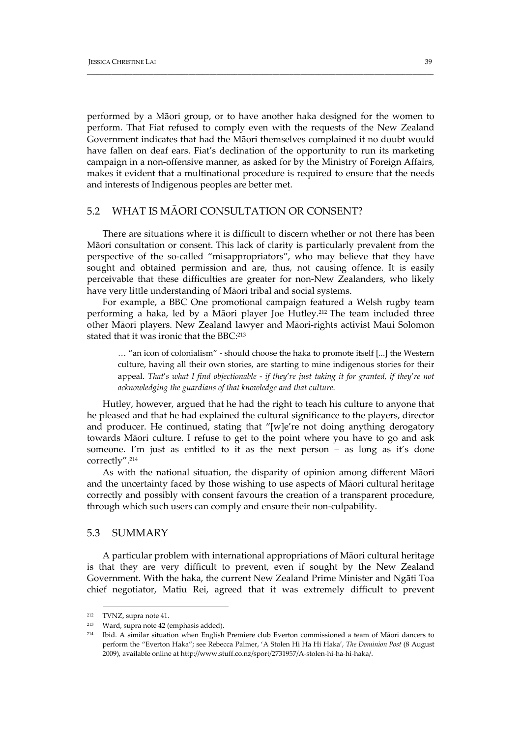performed by a Māori group, or to have another haka designed for the women to perform. That Fiat refused to comply even with the requests of the New Zealand Government indicates that had the Māori themselves complained it no doubt would have fallen on deaf ears. Fiat's declination of the opportunity to run its marketing campaign in a non-offensive manner, as asked for by the Ministry of Foreign Affairs, makes it evident that a multinational procedure is required to ensure that the needs and interests of Indigenous peoples are better met.

\_\_\_\_\_\_\_\_\_\_\_\_\_\_\_\_\_\_\_\_\_\_\_\_\_\_\_\_\_\_\_\_\_\_\_\_\_\_\_\_\_\_\_\_\_\_\_\_\_\_\_\_\_\_\_\_\_\_\_\_\_\_\_\_\_\_\_\_\_\_\_\_\_\_\_\_\_\_\_\_\_\_\_\_\_\_\_\_\_\_\_\_\_\_\_\_\_\_\_

## 5.2 WHAT IS MĀORI CONSULTATION OR CONSENT?

There are situations where it is difficult to discern whether or not there has been Māori consultation or consent. This lack of clarity is particularly prevalent from the perspective of the so-called "misappropriators", who may believe that they have sought and obtained permission and are, thus, not causing offence. It is easily perceivable that these difficulties are greater for non-New Zealanders, who likely have very little understanding of Māori tribal and social systems.

For example, a BBC One promotional campaign featured a Welsh rugby team performing a haka, led by a Māori player Joe Hutley. <sup>212</sup> The team included three other Māori players. New Zealand lawyer and Māori-rights activist Maui Solomon stated that it was ironic that the BBC:<sup>213</sup>

… "an icon of colonialism" - should choose the haka to promote itself [...] the Western culture, having all their own stories, are starting to mine indigenous stories for their appeal. That's what I find objectionable - if they're just taking it for granted, if they're not acknowledging the guardians of that knowledge and that culture.

Hutley, however, argued that he had the right to teach his culture to anyone that he pleased and that he had explained the cultural significance to the players, director and producer. He continued, stating that "[w]e're not doing anything derogatory towards Māori culture. I refuse to get to the point where you have to go and ask someone. I'm just as entitled to it as the next person – as long as it's done correctly".<sup>214</sup>

As with the national situation, the disparity of opinion among different Māori and the uncertainty faced by those wishing to use aspects of Māori cultural heritage correctly and possibly with consent favours the creation of a transparent procedure, through which such users can comply and ensure their non-culpability.

#### 5.3 SUMMARY

A particular problem with international appropriations of Māori cultural heritage is that they are very difficult to prevent, even if sought by the New Zealand Government. With the haka, the current New Zealand Prime Minister and Ngāti Toa chief negotiator, Matiu Rei, agreed that it was extremely difficult to prevent

<sup>212</sup> TVNZ, supra note 41.

<sup>213</sup> Ward, supra note 42 (emphasis added).

<sup>214</sup> Ibid. A similar situation when English Premiere club Everton commissioned a team of Māori dancers to perform the "Everton Haka"; see Rebecca Palmer, 'A Stolen Hi Ha Hi Haka', The Dominion Post (8 August 2009), available online at http://www.stuff.co.nz/sport/2731957/A-stolen-hi-ha-hi-haka/.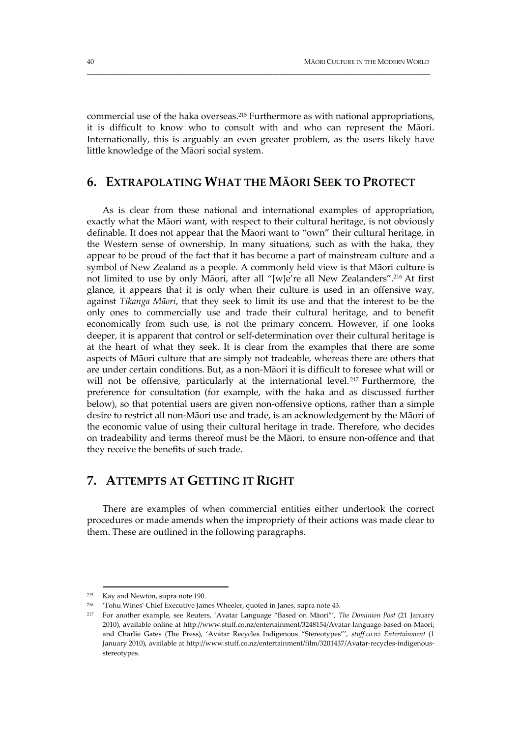commercial use of the haka overseas.<sup>215</sup> Furthermore as with national appropriations, it is difficult to know who to consult with and who can represent the Māori. Internationally, this is arguably an even greater problem, as the users likely have little knowledge of the Māori social system.

\_\_\_\_\_\_\_\_\_\_\_\_\_\_\_\_\_\_\_\_\_\_\_\_\_\_\_\_\_\_\_\_\_\_\_\_\_\_\_\_\_\_\_\_\_\_\_\_\_\_\_\_\_\_\_\_\_\_\_\_\_\_\_\_\_\_\_\_\_\_\_\_\_\_\_\_\_\_\_\_\_\_\_\_\_\_\_\_\_\_\_\_\_\_\_\_\_\_

## 6. EXTRAPOLATING WHAT THE MĀORI SEEK TO PROTECT

As is clear from these national and international examples of appropriation, exactly what the Māori want, with respect to their cultural heritage, is not obviously definable. It does not appear that the Māori want to "own" their cultural heritage, in the Western sense of ownership. In many situations, such as with the haka, they appear to be proud of the fact that it has become a part of mainstream culture and a symbol of New Zealand as a people. A commonly held view is that Māori culture is not limited to use by only Māori, after all "[w]e're all New Zealanders".<sup>216</sup> At first glance, it appears that it is only when their culture is used in an offensive way, against Tikanga Māori, that they seek to limit its use and that the interest to be the only ones to commercially use and trade their cultural heritage, and to benefit economically from such use, is not the primary concern. However, if one looks deeper, it is apparent that control or self-determination over their cultural heritage is at the heart of what they seek. It is clear from the examples that there are some aspects of Māori culture that are simply not tradeable, whereas there are others that are under certain conditions. But, as a non-Māori it is difficult to foresee what will or will not be offensive, particularly at the international level.<sup>217</sup> Furthermore, the preference for consultation (for example, with the haka and as discussed further below), so that potential users are given non-offensive options, rather than a simple desire to restrict all non-Māori use and trade, is an acknowledgement by the Māori of the economic value of using their cultural heritage in trade. Therefore, who decides on tradeability and terms thereof must be the Māori, to ensure non-offence and that they receive the benefits of such trade.

## 7. ATTEMPTS AT GETTING IT RIGHT

There are examples of when commercial entities either undertook the correct procedures or made amends when the impropriety of their actions was made clear to them. These are outlined in the following paragraphs.

Kay and Newton, supra note 190.

<sup>216</sup> 'Tohu Wines' Chief Executive James Wheeler, quoted in Janes, supra note 43.

<sup>&</sup>lt;sup>217</sup> For another example, see Reuters, 'Avatar Language "Based on Māori"', The Dominion Post (21 January 2010), available online at http://www.stuff.co.nz/entertainment/3248154/Avatar-language-based-on-Maori; and Charlie Gates (The Press), 'Avatar Recycles Indigenous "Stereotypes"', stuff.co.nz Entertainment (1 January 2010), available at http://www.stuff.co.nz/entertainment/film/3201437/Avatar-recycles-indigenousstereotypes.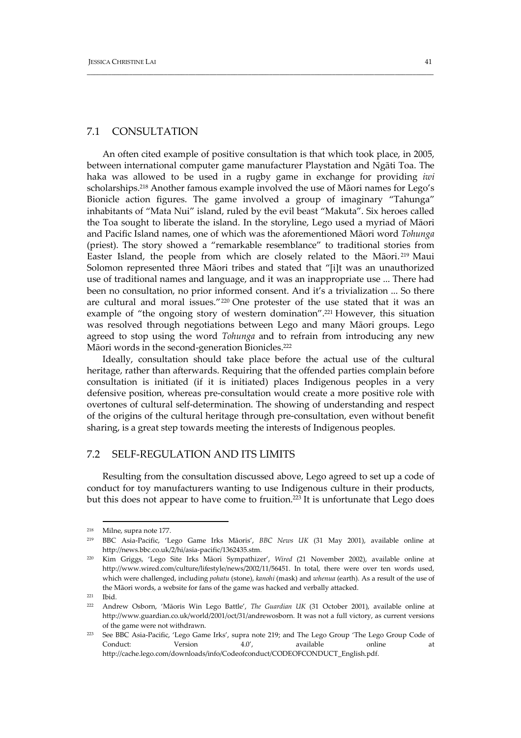### 7.1 CONSULTATION

An often cited example of positive consultation is that which took place, in 2005, between international computer game manufacturer Playstation and Ngāti Toa. The haka was allowed to be used in a rugby game in exchange for providing *iwi* scholarships.<sup>218</sup> Another famous example involved the use of Māori names for Lego's Bionicle action figures. The game involved a group of imaginary "Tahunga" inhabitants of "Mata Nui" island, ruled by the evil beast "Makuta". Six heroes called the Toa sought to liberate the island. In the storyline, Lego used a myriad of Māori and Pacific Island names, one of which was the aforementioned Māori word Tohunga (priest). The story showed a "remarkable resemblance" to traditional stories from Easter Island, the people from which are closely related to the Māori. <sup>219</sup> Maui Solomon represented three Māori tribes and stated that "[i]t was an unauthorized use of traditional names and language, and it was an inappropriate use ... There had been no consultation, no prior informed consent. And it's a trivialization ... So there are cultural and moral issues."<sup>220</sup> One protester of the use stated that it was an example of "the ongoing story of western domination".<sup>221</sup> However, this situation was resolved through negotiations between Lego and many Māori groups. Lego agreed to stop using the word Tohunga and to refrain from introducing any new Māori words in the second-generation Bionicles.<sup>222</sup>

\_\_\_\_\_\_\_\_\_\_\_\_\_\_\_\_\_\_\_\_\_\_\_\_\_\_\_\_\_\_\_\_\_\_\_\_\_\_\_\_\_\_\_\_\_\_\_\_\_\_\_\_\_\_\_\_\_\_\_\_\_\_\_\_\_\_\_\_\_\_\_\_\_\_\_\_\_\_\_\_\_\_\_\_\_\_\_\_\_\_\_\_\_\_\_\_\_\_\_

Ideally, consultation should take place before the actual use of the cultural heritage, rather than afterwards. Requiring that the offended parties complain before consultation is initiated (if it is initiated) places Indigenous peoples in a very defensive position, whereas pre-consultation would create a more positive role with overtones of cultural self-determination. The showing of understanding and respect of the origins of the cultural heritage through pre-consultation, even without benefit sharing, is a great step towards meeting the interests of Indigenous peoples.

#### 7.2 SELF-REGULATION AND ITS LIMITS

Resulting from the consultation discussed above, Lego agreed to set up a code of conduct for toy manufacturers wanting to use Indigenous culture in their products, but this does not appear to have come to fruition.<sup>223</sup> It is unfortunate that Lego does

<sup>218</sup> Milne, supra note 177.

<sup>219</sup> BBC Asia-Pacific, 'Lego Game Irks Māoris', BBC News UK (31 May 2001), available online at http://news.bbc.co.uk/2/hi/asia-pacific/1362435.stm.

<sup>220</sup> Kim Griggs, 'Lego Site Irks Māori Sympathizer', Wired (21 November 2002), available online at http://www.wired.com/culture/lifestyle/news/2002/11/56451. In total, there were over ten words used, which were challenged, including *pohatu* (stone), kanohi (mask) and whenua (earth). As a result of the use of the Māori words, a website for fans of the game was hacked and verbally attacked.

<sup>221</sup> Ibid.

<sup>222</sup> Andrew Osborn, 'Māoris Win Lego Battle', The Guardian UK (31 October 2001), available online at http://www.guardian.co.uk/world/2001/oct/31/andrewosborn. It was not a full victory, as current versions of the game were not withdrawn.

<sup>223</sup> See BBC Asia-Pacific, 'Lego Game Irks', supra note 219; and The Lego Group 'The Lego Group Code of Conduct: Version 4.0', available online at http://cache.lego.com/downloads/info/Codeofconduct/CODEOFCONDUCT\_English.pdf.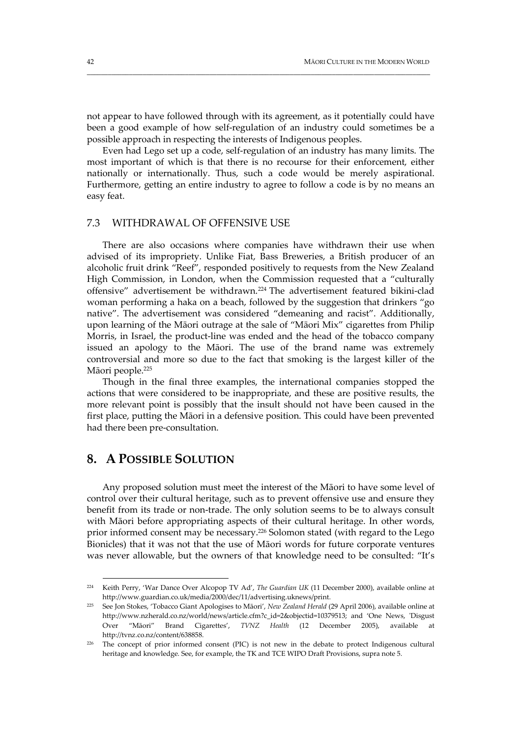not appear to have followed through with its agreement, as it potentially could have been a good example of how self-regulation of an industry could sometimes be a possible approach in respecting the interests of Indigenous peoples.

\_\_\_\_\_\_\_\_\_\_\_\_\_\_\_\_\_\_\_\_\_\_\_\_\_\_\_\_\_\_\_\_\_\_\_\_\_\_\_\_\_\_\_\_\_\_\_\_\_\_\_\_\_\_\_\_\_\_\_\_\_\_\_\_\_\_\_\_\_\_\_\_\_\_\_\_\_\_\_\_\_\_\_\_\_\_\_\_\_\_\_\_\_\_\_\_\_\_

Even had Lego set up a code, self-regulation of an industry has many limits. The most important of which is that there is no recourse for their enforcement, either nationally or internationally. Thus, such a code would be merely aspirational. Furthermore, getting an entire industry to agree to follow a code is by no means an easy feat.

#### 7.3 WITHDRAWAL OF OFFENSIVE USE

There are also occasions where companies have withdrawn their use when advised of its impropriety. Unlike Fiat, Bass Breweries, a British producer of an alcoholic fruit drink "Reef", responded positively to requests from the New Zealand High Commission, in London, when the Commission requested that a "culturally offensive" advertisement be withdrawn.<sup>224</sup> The advertisement featured bikini-clad woman performing a haka on a beach, followed by the suggestion that drinkers "go native". The advertisement was considered "demeaning and racist". Additionally, upon learning of the Māori outrage at the sale of "Māori Mix" cigarettes from Philip Morris, in Israel, the product-line was ended and the head of the tobacco company issued an apology to the Māori. The use of the brand name was extremely controversial and more so due to the fact that smoking is the largest killer of the Māori people.<sup>225</sup>

Though in the final three examples, the international companies stopped the actions that were considered to be inappropriate, and these are positive results, the more relevant point is possibly that the insult should not have been caused in the first place, putting the Māori in a defensive position. This could have been prevented had there been pre-consultation.

## 8. A POSSIBLE SOLUTION

j

Any proposed solution must meet the interest of the Māori to have some level of control over their cultural heritage, such as to prevent offensive use and ensure they benefit from its trade or non-trade. The only solution seems to be to always consult with Māori before appropriating aspects of their cultural heritage. In other words, prior informed consent may be necessary.<sup>226</sup> Solomon stated (with regard to the Lego Bionicles) that it was not that the use of Māori words for future corporate ventures was never allowable, but the owners of that knowledge need to be consulted: "It's

<sup>&</sup>lt;sup>224</sup> Keith Perry, 'War Dance Over Alcopop TV Ad', The Guardian UK (11 December 2000), available online at http://www.guardian.co.uk/media/2000/dec/11/advertising.uknews/print.

<sup>&</sup>lt;sup>225</sup> See Jon Stokes, 'Tobacco Giant Apologises to Māori', New Zealand Herald (29 April 2006), available online at http://www.nzherald.co.nz/world/news/article.cfm?c\_id=2&objectid=10379513; and 'One News, 'Disgust Over "Māori" Brand Cigarettes', TVNZ Health (12 December 2005), available at http://tvnz.co.nz/content/638858.

<sup>226</sup> The concept of prior informed consent (PIC) is not new in the debate to protect Indigenous cultural heritage and knowledge. See, for example, the TK and TCE WIPO Draft Provisions, supra note 5.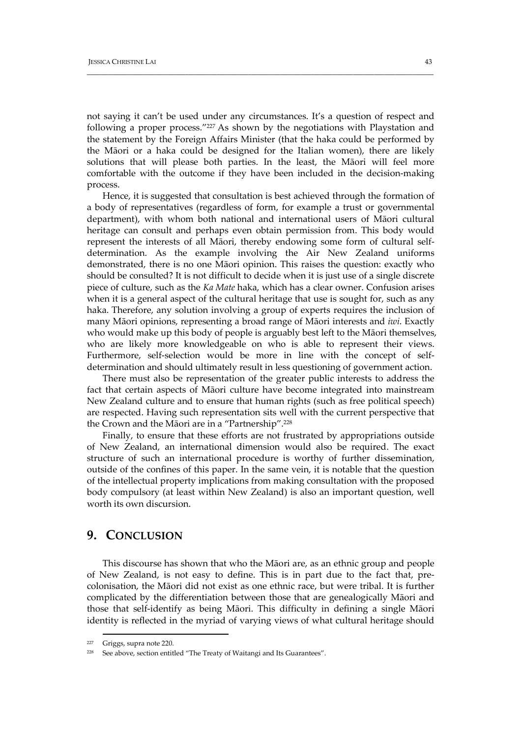not saying it can't be used under any circumstances. It's a question of respect and following a proper process."<sup>227</sup> As shown by the negotiations with Playstation and the statement by the Foreign Affairs Minister (that the haka could be performed by the Māori or a haka could be designed for the Italian women), there are likely solutions that will please both parties. In the least, the Māori will feel more comfortable with the outcome if they have been included in the decision-making process.

\_\_\_\_\_\_\_\_\_\_\_\_\_\_\_\_\_\_\_\_\_\_\_\_\_\_\_\_\_\_\_\_\_\_\_\_\_\_\_\_\_\_\_\_\_\_\_\_\_\_\_\_\_\_\_\_\_\_\_\_\_\_\_\_\_\_\_\_\_\_\_\_\_\_\_\_\_\_\_\_\_\_\_\_\_\_\_\_\_\_\_\_\_\_\_\_\_\_\_

Hence, it is suggested that consultation is best achieved through the formation of a body of representatives (regardless of form, for example a trust or governmental department), with whom both national and international users of Māori cultural heritage can consult and perhaps even obtain permission from. This body would represent the interests of all Māori, thereby endowing some form of cultural selfdetermination. As the example involving the Air New Zealand uniforms demonstrated, there is no one Māori opinion. This raises the question: exactly who should be consulted? It is not difficult to decide when it is just use of a single discrete piece of culture, such as the Ka Mate haka, which has a clear owner. Confusion arises when it is a general aspect of the cultural heritage that use is sought for, such as any haka. Therefore, any solution involving a group of experts requires the inclusion of many Māori opinions, representing a broad range of Māori interests and iwi. Exactly who would make up this body of people is arguably best left to the Māori themselves, who are likely more knowledgeable on who is able to represent their views. Furthermore, self-selection would be more in line with the concept of selfdetermination and should ultimately result in less questioning of government action.

There must also be representation of the greater public interests to address the fact that certain aspects of Māori culture have become integrated into mainstream New Zealand culture and to ensure that human rights (such as free political speech) are respected. Having such representation sits well with the current perspective that the Crown and the Māori are in a "Partnership".<sup>228</sup>

Finally, to ensure that these efforts are not frustrated by appropriations outside of New Zealand, an international dimension would also be required. The exact structure of such an international procedure is worthy of further dissemination, outside of the confines of this paper. In the same vein, it is notable that the question of the intellectual property implications from making consultation with the proposed body compulsory (at least within New Zealand) is also an important question, well worth its own discursion.

## 9. CONCLUSION

This discourse has shown that who the Māori are, as an ethnic group and people of New Zealand, is not easy to define. This is in part due to the fact that, precolonisation, the Māori did not exist as one ethnic race, but were tribal. It is further complicated by the differentiation between those that are genealogically Māori and those that self-identify as being Māori. This difficulty in defining a single Māori identity is reflected in the myriad of varying views of what cultural heritage should

<sup>227</sup> Griggs, supra note 220.

<sup>&</sup>lt;sup>228</sup> See above, section entitled "The Treaty of Waitangi and Its Guarantees".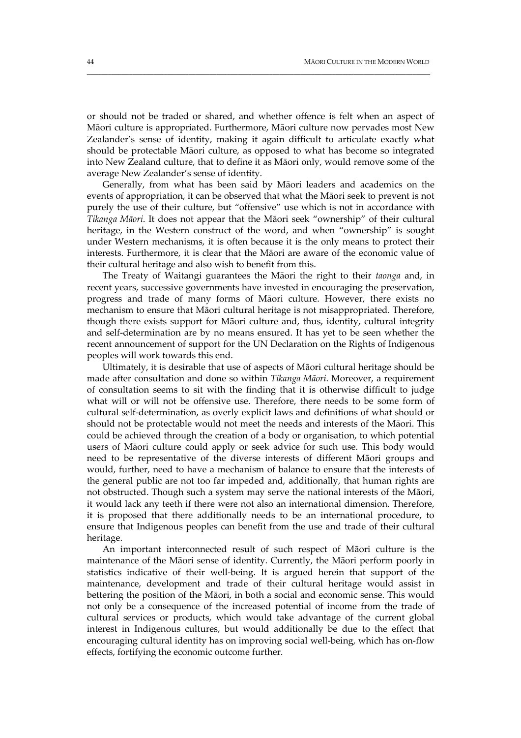or should not be traded or shared, and whether offence is felt when an aspect of Māori culture is appropriated. Furthermore, Māori culture now pervades most New Zealander's sense of identity, making it again difficult to articulate exactly what should be protectable Māori culture, as opposed to what has become so integrated into New Zealand culture, that to define it as Māori only, would remove some of the average New Zealander's sense of identity.

\_\_\_\_\_\_\_\_\_\_\_\_\_\_\_\_\_\_\_\_\_\_\_\_\_\_\_\_\_\_\_\_\_\_\_\_\_\_\_\_\_\_\_\_\_\_\_\_\_\_\_\_\_\_\_\_\_\_\_\_\_\_\_\_\_\_\_\_\_\_\_\_\_\_\_\_\_\_\_\_\_\_\_\_\_\_\_\_\_\_\_\_\_\_\_\_\_\_

Generally, from what has been said by Māori leaders and academics on the events of appropriation, it can be observed that what the Māori seek to prevent is not purely the use of their culture, but "offensive" use which is not in accordance with Tikanga Māori. It does not appear that the Māori seek "ownership" of their cultural heritage, in the Western construct of the word, and when "ownership" is sought under Western mechanisms, it is often because it is the only means to protect their interests. Furthermore, it is clear that the Māori are aware of the economic value of their cultural heritage and also wish to benefit from this.

The Treaty of Waitangi guarantees the Māori the right to their taonga and, in recent years, successive governments have invested in encouraging the preservation, progress and trade of many forms of Māori culture. However, there exists no mechanism to ensure that Māori cultural heritage is not misappropriated. Therefore, though there exists support for Māori culture and, thus, identity, cultural integrity and self-determination are by no means ensured. It has yet to be seen whether the recent announcement of support for the UN Declaration on the Rights of Indigenous peoples will work towards this end.

Ultimately, it is desirable that use of aspects of Māori cultural heritage should be made after consultation and done so within Tikanga Māori. Moreover, a requirement of consultation seems to sit with the finding that it is otherwise difficult to judge what will or will not be offensive use. Therefore, there needs to be some form of cultural self-determination, as overly explicit laws and definitions of what should or should not be protectable would not meet the needs and interests of the Māori. This could be achieved through the creation of a body or organisation, to which potential users of Māori culture could apply or seek advice for such use. This body would need to be representative of the diverse interests of different Māori groups and would, further, need to have a mechanism of balance to ensure that the interests of the general public are not too far impeded and, additionally, that human rights are not obstructed. Though such a system may serve the national interests of the Māori, it would lack any teeth if there were not also an international dimension. Therefore, it is proposed that there additionally needs to be an international procedure, to ensure that Indigenous peoples can benefit from the use and trade of their cultural heritage.

An important interconnected result of such respect of Māori culture is the maintenance of the Māori sense of identity. Currently, the Māori perform poorly in statistics indicative of their well-being. It is argued herein that support of the maintenance, development and trade of their cultural heritage would assist in bettering the position of the Māori, in both a social and economic sense. This would not only be a consequence of the increased potential of income from the trade of cultural services or products, which would take advantage of the current global interest in Indigenous cultures, but would additionally be due to the effect that encouraging cultural identity has on improving social well-being, which has on-flow effects, fortifying the economic outcome further.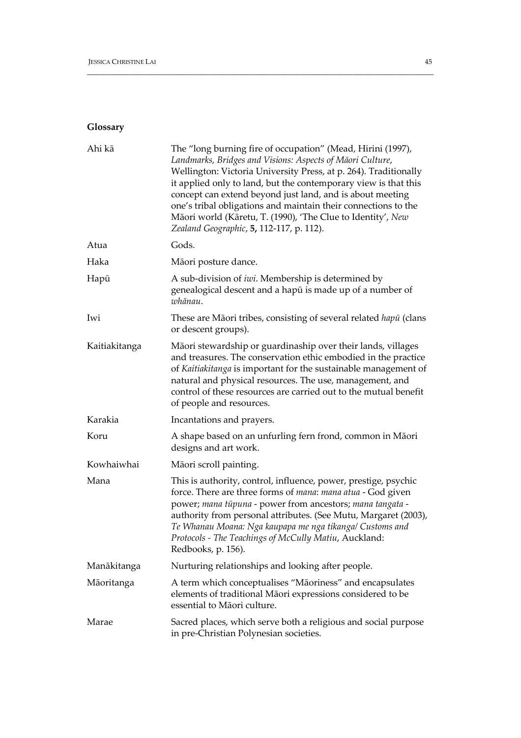## Glossary

| Ahi kā        | The "long burning fire of occupation" (Mead, Hirini (1997),<br>Landmarks, Bridges and Visions: Aspects of Māori Culture,<br>Wellington: Victoria University Press, at p. 264). Traditionally<br>it applied only to land, but the contemporary view is that this<br>concept can extend beyond just land, and is about meeting<br>one's tribal obligations and maintain their connections to the<br>Māori world (Kāretu, T. (1990), 'The Clue to Identity', New<br>Zealand Geographic, 5, 112-117, p. 112). |
|---------------|-----------------------------------------------------------------------------------------------------------------------------------------------------------------------------------------------------------------------------------------------------------------------------------------------------------------------------------------------------------------------------------------------------------------------------------------------------------------------------------------------------------|
| Atua          | Gods.                                                                                                                                                                                                                                                                                                                                                                                                                                                                                                     |
| Haka          | Māori posture dance.                                                                                                                                                                                                                                                                                                                                                                                                                                                                                      |
| Hapū          | A sub-division of <i>iwi</i> . Membership is determined by<br>genealogical descent and a hapū is made up of a number of<br>whānau.                                                                                                                                                                                                                                                                                                                                                                        |
| Iwi           | These are Māori tribes, consisting of several related <i>hapū</i> (clans<br>or descent groups).                                                                                                                                                                                                                                                                                                                                                                                                           |
| Kaitiakitanga | Māori stewardship or guardinaship over their lands, villages<br>and treasures. The conservation ethic embodied in the practice<br>of Kaitiakitanga is important for the sustainable management of<br>natural and physical resources. The use, management, and<br>control of these resources are carried out to the mutual benefit<br>of people and resources.                                                                                                                                             |
| Karakia       | Incantations and prayers.                                                                                                                                                                                                                                                                                                                                                                                                                                                                                 |
| Koru          | A shape based on an unfurling fern frond, common in Māori<br>designs and art work.                                                                                                                                                                                                                                                                                                                                                                                                                        |
| Kowhaiwhai    | Māori scroll painting.                                                                                                                                                                                                                                                                                                                                                                                                                                                                                    |
| Mana          | This is authority, control, influence, power, prestige, psychic<br>force. There are three forms of mana: mana atua - God given<br>power; mana tūpuna - power from ancestors; mana tangata -<br>authority from personal attributes. (See Mutu, Margaret (2003),<br>Te Whanau Moana: Nga kaupapa me nga tikanga/ Customs and<br>Protocols - The Teachings of McCully Matiu, Auckland:<br>Redbooks, p. 156).                                                                                                 |
| Manākitanga   | Nurturing relationships and looking after people.                                                                                                                                                                                                                                                                                                                                                                                                                                                         |
| Māoritanga    | A term which conceptualises "Māoriness" and encapsulates<br>elements of traditional Māori expressions considered to be<br>essential to Māori culture.                                                                                                                                                                                                                                                                                                                                                     |
| Marae         | Sacred places, which serve both a religious and social purpose<br>in pre-Christian Polynesian societies.                                                                                                                                                                                                                                                                                                                                                                                                  |

\_\_\_\_\_\_\_\_\_\_\_\_\_\_\_\_\_\_\_\_\_\_\_\_\_\_\_\_\_\_\_\_\_\_\_\_\_\_\_\_\_\_\_\_\_\_\_\_\_\_\_\_\_\_\_\_\_\_\_\_\_\_\_\_\_\_\_\_\_\_\_\_\_\_\_\_\_\_\_\_\_\_\_\_\_\_\_\_\_\_\_\_\_\_\_\_\_\_\_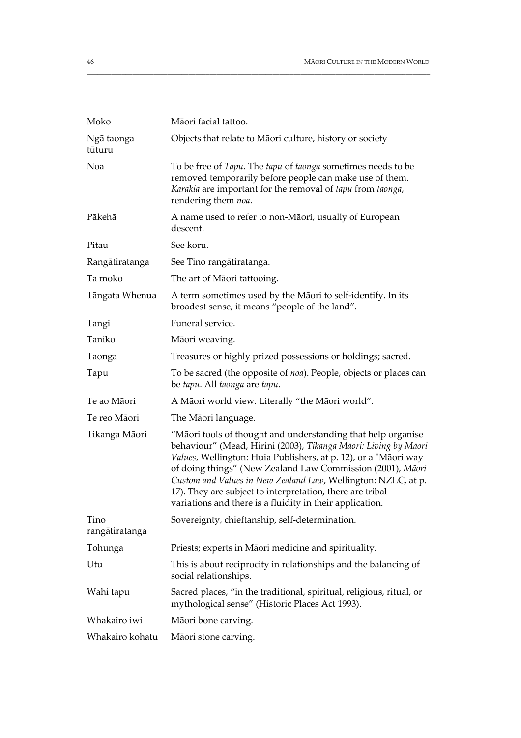| Moko                   | Māori facial tattoo.                                                                                                                                                                                                                                                                                                                                                                                                                                       |
|------------------------|------------------------------------------------------------------------------------------------------------------------------------------------------------------------------------------------------------------------------------------------------------------------------------------------------------------------------------------------------------------------------------------------------------------------------------------------------------|
| Ngā taonga<br>tūturu   | Objects that relate to Māori culture, history or society                                                                                                                                                                                                                                                                                                                                                                                                   |
| Noa                    | To be free of <i>Tapu</i> . The <i>tapu</i> of <i>taonga</i> sometimes needs to be<br>removed temporarily before people can make use of them.<br>Karakia are important for the removal of tapu from taonga,<br>rendering them noa.                                                                                                                                                                                                                         |
| Pākehā                 | A name used to refer to non-Māori, usually of European<br>descent.                                                                                                                                                                                                                                                                                                                                                                                         |
| Pitau                  | See koru.                                                                                                                                                                                                                                                                                                                                                                                                                                                  |
| Rangātiratanga         | See Tino rangātiratanga.                                                                                                                                                                                                                                                                                                                                                                                                                                   |
| Ta moko                | The art of Māori tattooing.                                                                                                                                                                                                                                                                                                                                                                                                                                |
| Tāngata Whenua         | A term sometimes used by the Māori to self-identify. In its<br>broadest sense, it means "people of the land".                                                                                                                                                                                                                                                                                                                                              |
| Tangi                  | Funeral service.                                                                                                                                                                                                                                                                                                                                                                                                                                           |
| Taniko                 | Māori weaving.                                                                                                                                                                                                                                                                                                                                                                                                                                             |
| Taonga                 | Treasures or highly prized possessions or holdings; sacred.                                                                                                                                                                                                                                                                                                                                                                                                |
| Tapu                   | To be sacred (the opposite of <i>noa</i> ). People, objects or places can<br>be tapu. All taonga are tapu.                                                                                                                                                                                                                                                                                                                                                 |
| Te ao Māori            | A Māori world view. Literally "the Māori world".                                                                                                                                                                                                                                                                                                                                                                                                           |
| Te reo Māori           | The Māori language.                                                                                                                                                                                                                                                                                                                                                                                                                                        |
| Tikanga Māori          | "Māori tools of thought and understanding that help organise<br>behaviour" (Mead, Hirini (2003), Tikanga Māori: Living by Māori<br>Values, Wellington: Huia Publishers, at p. 12), or a "Māori way<br>of doing things" (New Zealand Law Commission (2001), Māori<br>Custom and Values in New Zealand Law, Wellington: NZLC, at p.<br>17). They are subject to interpretation, there are tribal<br>variations and there is a fluidity in their application. |
| Tino<br>rangātiratanga | Sovereignty, chieftanship, self-determination.                                                                                                                                                                                                                                                                                                                                                                                                             |
| Tohunga                | Priests; experts in Māori medicine and spirituality.                                                                                                                                                                                                                                                                                                                                                                                                       |
| Utu                    | This is about reciprocity in relationships and the balancing of<br>social relationships.                                                                                                                                                                                                                                                                                                                                                                   |
| Wahi tapu              | Sacred places, "in the traditional, spiritual, religious, ritual, or<br>mythological sense" (Historic Places Act 1993).                                                                                                                                                                                                                                                                                                                                    |
| Whakairo iwi           | Māori bone carving.                                                                                                                                                                                                                                                                                                                                                                                                                                        |
| Whakairo kohatu        | Māori stone carving.                                                                                                                                                                                                                                                                                                                                                                                                                                       |

\_\_\_\_\_\_\_\_\_\_\_\_\_\_\_\_\_\_\_\_\_\_\_\_\_\_\_\_\_\_\_\_\_\_\_\_\_\_\_\_\_\_\_\_\_\_\_\_\_\_\_\_\_\_\_\_\_\_\_\_\_\_\_\_\_\_\_\_\_\_\_\_\_\_\_\_\_\_\_\_\_\_\_\_\_\_\_\_\_\_\_\_\_\_\_\_\_\_